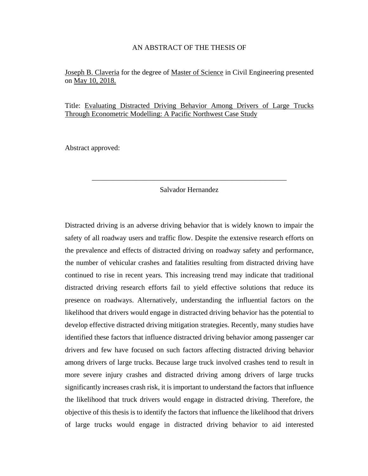#### AN ABSTRACT OF THE THESIS OF

#### Joseph B. Claveria for the degree of Master of Science in Civil Engineering presented on May 10, 2018.

Title: Evaluating Distracted Driving Behavior Among Drivers of Large Trucks Through Econometric Modelling: A Pacific Northwest Case Study

Abstract approved:

#### Salvador Hernandez

\_\_\_\_\_\_\_\_\_\_\_\_\_\_\_\_\_\_\_\_\_\_\_\_\_\_\_\_\_\_\_\_\_\_\_\_\_\_\_\_\_\_\_\_\_\_\_\_\_\_\_\_\_\_

Distracted driving is an adverse driving behavior that is widely known to impair the safety of all roadway users and traffic flow. Despite the extensive research efforts on the prevalence and effects of distracted driving on roadway safety and performance, the number of vehicular crashes and fatalities resulting from distracted driving have continued to rise in recent years. This increasing trend may indicate that traditional distracted driving research efforts fail to yield effective solutions that reduce its presence on roadways. Alternatively, understanding the influential factors on the likelihood that drivers would engage in distracted driving behavior has the potential to develop effective distracted driving mitigation strategies. Recently, many studies have identified these factors that influence distracted driving behavior among passenger car drivers and few have focused on such factors affecting distracted driving behavior among drivers of large trucks. Because large truck involved crashes tend to result in more severe injury crashes and distracted driving among drivers of large trucks significantly increases crash risk, it is important to understand the factors that influence the likelihood that truck drivers would engage in distracted driving. Therefore, the objective of this thesis is to identify the factors that influence the likelihood that drivers of large trucks would engage in distracted driving behavior to aid interested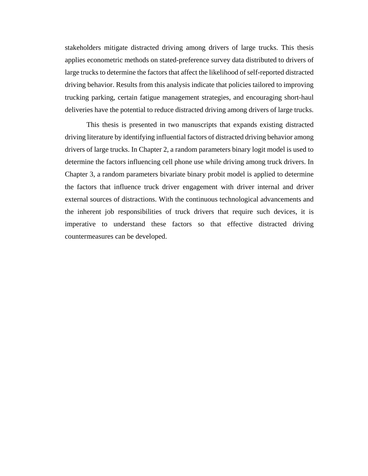stakeholders mitigate distracted driving among drivers of large trucks. This thesis applies econometric methods on stated-preference survey data distributed to drivers of large trucks to determine the factors that affect the likelihood of self-reported distracted driving behavior. Results from this analysis indicate that policies tailored to improving trucking parking, certain fatigue management strategies, and encouraging short-haul deliveries have the potential to reduce distracted driving among drivers of large trucks.

This thesis is presented in two manuscripts that expands existing distracted driving literature by identifying influential factors of distracted driving behavior among drivers of large trucks. In Chapter 2, a random parameters binary logit model is used to determine the factors influencing cell phone use while driving among truck drivers. In Chapter 3, a random parameters bivariate binary probit model is applied to determine the factors that influence truck driver engagement with driver internal and driver external sources of distractions. With the continuous technological advancements and the inherent job responsibilities of truck drivers that require such devices, it is imperative to understand these factors so that effective distracted driving countermeasures can be developed.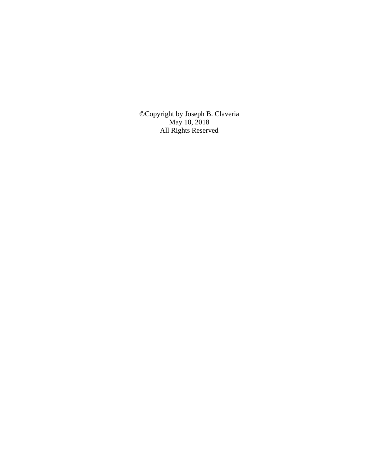©Copyright by Joseph B. Claveria May 10, 2018 All Rights Reserved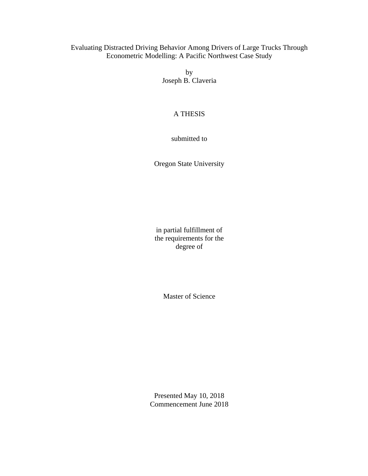### Evaluating Distracted Driving Behavior Among Drivers of Large Trucks Through Econometric Modelling: A Pacific Northwest Case Study

by Joseph B. Claveria

### A THESIS

submitted to

Oregon State University

in partial fulfillment of the requirements for the degree of

Master of Science

Presented May 10, 2018 Commencement June 2018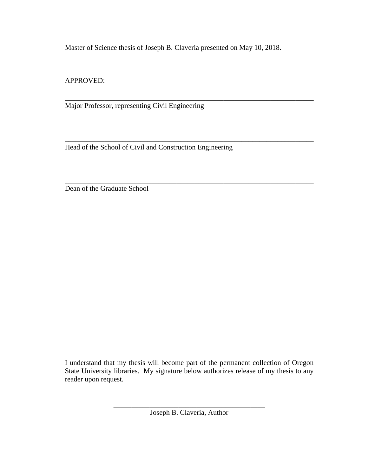Master of Science thesis of Joseph B. Claveria presented on May 10, 2018.

\_\_\_\_\_\_\_\_\_\_\_\_\_\_\_\_\_\_\_\_\_\_\_\_\_\_\_\_\_\_\_\_\_\_\_\_\_\_\_\_\_\_\_\_\_\_\_\_\_\_\_\_\_\_\_\_\_\_\_\_\_\_\_\_\_\_\_\_\_

\_\_\_\_\_\_\_\_\_\_\_\_\_\_\_\_\_\_\_\_\_\_\_\_\_\_\_\_\_\_\_\_\_\_\_\_\_\_\_\_\_\_\_\_\_\_\_\_\_\_\_\_\_\_\_\_\_\_\_\_\_\_\_\_\_\_\_\_\_

\_\_\_\_\_\_\_\_\_\_\_\_\_\_\_\_\_\_\_\_\_\_\_\_\_\_\_\_\_\_\_\_\_\_\_\_\_\_\_\_\_\_\_\_\_\_\_\_\_\_\_\_\_\_\_\_\_\_\_\_\_\_\_\_\_\_\_\_\_

APPROVED:

Major Professor, representing Civil Engineering

Head of the School of Civil and Construction Engineering

Dean of the Graduate School

I understand that my thesis will become part of the permanent collection of Oregon State University libraries. My signature below authorizes release of my thesis to any reader upon request.

> \_\_\_\_\_\_\_\_\_\_\_\_\_\_\_\_\_\_\_\_\_\_\_\_\_\_\_\_\_\_\_\_\_\_\_\_\_\_\_\_\_\_ Joseph B. Claveria, Author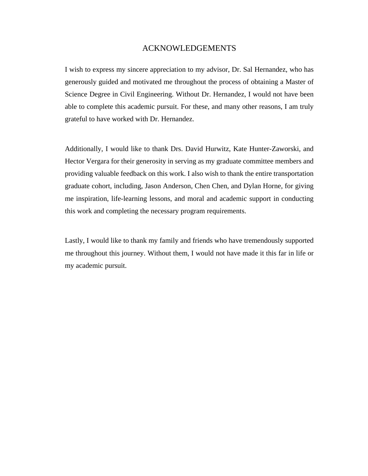#### ACKNOWLEDGEMENTS

I wish to express my sincere appreciation to my advisor, Dr. Sal Hernandez, who has generously guided and motivated me throughout the process of obtaining a Master of Science Degree in Civil Engineering. Without Dr. Hernandez, I would not have been able to complete this academic pursuit. For these, and many other reasons, I am truly grateful to have worked with Dr. Hernandez.

Additionally, I would like to thank Drs. David Hurwitz, Kate Hunter-Zaworski, and Hector Vergara for their generosity in serving as my graduate committee members and providing valuable feedback on this work. I also wish to thank the entire transportation graduate cohort, including, Jason Anderson, Chen Chen, and Dylan Horne, for giving me inspiration, life-learning lessons, and moral and academic support in conducting this work and completing the necessary program requirements.

Lastly, I would like to thank my family and friends who have tremendously supported me throughout this journey. Without them, I would not have made it this far in life or my academic pursuit.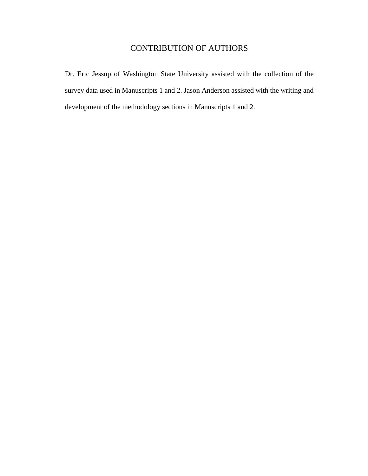## CONTRIBUTION OF AUTHORS

Dr. Eric Jessup of Washington State University assisted with the collection of the survey data used in Manuscripts 1 and 2. Jason Anderson assisted with the writing and development of the methodology sections in Manuscripts 1 and 2.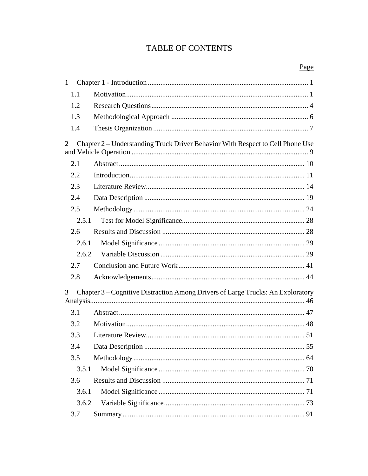## TABLE OF CONTENTS

Page

| 1     |                                                                                 |
|-------|---------------------------------------------------------------------------------|
| 1.1   |                                                                                 |
| 1.2   |                                                                                 |
| 1.3   |                                                                                 |
| 1.4   |                                                                                 |
| 2     | Chapter 2 – Understanding Truck Driver Behavior With Respect to Cell Phone Use  |
| 2.1   |                                                                                 |
| 2.2   |                                                                                 |
| 2.3   |                                                                                 |
| 2.4   |                                                                                 |
| 2.5   |                                                                                 |
| 2.5.1 |                                                                                 |
| 2.6   |                                                                                 |
| 2.6.1 |                                                                                 |
| 2.6.2 |                                                                                 |
| 2.7   |                                                                                 |
| 2.8   |                                                                                 |
| 3     | Chapter 3 – Cognitive Distraction Among Drivers of Large Trucks: An Exploratory |
| 3.1   |                                                                                 |
| 3.2   |                                                                                 |
| 3.3   |                                                                                 |
| 3.4   |                                                                                 |
| 3.5   |                                                                                 |
| 3.5.1 |                                                                                 |
| 3.6   |                                                                                 |
| 3.6.1 |                                                                                 |
| 3.6.2 |                                                                                 |
| 3.7   |                                                                                 |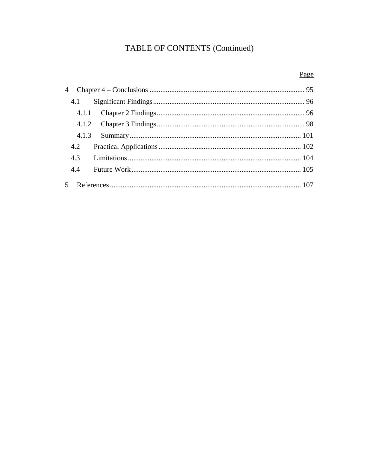# TABLE OF CONTENTS (Continued)

# Page

| 4.1   |  |
|-------|--|
| 4.1.1 |  |
|       |  |
| 4.1.3 |  |
| 4.2   |  |
| 4.3   |  |
| 4.4   |  |
|       |  |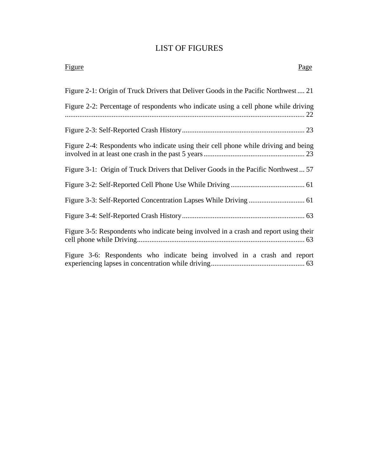## LIST OF FIGURES

| <b>Figure</b><br>Page                                                                 |
|---------------------------------------------------------------------------------------|
| Figure 2-1: Origin of Truck Drivers that Deliver Goods in the Pacific Northwest 21    |
| Figure 2-2: Percentage of respondents who indicate using a cell phone while driving   |
|                                                                                       |
| Figure 2-4: Respondents who indicate using their cell phone while driving and being   |
| Figure 3-1: Origin of Truck Drivers that Deliver Goods in the Pacific Northwest 57    |
|                                                                                       |
|                                                                                       |
|                                                                                       |
| Figure 3-5: Respondents who indicate being involved in a crash and report using their |
| Figure 3-6: Respondents who indicate being involved in a crash and report             |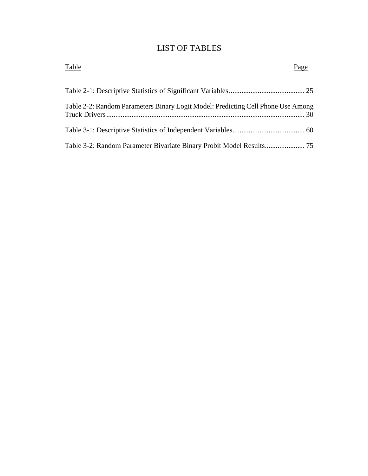## LIST OF TABLES

| Table                                                                            | Page |
|----------------------------------------------------------------------------------|------|
|                                                                                  |      |
| Table 2-2: Random Parameters Binary Logit Model: Predicting Cell Phone Use Among |      |
|                                                                                  |      |
|                                                                                  |      |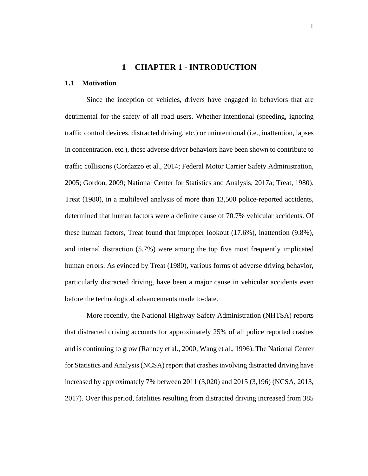### **1 CHAPTER 1 - INTRODUCTION**

#### <span id="page-11-1"></span><span id="page-11-0"></span>**1.1 Motivation**

Since the inception of vehicles, drivers have engaged in behaviors that are detrimental for the safety of all road users. Whether intentional (speeding, ignoring traffic control devices, distracted driving, etc.) or unintentional (i.e., inattention, lapses in concentration, etc.), these adverse driver behaviors have been shown to contribute to traffic collisions (Cordazzo et al., 2014; Federal Motor Carrier Safety Administration, 2005; Gordon, 2009; National Center for Statistics and Analysis, 2017a; Treat, 1980). Treat (1980), in a multilevel analysis of more than 13,500 police-reported accidents, determined that human factors were a definite cause of 70.7% vehicular accidents. Of these human factors, Treat found that improper lookout (17.6%), inattention (9.8%), and internal distraction (5.7%) were among the top five most frequently implicated human errors. As evinced by Treat (1980), various forms of adverse driving behavior, particularly distracted driving, have been a major cause in vehicular accidents even before the technological advancements made to-date.

More recently, the National Highway Safety Administration (NHTSA) reports that distracted driving accounts for approximately 25% of all police reported crashes and is continuing to grow (Ranney et al., 2000; Wang et al., 1996). The National Center for Statistics and Analysis (NCSA) report that crashes involving distracted driving have increased by approximately 7% between 2011 (3,020) and 2015 (3,196) (NCSA, 2013, 2017). Over this period, fatalities resulting from distracted driving increased from 385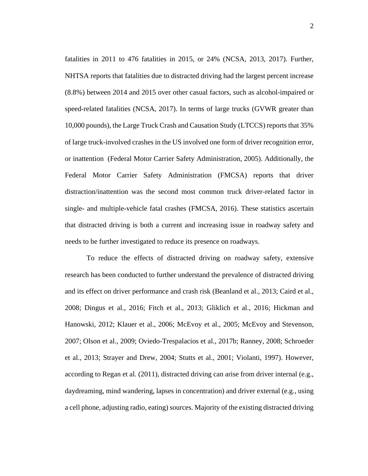fatalities in 2011 to 476 fatalities in 2015, or 24% (NCSA, 2013, 2017). Further, NHTSA reports that fatalities due to distracted driving had the largest percent increase (8.8%) between 2014 and 2015 over other casual factors, such as alcohol-impaired or speed-related fatalities (NCSA, 2017). In terms of large trucks (GVWR greater than 10,000 pounds), the Large Truck Crash and Causation Study (LTCCS) reports that 35% of large truck-involved crashes in the US involved one form of driver recognition error, or inattention (Federal Motor Carrier Safety Administration, 2005). Additionally, the Federal Motor Carrier Safety Administration (FMCSA) reports that driver distraction/inattention was the second most common truck driver-related factor in single- and multiple-vehicle fatal crashes (FMCSA, 2016). These statistics ascertain that distracted driving is both a current and increasing issue in roadway safety and needs to be further investigated to reduce its presence on roadways.

To reduce the effects of distracted driving on roadway safety, extensive research has been conducted to further understand the prevalence of distracted driving and its effect on driver performance and crash risk (Beanland et al., 2013; Caird et al., 2008; Dingus et al., 2016; Fitch et al., 2013; Gliklich et al., 2016; Hickman and Hanowski, 2012; Klauer et al., 2006; McEvoy et al., 2005; McEvoy and Stevenson, 2007; Olson et al., 2009; Oviedo-Trespalacios et al., 2017b; Ranney, 2008; Schroeder et al., 2013; Strayer and Drew, 2004; Stutts et al., 2001; Violanti, 1997). However, according to Regan et al. (2011), distracted driving can arise from driver internal (e.g., daydreaming, mind wandering, lapses in concentration) and driver external (e.g., using a cell phone, adjusting radio, eating) sources. Majority of the existing distracted driving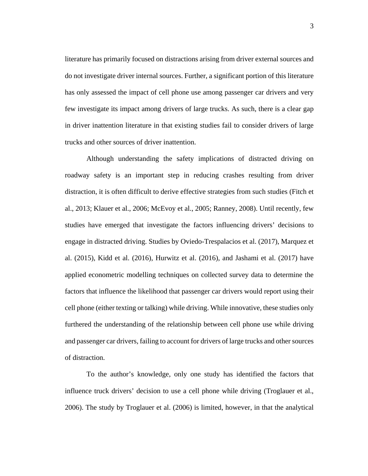literature has primarily focused on distractions arising from driver external sources and do not investigate driver internal sources. Further, a significant portion of this literature has only assessed the impact of cell phone use among passenger car drivers and very few investigate its impact among drivers of large trucks. As such, there is a clear gap in driver inattention literature in that existing studies fail to consider drivers of large trucks and other sources of driver inattention.

Although understanding the safety implications of distracted driving on roadway safety is an important step in reducing crashes resulting from driver distraction, it is often difficult to derive effective strategies from such studies (Fitch et al., 2013; Klauer et al., 2006; McEvoy et al., 2005; Ranney, 2008). Until recently, few studies have emerged that investigate the factors influencing drivers' decisions to engage in distracted driving. Studies by Oviedo-Trespalacios et al. (2017), Marquez et al. (2015), Kidd et al. (2016), Hurwitz et al. (2016), and Jashami et al. (2017) have applied econometric modelling techniques on collected survey data to determine the factors that influence the likelihood that passenger car drivers would report using their cell phone (either texting or talking) while driving. While innovative, these studies only furthered the understanding of the relationship between cell phone use while driving and passenger car drivers, failing to account for drivers of large trucks and other sources of distraction.

To the author's knowledge, only one study has identified the factors that influence truck drivers' decision to use a cell phone while driving (Troglauer et al., 2006). The study by Troglauer et al. (2006) is limited, however, in that the analytical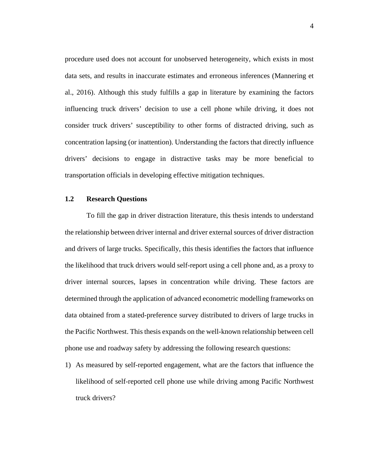procedure used does not account for unobserved heterogeneity, which exists in most data sets, and results in inaccurate estimates and erroneous inferences (Mannering et al., 2016). Although this study fulfills a gap in literature by examining the factors influencing truck drivers' decision to use a cell phone while driving, it does not consider truck drivers' susceptibility to other forms of distracted driving, such as concentration lapsing (or inattention). Understanding the factors that directly influence drivers' decisions to engage in distractive tasks may be more beneficial to transportation officials in developing effective mitigation techniques.

#### <span id="page-14-0"></span>**1.2 Research Questions**

To fill the gap in driver distraction literature, this thesis intends to understand the relationship between driver internal and driver external sources of driver distraction and drivers of large trucks. Specifically, this thesis identifies the factors that influence the likelihood that truck drivers would self-report using a cell phone and, as a proxy to driver internal sources, lapses in concentration while driving. These factors are determined through the application of advanced econometric modelling frameworks on data obtained from a stated-preference survey distributed to drivers of large trucks in the Pacific Northwest. This thesis expands on the well-known relationship between cell phone use and roadway safety by addressing the following research questions:

1) As measured by self-reported engagement, what are the factors that influence the likelihood of self-reported cell phone use while driving among Pacific Northwest truck drivers?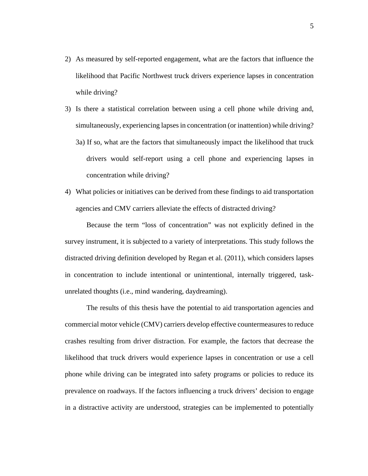- 2) As measured by self-reported engagement, what are the factors that influence the likelihood that Pacific Northwest truck drivers experience lapses in concentration while driving?
- 3) Is there a statistical correlation between using a cell phone while driving and, simultaneously, experiencing lapses in concentration (or inattention) while driving? 3a) If so, what are the factors that simultaneously impact the likelihood that truck drivers would self-report using a cell phone and experiencing lapses in concentration while driving?
- 4) What policies or initiatives can be derived from these findings to aid transportation agencies and CMV carriers alleviate the effects of distracted driving?

Because the term "loss of concentration" was not explicitly defined in the survey instrument, it is subjected to a variety of interpretations. This study follows the distracted driving definition developed by Regan et al. (2011), which considers lapses in concentration to include intentional or unintentional, internally triggered, taskunrelated thoughts (i.e., mind wandering, daydreaming).

The results of this thesis have the potential to aid transportation agencies and commercial motor vehicle (CMV) carriers develop effective countermeasures to reduce crashes resulting from driver distraction. For example, the factors that decrease the likelihood that truck drivers would experience lapses in concentration or use a cell phone while driving can be integrated into safety programs or policies to reduce its prevalence on roadways. If the factors influencing a truck drivers' decision to engage in a distractive activity are understood, strategies can be implemented to potentially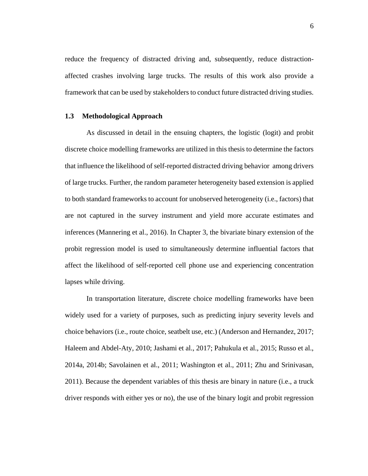reduce the frequency of distracted driving and, subsequently, reduce distractionaffected crashes involving large trucks. The results of this work also provide a framework that can be used by stakeholders to conduct future distracted driving studies.

#### <span id="page-16-0"></span>**1.3 Methodological Approach**

As discussed in detail in the ensuing chapters, the logistic (logit) and probit discrete choice modelling frameworks are utilized in this thesis to determine the factors that influence the likelihood of self-reported distracted driving behavior among drivers of large trucks. Further, the random parameter heterogeneity based extension is applied to both standard frameworks to account for unobserved heterogeneity (i.e., factors) that are not captured in the survey instrument and yield more accurate estimates and inferences (Mannering et al., 2016). In Chapter 3, the bivariate binary extension of the probit regression model is used to simultaneously determine influential factors that affect the likelihood of self-reported cell phone use and experiencing concentration lapses while driving.

In transportation literature, discrete choice modelling frameworks have been widely used for a variety of purposes, such as predicting injury severity levels and choice behaviors (i.e., route choice, seatbelt use, etc.) (Anderson and Hernandez, 2017; Haleem and Abdel-Aty, 2010; Jashami et al., 2017; Pahukula et al., 2015; Russo et al., 2014a, 2014b; Savolainen et al., 2011; Washington et al., 2011; Zhu and Srinivasan, 2011). Because the dependent variables of this thesis are binary in nature (i.e., a truck driver responds with either yes or no), the use of the binary logit and probit regression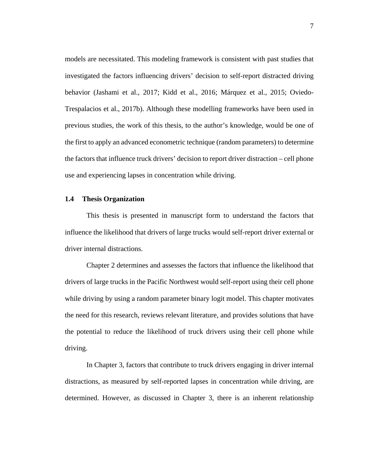models are necessitated. This modeling framework is consistent with past studies that investigated the factors influencing drivers' decision to self-report distracted driving behavior (Jashami et al., 2017; Kidd et al., 2016; Márquez et al., 2015; Oviedo-Trespalacios et al., 2017b). Although these modelling frameworks have been used in previous studies, the work of this thesis, to the author's knowledge, would be one of the first to apply an advanced econometric technique (random parameters) to determine the factors that influence truck drivers' decision to report driver distraction – cell phone use and experiencing lapses in concentration while driving.

#### <span id="page-17-0"></span>**1.4 Thesis Organization**

This thesis is presented in manuscript form to understand the factors that influence the likelihood that drivers of large trucks would self-report driver external or driver internal distractions.

Chapter 2 determines and assesses the factors that influence the likelihood that drivers of large trucks in the Pacific Northwest would self-report using their cell phone while driving by using a random parameter binary logit model. This chapter motivates the need for this research, reviews relevant literature, and provides solutions that have the potential to reduce the likelihood of truck drivers using their cell phone while driving.

In Chapter 3, factors that contribute to truck drivers engaging in driver internal distractions, as measured by self-reported lapses in concentration while driving, are determined. However, as discussed in Chapter 3, there is an inherent relationship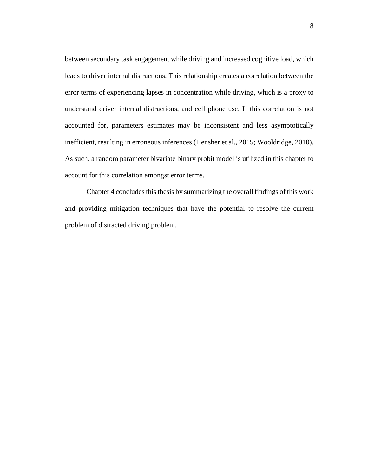between secondary task engagement while driving and increased cognitive load, which leads to driver internal distractions. This relationship creates a correlation between the error terms of experiencing lapses in concentration while driving, which is a proxy to understand driver internal distractions, and cell phone use. If this correlation is not accounted for, parameters estimates may be inconsistent and less asymptotically inefficient, resulting in erroneous inferences (Hensher et al., 2015; Wooldridge, 2010). As such, a random parameter bivariate binary probit model is utilized in this chapter to account for this correlation amongst error terms.

Chapter 4 concludes this thesis by summarizing the overall findings of this work and providing mitigation techniques that have the potential to resolve the current problem of distracted driving problem.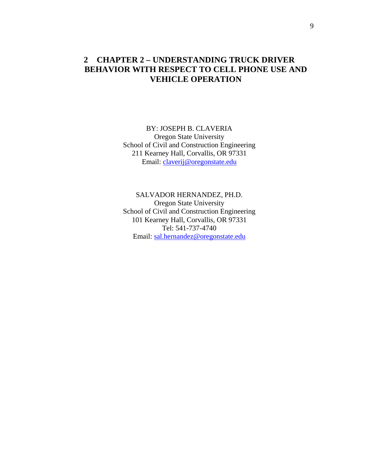### <span id="page-19-0"></span>**2 CHAPTER 2 – UNDERSTANDING TRUCK DRIVER BEHAVIOR WITH RESPECT TO CELL PHONE USE AND VEHICLE OPERATION**

BY: JOSEPH B. CLAVERIA Oregon State University School of Civil and Construction Engineering 211 Kearney Hall, Corvallis, OR 97331 Email: [claverij@oregonstate.edu](mailto:claverij@oregonstate.edu)

SALVADOR HERNANDEZ, PH.D. Oregon State University School of Civil and Construction Engineering 101 Kearney Hall, Corvallis, OR 97331 Tel: 541-737-4740 Email: [sal.hernandez@oregonstate.edu](mailto:sal.hernandez@oregonstate.edu)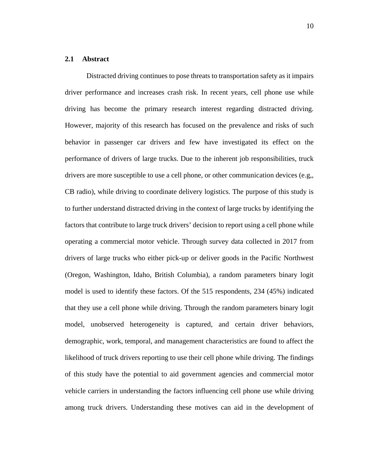#### <span id="page-20-0"></span>**2.1 Abstract**

Distracted driving continues to pose threats to transportation safety as it impairs driver performance and increases crash risk. In recent years, cell phone use while driving has become the primary research interest regarding distracted driving. However, majority of this research has focused on the prevalence and risks of such behavior in passenger car drivers and few have investigated its effect on the performance of drivers of large trucks. Due to the inherent job responsibilities, truck drivers are more susceptible to use a cell phone, or other communication devices (e.g,, CB radio), while driving to coordinate delivery logistics. The purpose of this study is to further understand distracted driving in the context of large trucks by identifying the factors that contribute to large truck drivers' decision to report using a cell phone while operating a commercial motor vehicle. Through survey data collected in 2017 from drivers of large trucks who either pick-up or deliver goods in the Pacific Northwest (Oregon, Washington, Idaho, British Columbia), a random parameters binary logit model is used to identify these factors. Of the 515 respondents, 234 (45%) indicated that they use a cell phone while driving. Through the random parameters binary logit model, unobserved heterogeneity is captured, and certain driver behaviors, demographic, work, temporal, and management characteristics are found to affect the likelihood of truck drivers reporting to use their cell phone while driving. The findings of this study have the potential to aid government agencies and commercial motor vehicle carriers in understanding the factors influencing cell phone use while driving among truck drivers. Understanding these motives can aid in the development of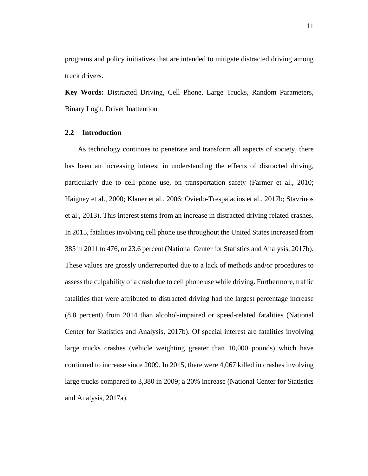programs and policy initiatives that are intended to mitigate distracted driving among truck drivers.

**Key Words:** Distracted Driving, Cell Phone, Large Trucks, Random Parameters, Binary Logit, Driver Inattention

#### <span id="page-21-0"></span>**2.2 Introduction**

As technology continues to penetrate and transform all aspects of society, there has been an increasing interest in understanding the effects of distracted driving, particularly due to cell phone use, on transportation safety (Farmer et al., 2010; Haigney et al., 2000; Klauer et al., 2006; Oviedo-Trespalacios et al., 2017b; Stavrinos et al., 2013). This interest stems from an increase in distracted driving related crashes. In 2015, fatalities involving cell phone use throughout the United States increased from 385 in 2011 to 476, or 23.6 percent (National Center for Statistics and Analysis, 2017b). These values are grossly underreported due to a lack of methods and/or procedures to assess the culpability of a crash due to cell phone use while driving. Furthermore, traffic fatalities that were attributed to distracted driving had the largest percentage increase (8.8 percent) from 2014 than alcohol-impaired or speed-related fatalities (National Center for Statistics and Analysis, 2017b). Of special interest are fatalities involving large trucks crashes (vehicle weighting greater than 10,000 pounds) which have continued to increase since 2009. In 2015, there were 4,067 killed in crashes involving large trucks compared to 3,380 in 2009; a 20% increase (National Center for Statistics and Analysis, 2017a).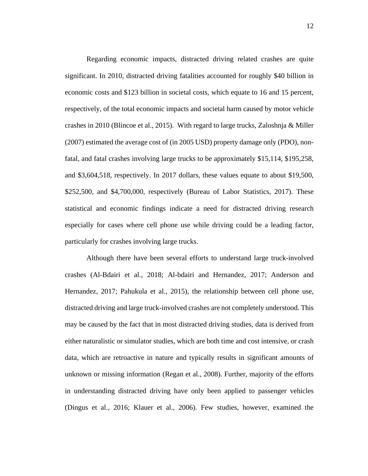Regarding economic impacts, distracted driving related crashes are quite significant. In 2010, distracted driving fatalities accounted for roughly \$40 billion in economic costs and \$123 billion in societal costs, which equate to 16 and 15 percent, respectively, of the total economic impacts and societal harm caused by motor vehicle crashes in 2010 (Blincoe et al., 2015). With regard to large trucks, Zaloshnja & Miller (2007) estimated the average cost of (in 2005 USD) property damage only (PDO), nonfatal, and fatal crashes involving large trucks to be approximately \$15,114, \$195,258, and \$3,604,518, respectively. In 2017 dollars, these values equate to about \$19,500, \$252,500, and \$4,700,000, respectively (Bureau of Labor Statistics, 2017). These statistical and economic findings indicate a need for distracted driving research especially for cases where cell phone use while driving could be a leading factor, particularly for crashes involving large trucks.

Although there have been several efforts to understand large truck-involved crashes (Al-Bdairi et al., 2018; Al-bdairi and Hernandez, 2017; Anderson and Hernandez, 2017; Pahukula et al., 2015), the relationship between cell phone use, distracted driving and large truck-involved crashes are not completely understood. This may be caused by the fact that in most distracted driving studies, data is derived from either naturalistic or simulator studies, which are both time and cost intensive, or crash data, which are retroactive in nature and typically results in significant amounts of unknown or missing information (Regan et al., 2008). Further, majority of the efforts in understanding distracted driving have only been applied to passenger vehicles (Dingus et al., 2016; Klauer et al., 2006). Few studies, however, examined the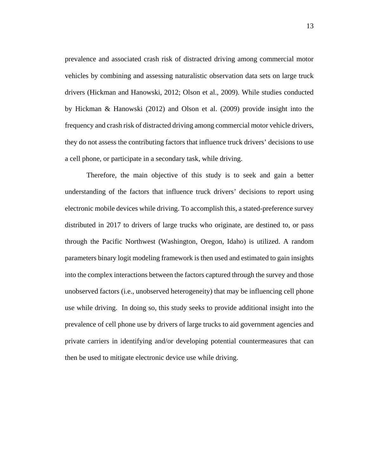prevalence and associated crash risk of distracted driving among commercial motor vehicles by combining and assessing naturalistic observation data sets on large truck drivers (Hickman and Hanowski, 2012; Olson et al., 2009). While studies conducted by Hickman & Hanowski (2012) and Olson et al. (2009) provide insight into the frequency and crash risk of distracted driving among commercial motor vehicle drivers, they do not assess the contributing factors that influence truck drivers' decisions to use a cell phone, or participate in a secondary task, while driving.

Therefore, the main objective of this study is to seek and gain a better understanding of the factors that influence truck drivers' decisions to report using electronic mobile devices while driving. To accomplish this, a stated-preference survey distributed in 2017 to drivers of large trucks who originate, are destined to, or pass through the Pacific Northwest (Washington, Oregon, Idaho) is utilized. A random parameters binary logit modeling framework is then used and estimated to gain insights into the complex interactions between the factors captured through the survey and those unobserved factors (i.e., unobserved heterogeneity) that may be influencing cell phone use while driving. In doing so, this study seeks to provide additional insight into the prevalence of cell phone use by drivers of large trucks to aid government agencies and private carriers in identifying and/or developing potential countermeasures that can then be used to mitigate electronic device use while driving.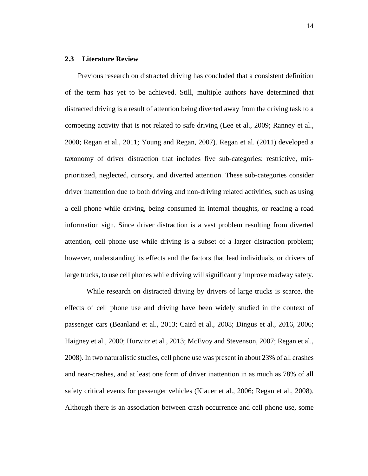#### <span id="page-24-0"></span>**2.3 Literature Review**

Previous research on distracted driving has concluded that a consistent definition of the term has yet to be achieved. Still, multiple authors have determined that distracted driving is a result of attention being diverted away from the driving task to a competing activity that is not related to safe driving (Lee et al., 2009; Ranney et al., 2000; Regan et al., 2011; Young and Regan, 2007). Regan et al. (2011) developed a taxonomy of driver distraction that includes five sub-categories: restrictive, misprioritized, neglected, cursory, and diverted attention. These sub-categories consider driver inattention due to both driving and non-driving related activities, such as using a cell phone while driving, being consumed in internal thoughts, or reading a road information sign. Since driver distraction is a vast problem resulting from diverted attention, cell phone use while driving is a subset of a larger distraction problem; however, understanding its effects and the factors that lead individuals, or drivers of large trucks, to use cell phones while driving will significantly improve roadway safety.

While research on distracted driving by drivers of large trucks is scarce, the effects of cell phone use and driving have been widely studied in the context of passenger cars (Beanland et al., 2013; Caird et al., 2008; Dingus et al., 2016, 2006; Haigney et al., 2000; Hurwitz et al., 2013; McEvoy and Stevenson, 2007; Regan et al., 2008). In two naturalistic studies, cell phone use was present in about 23% of all crashes and near-crashes, and at least one form of driver inattention in as much as 78% of all safety critical events for passenger vehicles (Klauer et al., 2006; Regan et al., 2008). Although there is an association between crash occurrence and cell phone use, some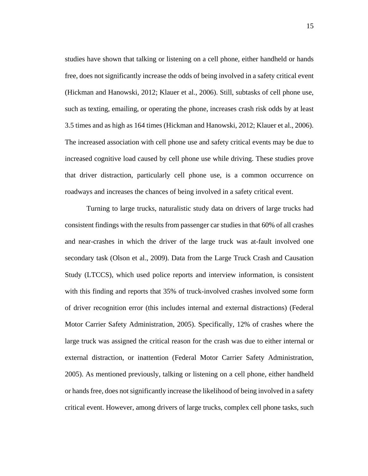studies have shown that talking or listening on a cell phone, either handheld or hands free, does not significantly increase the odds of being involved in a safety critical event (Hickman and Hanowski, 2012; Klauer et al., 2006). Still, subtasks of cell phone use, such as texting, emailing, or operating the phone, increases crash risk odds by at least 3.5 times and as high as 164 times (Hickman and Hanowski, 2012; Klauer et al., 2006). The increased association with cell phone use and safety critical events may be due to increased cognitive load caused by cell phone use while driving. These studies prove that driver distraction, particularly cell phone use, is a common occurrence on roadways and increases the chances of being involved in a safety critical event.

Turning to large trucks, naturalistic study data on drivers of large trucks had consistent findings with the results from passenger car studies in that 60% of all crashes and near-crashes in which the driver of the large truck was at-fault involved one secondary task (Olson et al., 2009). Data from the Large Truck Crash and Causation Study (LTCCS), which used police reports and interview information, is consistent with this finding and reports that 35% of truck-involved crashes involved some form of driver recognition error (this includes internal and external distractions) (Federal Motor Carrier Safety Administration, 2005). Specifically, 12% of crashes where the large truck was assigned the critical reason for the crash was due to either internal or external distraction, or inattention (Federal Motor Carrier Safety Administration, 2005). As mentioned previously, talking or listening on a cell phone, either handheld or hands free, does not significantly increase the likelihood of being involved in a safety critical event. However, among drivers of large trucks, complex cell phone tasks, such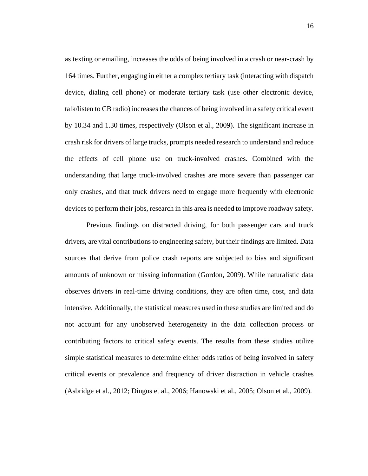as texting or emailing, increases the odds of being involved in a crash or near-crash by 164 times. Further, engaging in either a complex tertiary task (interacting with dispatch device, dialing cell phone) or moderate tertiary task (use other electronic device, talk/listen to CB radio) increases the chances of being involved in a safety critical event by 10.34 and 1.30 times, respectively (Olson et al., 2009). The significant increase in crash risk for drivers of large trucks, prompts needed research to understand and reduce the effects of cell phone use on truck-involved crashes. Combined with the understanding that large truck-involved crashes are more severe than passenger car only crashes, and that truck drivers need to engage more frequently with electronic devices to perform their jobs, research in this area is needed to improve roadway safety.

Previous findings on distracted driving, for both passenger cars and truck drivers, are vital contributions to engineering safety, but their findings are limited. Data sources that derive from police crash reports are subjected to bias and significant amounts of unknown or missing information (Gordon, 2009). While naturalistic data observes drivers in real-time driving conditions, they are often time, cost, and data intensive. Additionally, the statistical measures used in these studies are limited and do not account for any unobserved heterogeneity in the data collection process or contributing factors to critical safety events. The results from these studies utilize simple statistical measures to determine either odds ratios of being involved in safety critical events or prevalence and frequency of driver distraction in vehicle crashes (Asbridge et al., 2012; Dingus et al., 2006; Hanowski et al., 2005; Olson et al., 2009).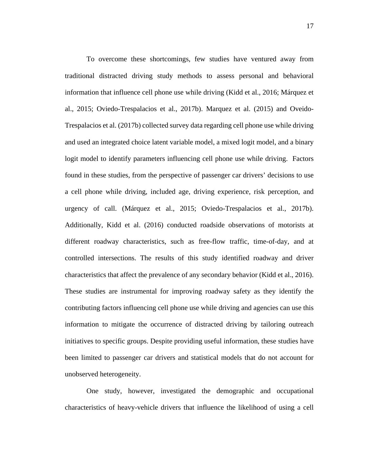To overcome these shortcomings, few studies have ventured away from traditional distracted driving study methods to assess personal and behavioral information that influence cell phone use while driving (Kidd et al., 2016; Márquez et al., 2015; Oviedo-Trespalacios et al., 2017b). Marquez et al. (2015) and Oveido-Trespalacios et al. (2017b) collected survey data regarding cell phone use while driving and used an integrated choice latent variable model, a mixed logit model, and a binary logit model to identify parameters influencing cell phone use while driving. Factors found in these studies, from the perspective of passenger car drivers' decisions to use a cell phone while driving, included age, driving experience, risk perception, and urgency of call. (Márquez et al., 2015; Oviedo-Trespalacios et al., 2017b). Additionally, Kidd et al. (2016) conducted roadside observations of motorists at different roadway characteristics, such as free-flow traffic, time-of-day, and at controlled intersections. The results of this study identified roadway and driver characteristics that affect the prevalence of any secondary behavior (Kidd et al., 2016). These studies are instrumental for improving roadway safety as they identify the contributing factors influencing cell phone use while driving and agencies can use this information to mitigate the occurrence of distracted driving by tailoring outreach initiatives to specific groups. Despite providing useful information, these studies have been limited to passenger car drivers and statistical models that do not account for unobserved heterogeneity.

One study, however, investigated the demographic and occupational characteristics of heavy-vehicle drivers that influence the likelihood of using a cell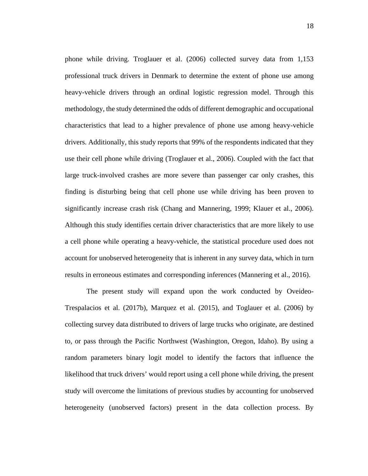phone while driving. Troglauer et al. (2006) collected survey data from 1,153 professional truck drivers in Denmark to determine the extent of phone use among heavy-vehicle drivers through an ordinal logistic regression model. Through this methodology, the study determined the odds of different demographic and occupational characteristics that lead to a higher prevalence of phone use among heavy-vehicle drivers. Additionally, this study reports that 99% of the respondents indicated that they use their cell phone while driving (Troglauer et al., 2006). Coupled with the fact that large truck-involved crashes are more severe than passenger car only crashes, this finding is disturbing being that cell phone use while driving has been proven to significantly increase crash risk (Chang and Mannering, 1999; Klauer et al., 2006). Although this study identifies certain driver characteristics that are more likely to use a cell phone while operating a heavy-vehicle, the statistical procedure used does not account for unobserved heterogeneity that is inherent in any survey data, which in turn results in erroneous estimates and corresponding inferences (Mannering et al., 2016).

The present study will expand upon the work conducted by Oveideo-Trespalacios et al. (2017b), Marquez et al. (2015), and Toglauer et al. (2006) by collecting survey data distributed to drivers of large trucks who originate, are destined to, or pass through the Pacific Northwest (Washington, Oregon, Idaho). By using a random parameters binary logit model to identify the factors that influence the likelihood that truck drivers' would report using a cell phone while driving, the present study will overcome the limitations of previous studies by accounting for unobserved heterogeneity (unobserved factors) present in the data collection process. By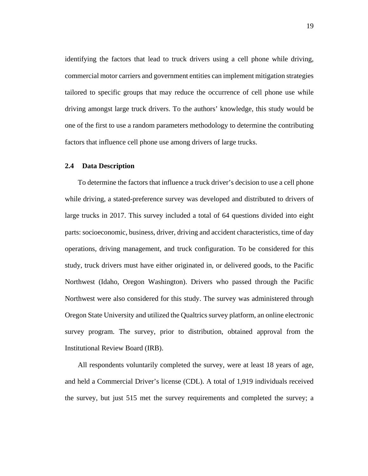identifying the factors that lead to truck drivers using a cell phone while driving, commercial motor carriers and government entities can implement mitigation strategies tailored to specific groups that may reduce the occurrence of cell phone use while driving amongst large truck drivers. To the authors' knowledge, this study would be one of the first to use a random parameters methodology to determine the contributing factors that influence cell phone use among drivers of large trucks.

#### <span id="page-29-0"></span>**2.4 Data Description**

To determine the factors that influence a truck driver's decision to use a cell phone while driving, a stated-preference survey was developed and distributed to drivers of large trucks in 2017. This survey included a total of 64 questions divided into eight parts: socioeconomic, business, driver, driving and accident characteristics, time of day operations, driving management, and truck configuration. To be considered for this study, truck drivers must have either originated in, or delivered goods, to the Pacific Northwest (Idaho, Oregon Washington). Drivers who passed through the Pacific Northwest were also considered for this study. The survey was administered through Oregon State University and utilized the Qualtrics survey platform, an online electronic survey program. The survey, prior to distribution, obtained approval from the Institutional Review Board (IRB).

All respondents voluntarily completed the survey, were at least 18 years of age, and held a Commercial Driver's license (CDL). A total of 1,919 individuals received the survey, but just 515 met the survey requirements and completed the survey; a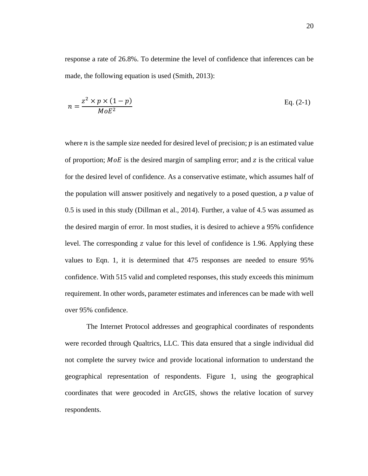response a rate of 26.8%. To determine the level of confidence that inferences can be made, the following equation is used (Smith, 2013):

$$
n = \frac{z^2 \times p \times (1 - p)}{MoE^2}
$$
 Eq. (2-1)

where  $n$  is the sample size needed for desired level of precision;  $p$  is an estimated value of proportion;  $MoE$  is the desired margin of sampling error; and z is the critical value for the desired level of confidence. As a conservative estimate, which assumes half of the population will answer positively and negatively to a posed question, a  $p$  value of 0.5 is used in this study (Dillman et al., 2014). Further, a value of 4.5 was assumed as the desired margin of error. In most studies, it is desired to achieve a 95% confidence level. The corresponding z value for this level of confidence is 1.96. Applying these values to Eqn. 1, it is determined that 475 responses are needed to ensure 95% confidence. With 515 valid and completed responses, this study exceeds this minimum requirement. In other words, parameter estimates and inferences can be made with well over 95% confidence.

The Internet Protocol addresses and geographical coordinates of respondents were recorded through Qualtrics, LLC. This data ensured that a single individual did not complete the survey twice and provide locational information to understand the geographical representation of respondents. Figure 1, using the geographical coordinates that were geocoded in ArcGIS, shows the relative location of survey respondents.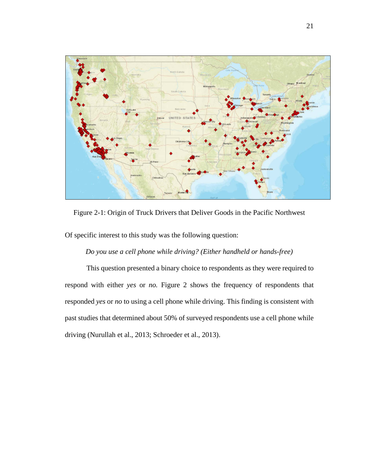

<span id="page-31-0"></span>Figure 2-1: Origin of Truck Drivers that Deliver Goods in the Pacific Northwest

Of specific interest to this study was the following question:

### *Do you use a cell phone while driving? (Either handheld or hands-free)*

This question presented a binary choice to respondents as they were required to respond with either *yes* or *no*. Figure 2 shows the frequency of respondents that responded *yes* or *no* to using a cell phone while driving. This finding is consistent with past studies that determined about 50% of surveyed respondents use a cell phone while driving (Nurullah et al., 2013; Schroeder et al., 2013).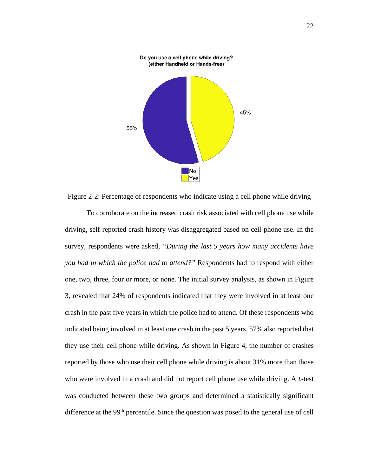

<span id="page-32-0"></span>Figure 2-2: Percentage of respondents who indicate using a cell phone while driving

To corroborate on the increased crash risk associated with cell phone use while driving, self-reported crash history was disaggregated based on cell-phone use. In the survey, respondents were asked, *"During the last 5 years how many accidents have you had in which the police had to attend?"* Respondents had to respond with either one, two, three, four or more, or none. The initial survey analysis, as shown in Figure 3, revealed that 24% of respondents indicated that they were involved in at least one crash in the past five years in which the police had to attend. Of these respondents who indicated being involved in at least one crash in the past 5 years, 57% also reported that they use their cell phone while driving. As shown in Figure 4, the number of crashes reported by those who use their cell phone while driving is about 31% more than those who were involved in a crash and did not report cell phone use while driving. A  $t$ -test was conducted between these two groups and determined a statistically significant difference at the 99<sup>th</sup> percentile. Since the question was posed to the general use of cell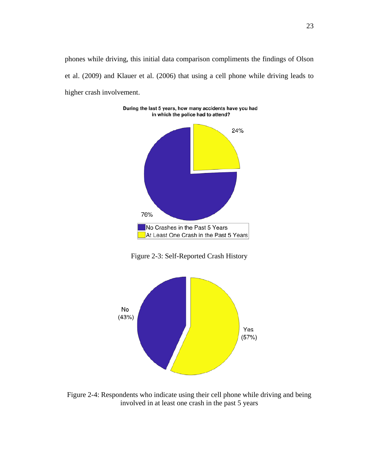phones while driving, this initial data comparison compliments the findings of Olson et al. (2009) and Klauer et al. (2006) that using a cell phone while driving leads to higher crash involvement.

During the last 5 years, how many accidents have you had



Figure 2-3: Self-Reported Crash History

<span id="page-33-0"></span>

<span id="page-33-1"></span>Figure 2-4: Respondents who indicate using their cell phone while driving and being involved in at least one crash in the past 5 years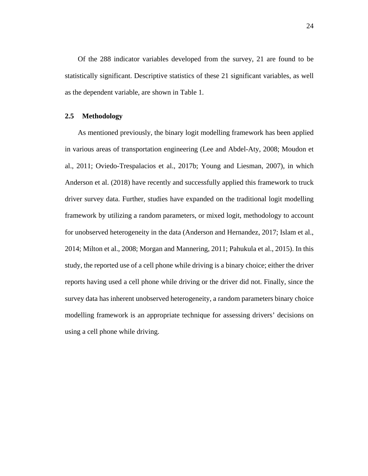Of the 288 indicator variables developed from the survey, 21 are found to be statistically significant. Descriptive statistics of these 21 significant variables, as well as the dependent variable, are shown in Table 1.

#### <span id="page-34-0"></span>**2.5 Methodology**

As mentioned previously, the binary logit modelling framework has been applied in various areas of transportation engineering (Lee and Abdel-Aty, 2008; Moudon et al., 2011; Oviedo-Trespalacios et al., 2017b; Young and Liesman, 2007), in which Anderson et al. (2018) have recently and successfully applied this framework to truck driver survey data. Further, studies have expanded on the traditional logit modelling framework by utilizing a random parameters, or mixed logit, methodology to account for unobserved heterogeneity in the data (Anderson and Hernandez, 2017; Islam et al., 2014; Milton et al., 2008; Morgan and Mannering, 2011; Pahukula et al., 2015). In this study, the reported use of a cell phone while driving is a binary choice; either the driver reports having used a cell phone while driving or the driver did not. Finally, since the survey data has inherent unobserved heterogeneity, a random parameters binary choice modelling framework is an appropriate technique for assessing drivers' decisions on using a cell phone while driving.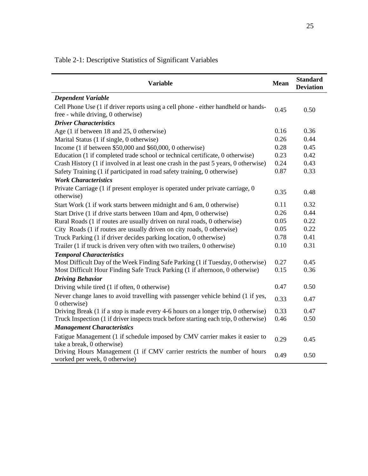| <b>Variable</b>                                                                                           | <b>Mean</b> | <b>Standard</b><br><b>Deviation</b> |
|-----------------------------------------------------------------------------------------------------------|-------------|-------------------------------------|
| <b>Dependent Variable</b>                                                                                 |             |                                     |
| Cell Phone Use (1 if driver reports using a cell phone - either handheld or hands-                        | 0.45        | 0.50                                |
| free - while driving, 0 otherwise)                                                                        |             |                                     |
| <b>Driver Characteristics</b>                                                                             |             |                                     |
| Age (1 if between 18 and 25, 0 otherwise)                                                                 | 0.16        | 0.36                                |
| Marital Status (1 if single, 0 otherwise)                                                                 | 0.26        | 0.44                                |
| Income $(1 \text{ if between } $50,000 \text{ and } $60,000, 0 \text{ otherwise})$                        | 0.28        | 0.45                                |
| Education (1 if completed trade school or technical certificate, 0 otherwise)                             | 0.23        | 0.42                                |
| Crash History (1 if involved in at least one crash in the past 5 years, 0 otherwise)                      | 0.24        | 0.43                                |
| Safety Training (1 if participated in road safety training, 0 otherwise)                                  | 0.87        | 0.33                                |
| <b>Work Characteristics</b>                                                                               |             |                                     |
| Private Carriage (1 if present employer is operated under private carriage, 0<br>otherwise)               | 0.35        | 0.48                                |
| Start Work (1 if work starts between midnight and 6 am, 0 otherwise)                                      | 0.11        | 0.32                                |
| Start Drive (1 if drive starts between 10am and 4pm, 0 otherwise)                                         | 0.26        | 0.44                                |
| Rural Roads (1 if routes are usually driven on rural roads, 0 otherwise)                                  | 0.05        | 0.22                                |
| City Roads (1 if routes are usually driven on city roads, 0 otherwise)                                    | 0.05        | 0.22                                |
| Truck Parking (1 if driver decides parking location, 0 otherwise)                                         |             | 0.41                                |
| Trailer (1 if truck is driven very often with two trailers, 0 otherwise)                                  |             | 0.31                                |
| <b>Temporal Characteristics</b>                                                                           |             |                                     |
| Most Difficult Day of the Week Finding Safe Parking (1 if Tuesday, 0 otherwise)                           | 0.27        | 0.45                                |
| Most Difficult Hour Finding Safe Truck Parking (1 if afternoon, 0 otherwise)                              | 0.15        | 0.36                                |
| <b>Driving Behavior</b>                                                                                   |             |                                     |
| Driving while tired (1 if often, 0 otherwise)                                                             | 0.47        | 0.50                                |
| Never change lanes to avoid travelling with passenger vehicle behind (1 if yes,                           | 0.33        | 0.47                                |
| 0 otherwise)                                                                                              |             |                                     |
| Driving Break (1 if a stop is made every 4-6 hours on a longer trip, 0 otherwise)                         | 0.33        | 0.47                                |
| Truck Inspection (1 if driver inspects truck before starting each trip, 0 otherwise)                      | 0.46        | 0.50                                |
| <b>Management Characteristics</b>                                                                         |             |                                     |
| Fatigue Management (1 if schedule imposed by CMV carrier makes it easier to                               | 0.29        | 0.45                                |
| take a break, 0 otherwise)                                                                                |             |                                     |
| Driving Hours Management (1 if CMV carrier restricts the number of hours<br>worked per week, 0 otherwise) | 0.49        | 0.50                                |

<span id="page-35-0"></span>Table 2-1: Descriptive Statistics of Significant Variables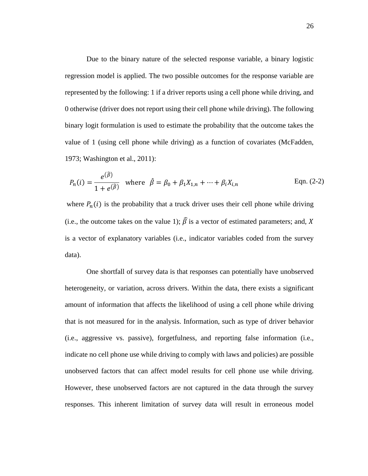Due to the binary nature of the selected response variable, a binary logistic regression model is applied. The two possible outcomes for the response variable are represented by the following: 1 if a driver reports using a cell phone while driving, and 0 otherwise (driver does not report using their cell phone while driving). The following binary logit formulation is used to estimate the probability that the outcome takes the value of 1 (using cell phone while driving) as a function of covariates (McFadden, 1973; Washington et al., 2011):

$$
P_n(i) = \frac{e^{(\hat{\beta})}}{1 + e^{(\hat{\beta})}}
$$
 where  $\hat{\beta} = \beta_0 + \beta_1 X_{1,n} + \dots + \beta_i X_{i,n}$  Eqn. (2-2)

where  $P_n(i)$  is the probability that a truck driver uses their cell phone while driving (i.e., the outcome takes on the value 1);  $\hat{\beta}$  is a vector of estimated parameters; and, X is a vector of explanatory variables (i.e., indicator variables coded from the survey data).

One shortfall of survey data is that responses can potentially have unobserved heterogeneity, or variation, across drivers. Within the data, there exists a significant amount of information that affects the likelihood of using a cell phone while driving that is not measured for in the analysis. Information, such as type of driver behavior (i.e., aggressive vs. passive), forgetfulness, and reporting false information (i.e., indicate no cell phone use while driving to comply with laws and policies) are possible unobserved factors that can affect model results for cell phone use while driving. However, these unobserved factors are not captured in the data through the survey responses. This inherent limitation of survey data will result in erroneous model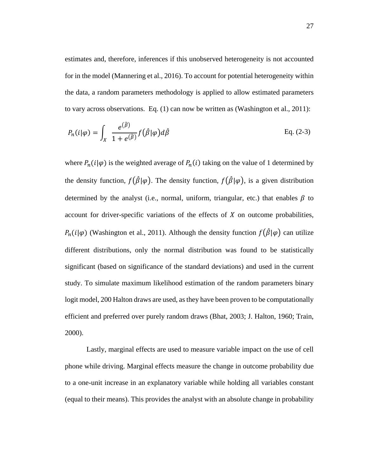estimates and, therefore, inferences if this unobserved heterogeneity is not accounted for in the model (Mannering et al., 2016). To account for potential heterogeneity within the data, a random parameters methodology is applied to allow estimated parameters to vary across observations. Eq. (1) can now be written as (Washington et al., 2011):

$$
P_n(i|\varphi) = \int_X \frac{e^{(\hat{\beta})}}{1 + e^{(\hat{\beta})}} f(\hat{\beta}|\varphi) d\hat{\beta}
$$
 Eq. (2-3)

where  $P_n(i|\varphi)$  is the weighted average of  $P_n(i)$  taking on the value of 1 determined by the density function,  $f(\hat{\beta}|\varphi)$ . The density function,  $f(\hat{\beta}|\varphi)$ , is a given distribution determined by the analyst (i.e., normal, uniform, triangular, etc.) that enables  $\beta$  to account for driver-specific variations of the effects of  $X$  on outcome probabilities,  $P_n(i|\varphi)$  (Washington et al., 2011). Although the density function  $f(\hat{\beta}|\varphi)$  can utilize different distributions, only the normal distribution was found to be statistically significant (based on significance of the standard deviations) and used in the current study. To simulate maximum likelihood estimation of the random parameters binary logit model, 200 Halton draws are used, as they have been proven to be computationally efficient and preferred over purely random draws (Bhat, 2003; J. Halton, 1960; Train, 2000).

Lastly, marginal effects are used to measure variable impact on the use of cell phone while driving. Marginal effects measure the change in outcome probability due to a one-unit increase in an explanatory variable while holding all variables constant (equal to their means). This provides the analyst with an absolute change in probability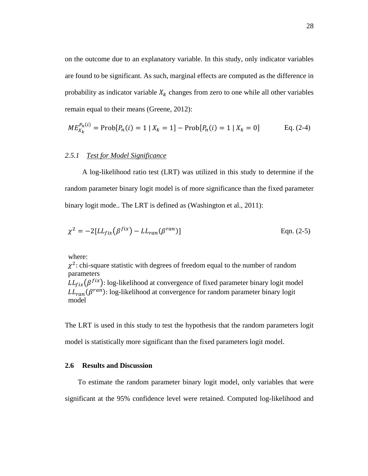on the outcome due to an explanatory variable. In this study, only indicator variables are found to be significant. As such, marginal effects are computed as the difference in probability as indicator variable  $X_k$  changes from zero to one while all other variables remain equal to their means (Greene, 2012):

$$
ME_{X_k}^{P_n(i)} = \text{Prob}[P_n(i) = 1 \mid X_k = 1] - \text{Prob}[P_n(i) = 1 \mid X_k = 0] \quad \text{Eq. (2-4)}
$$

## *2.5.1 Test for Model Significance*

A log-likelihood ratio test (LRT) was utilized in this study to determine if the random parameter binary logit model is of more significance than the fixed parameter binary logit mode.. The LRT is defined as (Washington et al., 2011):

$$
\chi^2 = -2[LL_{fix}(\beta^{fix}) - LL_{ran}(\beta^{ran})]
$$
 Eqn. (2-5)

where:

 $\chi^2$ : chi-square statistic with degrees of freedom equal to the number of random parameters  $LL_{fix}(\beta^{fix})$ : log-likelihood at convergence of fixed parameter binary logit model  $LL_{ran}(\beta^{ran})$ : log-likelihood at convergence for random parameter binary logit model

The LRT is used in this study to test the hypothesis that the random parameters logit model is statistically more significant than the fixed parameters logit model.

## **2.6 Results and Discussion**

To estimate the random parameter binary logit model, only variables that were significant at the 95% confidence level were retained. Computed log-likelihood and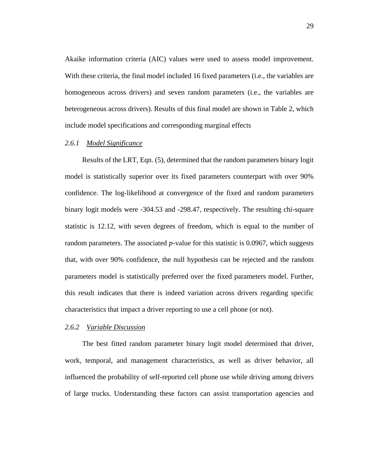Akaike information criteria (AIC) values were used to assess model improvement. With these criteria, the final model included 16 fixed parameters (i.e., the variables are homogeneous across drivers) and seven random parameters (i.e., the variables are heterogeneous across drivers). Results of this final model are shown in Table 2, which include model specifications and corresponding marginal effects

## *2.6.1 Model Significance*

Results of the LRT, Eqn. (5), determined that the random parameters binary logit model is statistically superior over its fixed parameters counterpart with over 90% confidence. The log-likelihood at convergence of the fixed and random parameters binary logit models were -304.53 and -298.47, respectively. The resulting chi-square statistic is 12.12, with seven degrees of freedom, which is equal to the number of random parameters. The associated  $p$ -value for this statistic is 0.0967, which suggests that, with over 90% confidence, the null hypothesis can be rejected and the random parameters model is statistically preferred over the fixed parameters model. Further, this result indicates that there is indeed variation across drivers regarding specific characteristics that impact a driver reporting to use a cell phone (or not).

## *2.6.2 Variable Discussion*

The best fitted random parameter binary logit model determined that driver, work, temporal, and management characteristics, as well as driver behavior, all influenced the probability of self-reported cell phone use while driving among drivers of large trucks. Understanding these factors can assist transportation agencies and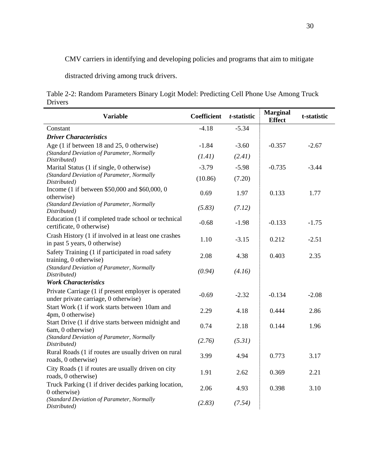CMV carriers in identifying and developing policies and programs that aim to mitigate

distracted driving among truck drivers.

Table 2-2: Random Parameters Binary Logit Model: Predicting Cell Phone Use Among Truck Drivers

| <b>Variable</b>                                                                             | <b>Coefficient</b> | t-statistic | <b>Marginal</b><br><b>Effect</b> | t-statistic |
|---------------------------------------------------------------------------------------------|--------------------|-------------|----------------------------------|-------------|
| Constant                                                                                    | $-4.18$            | $-5.34$     |                                  |             |
| <b>Driver Characteristics</b>                                                               |                    |             |                                  |             |
| Age (1 if between 18 and 25, 0 otherwise)                                                   | $-1.84$            | $-3.60$     | $-0.357$                         | $-2.67$     |
| (Standard Deviation of Parameter, Normally                                                  | (1.41)             | (2.41)      |                                  |             |
| Distributed)                                                                                |                    |             |                                  |             |
| Marital Status (1 if single, 0 otherwise)<br>(Standard Deviation of Parameter, Normally     | $-3.79$            | $-5.98$     | $-0.735$                         | $-3.44$     |
| Distributed)                                                                                | (10.86)            | (7.20)      |                                  |             |
| Income (1 if between \$50,000 and \$60,000, 0<br>otherwise)                                 | 0.69               | 1.97        | 0.133                            | 1.77        |
| (Standard Deviation of Parameter, Normally<br>Distributed)                                  | (5.83)             | (7.12)      |                                  |             |
| Education (1 if completed trade school or technical<br>certificate, 0 otherwise)            | $-0.68$            | $-1.98$     | $-0.133$                         | $-1.75$     |
| Crash History (1 if involved in at least one crashes<br>in past 5 years, 0 otherwise)       | 1.10               | $-3.15$     | 0.212                            | $-2.51$     |
| Safety Training (1 if participated in road safety<br>training, 0 otherwise)                 | 2.08               | 4.38        | 0.403                            | 2.35        |
| (Standard Deviation of Parameter, Normally<br>Distributed)                                  | (0.94)             | (4.16)      |                                  |             |
| <b>Work Characteristics</b>                                                                 |                    |             |                                  |             |
| Private Carriage (1 if present employer is operated<br>under private carriage, 0 otherwise) | $-0.69$            | $-2.32$     | $-0.134$                         | $-2.08$     |
| Start Work (1 if work starts between 10am and<br>4pm, 0 otherwise)                          | 2.29               | 4.18        | 0.444                            | 2.86        |
| Start Drive (1 if drive starts between midnight and<br>6am, 0 otherwise)                    | 0.74               | 2.18        | 0.144                            | 1.96        |
| (Standard Deviation of Parameter, Normally<br>Distributed)                                  | (2.76)             | (5.31)      |                                  |             |
| Rural Roads (1 if routes are usually driven on rural<br>roads, 0 otherwise)                 | 3.99               | 4.94        | 0.773                            | 3.17        |
| City Roads (1 if routes are usually driven on city<br>roads, 0 otherwise)                   | 1.91               | 2.62        | 0.369                            | 2.21        |
| Truck Parking (1 if driver decides parking location,<br>0 otherwise)                        | 2.06               | 4.93        | 0.398                            | 3.10        |
| (Standard Deviation of Parameter, Normally<br>Distributed)                                  | (2.83)             | (7.54)      |                                  |             |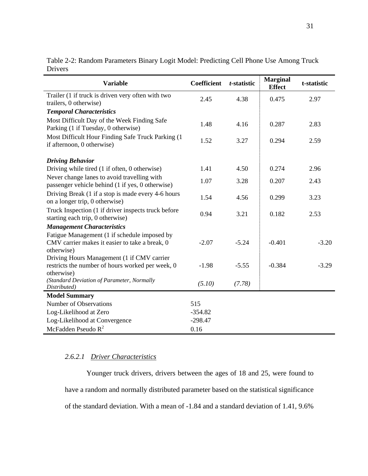| <b>Variable</b>                                                                                              | <b>Coefficient</b> | t-statistic | <b>Marginal</b><br><b>Effect</b> | t-statistic |
|--------------------------------------------------------------------------------------------------------------|--------------------|-------------|----------------------------------|-------------|
| Trailer (1 if truck is driven very often with two<br>trailers, 0 otherwise)                                  | 2.45               | 4.38        | 0.475                            | 2.97        |
| <b>Temporal Characteristics</b>                                                                              |                    |             |                                  |             |
| Most Difficult Day of the Week Finding Safe<br>Parking (1 if Tuesday, 0 otherwise)                           | 1.48               | 4.16        | 0.287                            | 2.83        |
| Most Difficult Hour Finding Safe Truck Parking (1)<br>if afternoon, 0 otherwise)                             | 1.52               | 3.27        | 0.294                            | 2.59        |
| <b>Driving Behavior</b>                                                                                      |                    |             |                                  |             |
| Driving while tired (1 if often, 0 otherwise)                                                                | 1.41               | 4.50        | 0.274                            | 2.96        |
| Never change lanes to avoid travelling with<br>passenger vehicle behind (1 if yes, 0 otherwise)              | 1.07               | 3.28        | 0.207                            | 2.43        |
| Driving Break (1 if a stop is made every 4-6 hours<br>on a longer trip, 0 otherwise)                         | 1.54               | 4.56        | 0.299                            | 3.23        |
| Truck Inspection (1 if driver inspects truck before<br>starting each trip, 0 otherwise)                      | 0.94               | 3.21        | 0.182                            | 2.53        |
| <b>Management Characteristics</b>                                                                            |                    |             |                                  |             |
| Fatigue Management (1 if schedule imposed by<br>CMV carrier makes it easier to take a break, 0<br>otherwise) | $-2.07$            | $-5.24$     | $-0.401$                         | $-3.20$     |
| Driving Hours Management (1 if CMV carrier<br>restricts the number of hours worked per week, 0<br>otherwise) | $-1.98$            | $-5.55$     | $-0.384$                         | $-3.29$     |
| (Standard Deviation of Parameter, Normally<br>Distributed)                                                   | (5.10)             | (7.78)      |                                  |             |
| <b>Model Summary</b>                                                                                         |                    |             |                                  |             |
| Number of Observations                                                                                       | 515                |             |                                  |             |
| Log-Likelihood at Zero                                                                                       | $-354.82$          |             |                                  |             |
| Log-Likelihood at Convergence                                                                                | $-298.47$          |             |                                  |             |
| McFadden Pseudo $R^2$                                                                                        | 0.16               |             |                                  |             |

Table 2-2: Random Parameters Binary Logit Model: Predicting Cell Phone Use Among Truck Drivers

## *2.6.2.1 Driver Characteristics*

Younger truck drivers, drivers between the ages of 18 and 25, were found to have a random and normally distributed parameter based on the statistical significance of the standard deviation. With a mean of -1.84 and a standard deviation of 1.41, 9.6%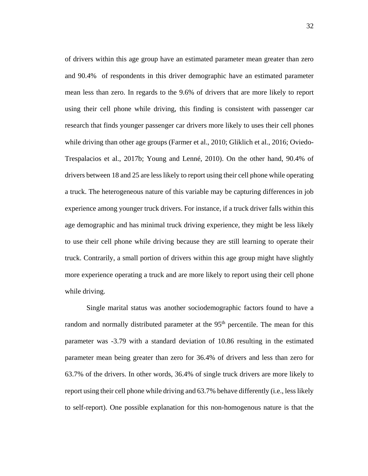of drivers within this age group have an estimated parameter mean greater than zero and 90.4% of respondents in this driver demographic have an estimated parameter mean less than zero. In regards to the 9.6% of drivers that are more likely to report using their cell phone while driving, this finding is consistent with passenger car research that finds younger passenger car drivers more likely to uses their cell phones while driving than other age groups (Farmer et al., 2010; Gliklich et al., 2016; Oviedo-Trespalacios et al., 2017b; Young and Lenné, 2010). On the other hand, 90.4% of drivers between 18 and 25 are less likely to report using their cell phone while operating a truck. The heterogeneous nature of this variable may be capturing differences in job experience among younger truck drivers. For instance, if a truck driver falls within this age demographic and has minimal truck driving experience, they might be less likely to use their cell phone while driving because they are still learning to operate their truck. Contrarily, a small portion of drivers within this age group might have slightly more experience operating a truck and are more likely to report using their cell phone while driving.

Single marital status was another sociodemographic factors found to have a random and normally distributed parameter at the 95<sup>th</sup> percentile. The mean for this parameter was -3.79 with a standard deviation of 10.86 resulting in the estimated parameter mean being greater than zero for 36.4% of drivers and less than zero for 63.7% of the drivers. In other words, 36.4% of single truck drivers are more likely to report using their cell phone while driving and 63.7% behave differently (i.e., less likely to self-report). One possible explanation for this non-homogenous nature is that the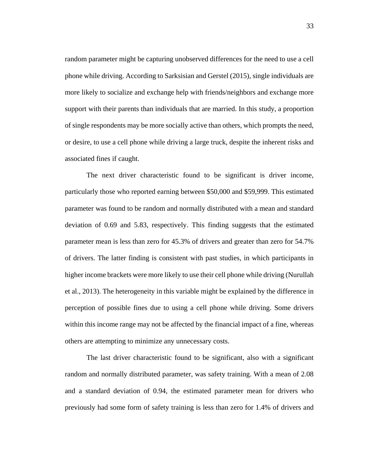random parameter might be capturing unobserved differences for the need to use a cell phone while driving. According to Sarksisian and Gerstel (2015), single individuals are more likely to socialize and exchange help with friends/neighbors and exchange more support with their parents than individuals that are married. In this study, a proportion of single respondents may be more socially active than others, which prompts the need, or desire, to use a cell phone while driving a large truck, despite the inherent risks and associated fines if caught.

The next driver characteristic found to be significant is driver income, particularly those who reported earning between \$50,000 and \$59,999. This estimated parameter was found to be random and normally distributed with a mean and standard deviation of 0.69 and 5.83, respectively. This finding suggests that the estimated parameter mean is less than zero for 45.3% of drivers and greater than zero for 54.7% of drivers. The latter finding is consistent with past studies, in which participants in higher income brackets were more likely to use their cell phone while driving (Nurullah et al., 2013). The heterogeneity in this variable might be explained by the difference in perception of possible fines due to using a cell phone while driving. Some drivers within this income range may not be affected by the financial impact of a fine, whereas others are attempting to minimize any unnecessary costs.

The last driver characteristic found to be significant, also with a significant random and normally distributed parameter, was safety training. With a mean of 2.08 and a standard deviation of 0.94, the estimated parameter mean for drivers who previously had some form of safety training is less than zero for 1.4% of drivers and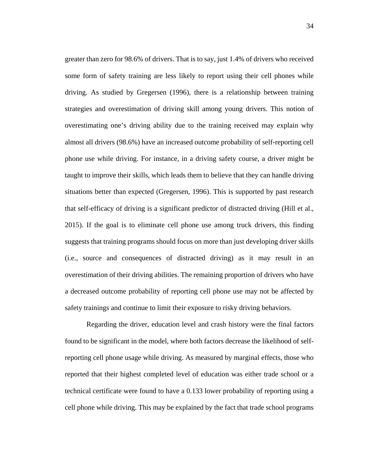greater than zero for 98.6% of drivers. That is to say, just 1.4% of drivers who received some form of safety training are less likely to report using their cell phones while driving. As studied by Gregersen (1996), there is a relationship between training strategies and overestimation of driving skill among young drivers. This notion of overestimating one's driving ability due to the training received may explain why almost all drivers (98.6%) have an increased outcome probability of self-reporting cell phone use while driving. For instance, in a driving safety course, a driver might be taught to improve their skills, which leads them to believe that they can handle driving situations better than expected (Gregersen, 1996). This is supported by past research that self-efficacy of driving is a significant predictor of distracted driving (Hill et al., 2015). If the goal is to eliminate cell phone use among truck drivers, this finding suggests that training programs should focus on more than just developing driver skills (i.e., source and consequences of distracted driving) as it may result in an overestimation of their driving abilities. The remaining proportion of drivers who have a decreased outcome probability of reporting cell phone use may not be affected by safety trainings and continue to limit their exposure to risky driving behaviors.

Regarding the driver, education level and crash history were the final factors found to be significant in the model, where both factors decrease the likelihood of selfreporting cell phone usage while driving. As measured by marginal effects, those who reported that their highest completed level of education was either trade school or a technical certificate were found to have a 0.133 lower probability of reporting using a cell phone while driving. This may be explained by the fact that trade school programs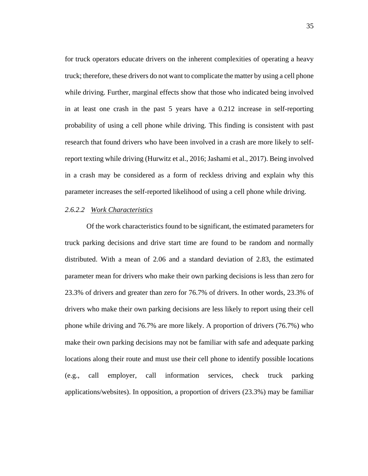for truck operators educate drivers on the inherent complexities of operating a heavy truck; therefore, these drivers do not want to complicate the matter by using a cell phone while driving. Further, marginal effects show that those who indicated being involved in at least one crash in the past 5 years have a 0.212 increase in self-reporting probability of using a cell phone while driving. This finding is consistent with past research that found drivers who have been involved in a crash are more likely to selfreport texting while driving (Hurwitz et al., 2016; Jashami et al., 2017). Being involved in a crash may be considered as a form of reckless driving and explain why this parameter increases the self-reported likelihood of using a cell phone while driving.

## *2.6.2.2 Work Characteristics*

Of the work characteristics found to be significant, the estimated parameters for truck parking decisions and drive start time are found to be random and normally distributed. With a mean of 2.06 and a standard deviation of 2.83, the estimated parameter mean for drivers who make their own parking decisions is less than zero for 23.3% of drivers and greater than zero for 76.7% of drivers. In other words, 23.3% of drivers who make their own parking decisions are less likely to report using their cell phone while driving and 76.7% are more likely. A proportion of drivers (76.7%) who make their own parking decisions may not be familiar with safe and adequate parking locations along their route and must use their cell phone to identify possible locations (e.g., call employer, call information services, check truck parking applications/websites). In opposition, a proportion of drivers (23.3%) may be familiar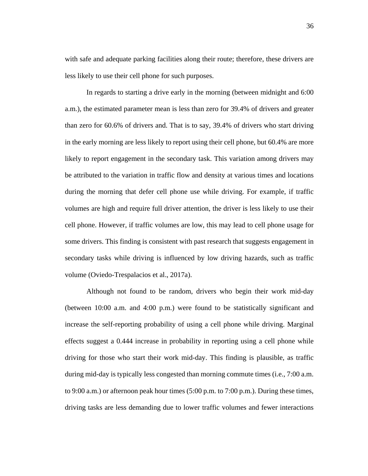with safe and adequate parking facilities along their route; therefore, these drivers are less likely to use their cell phone for such purposes.

In regards to starting a drive early in the morning (between midnight and 6:00 a.m.), the estimated parameter mean is less than zero for 39.4% of drivers and greater than zero for 60.6% of drivers and. That is to say, 39.4% of drivers who start driving in the early morning are less likely to report using their cell phone, but 60.4% are more likely to report engagement in the secondary task. This variation among drivers may be attributed to the variation in traffic flow and density at various times and locations during the morning that defer cell phone use while driving. For example, if traffic volumes are high and require full driver attention, the driver is less likely to use their cell phone. However, if traffic volumes are low, this may lead to cell phone usage for some drivers. This finding is consistent with past research that suggests engagement in secondary tasks while driving is influenced by low driving hazards, such as traffic volume (Oviedo-Trespalacios et al., 2017a).

Although not found to be random, drivers who begin their work mid-day (between 10:00 a.m. and 4:00 p.m.) were found to be statistically significant and increase the self-reporting probability of using a cell phone while driving. Marginal effects suggest a 0.444 increase in probability in reporting using a cell phone while driving for those who start their work mid-day. This finding is plausible, as traffic during mid-day is typically less congested than morning commute times (i.e., 7:00 a.m. to 9:00 a.m.) or afternoon peak hour times (5:00 p.m. to 7:00 p.m.). During these times, driving tasks are less demanding due to lower traffic volumes and fewer interactions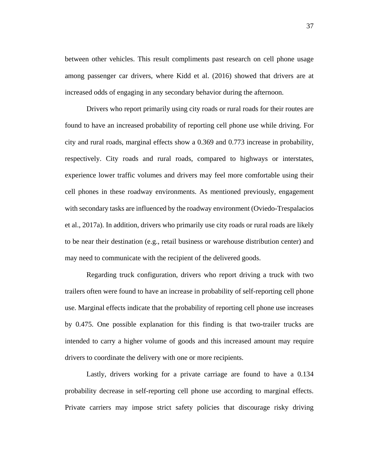between other vehicles. This result compliments past research on cell phone usage among passenger car drivers, where Kidd et al. (2016) showed that drivers are at increased odds of engaging in any secondary behavior during the afternoon.

Drivers who report primarily using city roads or rural roads for their routes are found to have an increased probability of reporting cell phone use while driving. For city and rural roads, marginal effects show a 0.369 and 0.773 increase in probability, respectively. City roads and rural roads, compared to highways or interstates, experience lower traffic volumes and drivers may feel more comfortable using their cell phones in these roadway environments. As mentioned previously, engagement with secondary tasks are influenced by the roadway environment (Oviedo-Trespalacios et al., 2017a). In addition, drivers who primarily use city roads or rural roads are likely to be near their destination (e.g., retail business or warehouse distribution center) and may need to communicate with the recipient of the delivered goods.

Regarding truck configuration, drivers who report driving a truck with two trailers often were found to have an increase in probability of self-reporting cell phone use. Marginal effects indicate that the probability of reporting cell phone use increases by 0.475. One possible explanation for this finding is that two-trailer trucks are intended to carry a higher volume of goods and this increased amount may require drivers to coordinate the delivery with one or more recipients.

Lastly, drivers working for a private carriage are found to have a 0.134 probability decrease in self-reporting cell phone use according to marginal effects. Private carriers may impose strict safety policies that discourage risky driving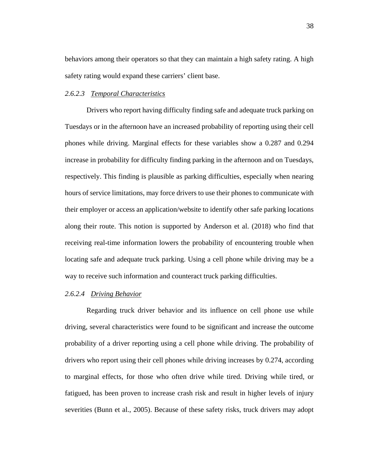behaviors among their operators so that they can maintain a high safety rating. A high safety rating would expand these carriers' client base.

## *2.6.2.3 Temporal Characteristics*

Drivers who report having difficulty finding safe and adequate truck parking on Tuesdays or in the afternoon have an increased probability of reporting using their cell phones while driving. Marginal effects for these variables show a 0.287 and 0.294 increase in probability for difficulty finding parking in the afternoon and on Tuesdays, respectively. This finding is plausible as parking difficulties, especially when nearing hours of service limitations, may force drivers to use their phones to communicate with their employer or access an application/website to identify other safe parking locations along their route. This notion is supported by Anderson et al. (2018) who find that receiving real-time information lowers the probability of encountering trouble when locating safe and adequate truck parking. Using a cell phone while driving may be a way to receive such information and counteract truck parking difficulties.

## *2.6.2.4 Driving Behavior*

Regarding truck driver behavior and its influence on cell phone use while driving, several characteristics were found to be significant and increase the outcome probability of a driver reporting using a cell phone while driving. The probability of drivers who report using their cell phones while driving increases by 0.274, according to marginal effects, for those who often drive while tired. Driving while tired, or fatigued, has been proven to increase crash risk and result in higher levels of injury severities (Bunn et al., 2005). Because of these safety risks, truck drivers may adopt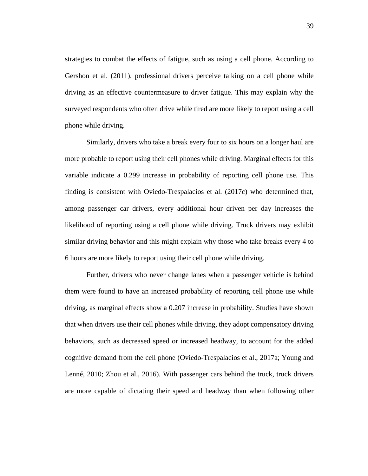strategies to combat the effects of fatigue, such as using a cell phone. According to Gershon et al. (2011), professional drivers perceive talking on a cell phone while driving as an effective countermeasure to driver fatigue. This may explain why the surveyed respondents who often drive while tired are more likely to report using a cell phone while driving.

Similarly, drivers who take a break every four to six hours on a longer haul are more probable to report using their cell phones while driving. Marginal effects for this variable indicate a 0.299 increase in probability of reporting cell phone use. This finding is consistent with Oviedo-Trespalacios et al. (2017c) who determined that, among passenger car drivers, every additional hour driven per day increases the likelihood of reporting using a cell phone while driving. Truck drivers may exhibit similar driving behavior and this might explain why those who take breaks every 4 to 6 hours are more likely to report using their cell phone while driving.

Further, drivers who never change lanes when a passenger vehicle is behind them were found to have an increased probability of reporting cell phone use while driving, as marginal effects show a 0.207 increase in probability. Studies have shown that when drivers use their cell phones while driving, they adopt compensatory driving behaviors, such as decreased speed or increased headway, to account for the added cognitive demand from the cell phone (Oviedo-Trespalacios et al., 2017a; Young and Lenné, 2010; Zhou et al., 2016). With passenger cars behind the truck, truck drivers are more capable of dictating their speed and headway than when following other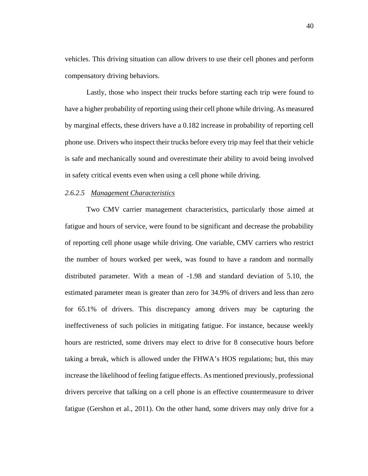vehicles. This driving situation can allow drivers to use their cell phones and perform compensatory driving behaviors.

Lastly, those who inspect their trucks before starting each trip were found to have a higher probability of reporting using their cell phone while driving. As measured by marginal effects, these drivers have a 0.182 increase in probability of reporting cell phone use. Drivers who inspect their trucks before every trip may feel that their vehicle is safe and mechanically sound and overestimate their ability to avoid being involved in safety critical events even when using a cell phone while driving.

## *2.6.2.5 Management Characteristics*

Two CMV carrier management characteristics, particularly those aimed at fatigue and hours of service, were found to be significant and decrease the probability of reporting cell phone usage while driving. One variable, CMV carriers who restrict the number of hours worked per week, was found to have a random and normally distributed parameter. With a mean of -1.98 and standard deviation of 5.10, the estimated parameter mean is greater than zero for 34.9% of drivers and less than zero for 65.1% of drivers. This discrepancy among drivers may be capturing the ineffectiveness of such policies in mitigating fatigue. For instance, because weekly hours are restricted, some drivers may elect to drive for 8 consecutive hours before taking a break, which is allowed under the FHWA's HOS regulations; but, this may increase the likelihood of feeling fatigue effects. As mentioned previously, professional drivers perceive that talking on a cell phone is an effective countermeasure to driver fatigue (Gershon et al., 2011). On the other hand, some drivers may only drive for a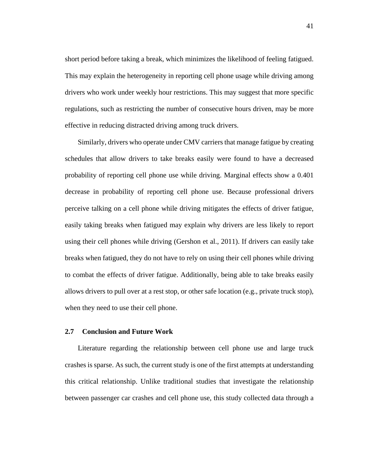short period before taking a break, which minimizes the likelihood of feeling fatigued. This may explain the heterogeneity in reporting cell phone usage while driving among drivers who work under weekly hour restrictions. This may suggest that more specific regulations, such as restricting the number of consecutive hours driven, may be more effective in reducing distracted driving among truck drivers.

Similarly, drivers who operate under CMV carriers that manage fatigue by creating schedules that allow drivers to take breaks easily were found to have a decreased probability of reporting cell phone use while driving. Marginal effects show a 0.401 decrease in probability of reporting cell phone use. Because professional drivers perceive talking on a cell phone while driving mitigates the effects of driver fatigue, easily taking breaks when fatigued may explain why drivers are less likely to report using their cell phones while driving (Gershon et al., 2011). If drivers can easily take breaks when fatigued, they do not have to rely on using their cell phones while driving to combat the effects of driver fatigue. Additionally, being able to take breaks easily allows drivers to pull over at a rest stop, or other safe location (e.g., private truck stop), when they need to use their cell phone.

#### **2.7 Conclusion and Future Work**

Literature regarding the relationship between cell phone use and large truck crashes is sparse. As such, the current study is one of the first attempts at understanding this critical relationship. Unlike traditional studies that investigate the relationship between passenger car crashes and cell phone use, this study collected data through a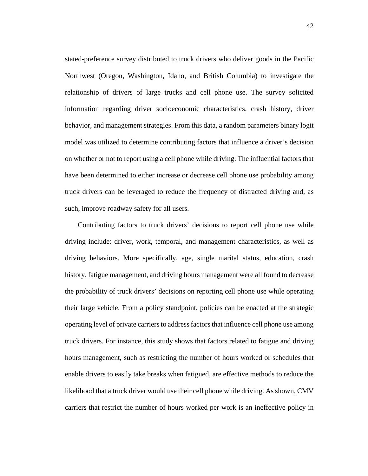stated-preference survey distributed to truck drivers who deliver goods in the Pacific Northwest (Oregon, Washington, Idaho, and British Columbia) to investigate the relationship of drivers of large trucks and cell phone use. The survey solicited information regarding driver socioeconomic characteristics, crash history, driver behavior, and management strategies. From this data, a random parameters binary logit model was utilized to determine contributing factors that influence a driver's decision on whether or not to report using a cell phone while driving. The influential factors that have been determined to either increase or decrease cell phone use probability among truck drivers can be leveraged to reduce the frequency of distracted driving and, as such, improve roadway safety for all users.

Contributing factors to truck drivers' decisions to report cell phone use while driving include: driver, work, temporal, and management characteristics, as well as driving behaviors. More specifically, age, single marital status, education, crash history, fatigue management, and driving hours management were all found to decrease the probability of truck drivers' decisions on reporting cell phone use while operating their large vehicle. From a policy standpoint, policies can be enacted at the strategic operating level of private carriers to address factors that influence cell phone use among truck drivers. For instance, this study shows that factors related to fatigue and driving hours management, such as restricting the number of hours worked or schedules that enable drivers to easily take breaks when fatigued, are effective methods to reduce the likelihood that a truck driver would use their cell phone while driving. As shown, CMV carriers that restrict the number of hours worked per work is an ineffective policy in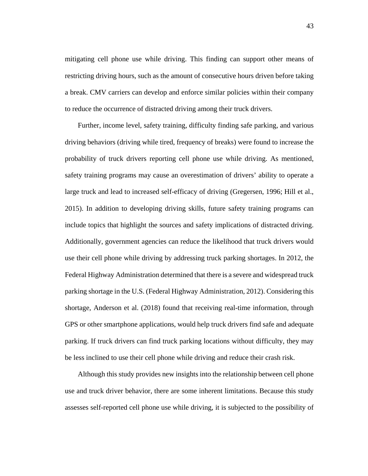mitigating cell phone use while driving. This finding can support other means of restricting driving hours, such as the amount of consecutive hours driven before taking a break. CMV carriers can develop and enforce similar policies within their company to reduce the occurrence of distracted driving among their truck drivers.

Further, income level, safety training, difficulty finding safe parking, and various driving behaviors (driving while tired, frequency of breaks) were found to increase the probability of truck drivers reporting cell phone use while driving. As mentioned, safety training programs may cause an overestimation of drivers' ability to operate a large truck and lead to increased self-efficacy of driving (Gregersen, 1996; Hill et al., 2015). In addition to developing driving skills, future safety training programs can include topics that highlight the sources and safety implications of distracted driving. Additionally, government agencies can reduce the likelihood that truck drivers would use their cell phone while driving by addressing truck parking shortages. In 2012, the Federal Highway Administration determined that there is a severe and widespread truck parking shortage in the U.S. (Federal Highway Administration, 2012). Considering this shortage, Anderson et al. (2018) found that receiving real-time information, through GPS or other smartphone applications, would help truck drivers find safe and adequate parking. If truck drivers can find truck parking locations without difficulty, they may be less inclined to use their cell phone while driving and reduce their crash risk.

Although this study provides new insights into the relationship between cell phone use and truck driver behavior, there are some inherent limitations. Because this study assesses self-reported cell phone use while driving, it is subjected to the possibility of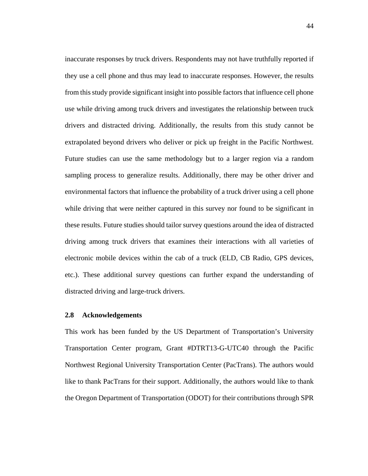inaccurate responses by truck drivers. Respondents may not have truthfully reported if they use a cell phone and thus may lead to inaccurate responses. However, the results from this study provide significant insight into possible factors that influence cell phone use while driving among truck drivers and investigates the relationship between truck drivers and distracted driving. Additionally, the results from this study cannot be extrapolated beyond drivers who deliver or pick up freight in the Pacific Northwest. Future studies can use the same methodology but to a larger region via a random sampling process to generalize results. Additionally, there may be other driver and environmental factors that influence the probability of a truck driver using a cell phone while driving that were neither captured in this survey nor found to be significant in these results. Future studies should tailor survey questions around the idea of distracted driving among truck drivers that examines their interactions with all varieties of electronic mobile devices within the cab of a truck (ELD, CB Radio, GPS devices, etc.). These additional survey questions can further expand the understanding of distracted driving and large-truck drivers.

## **2.8 Acknowledgements**

This work has been funded by the US Department of Transportation's University Transportation Center program, Grant #DTRT13-G-UTC40 through the Pacific Northwest Regional University Transportation Center (PacTrans). The authors would like to thank PacTrans for their support. Additionally, the authors would like to thank the Oregon Department of Transportation (ODOT) for their contributions through SPR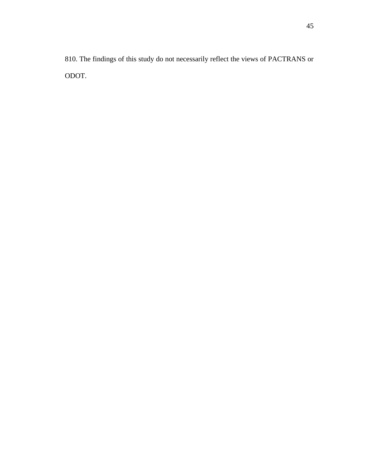810. The findings of this study do not necessarily reflect the views of PACTRANS or ODOT.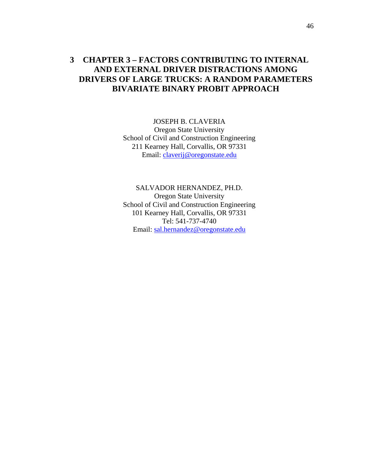# **3 CHAPTER 3 – FACTORS CONTRIBUTING TO INTERNAL AND EXTERNAL DRIVER DISTRACTIONS AMONG DRIVERS OF LARGE TRUCKS: A RANDOM PARAMETERS BIVARIATE BINARY PROBIT APPROACH**

JOSEPH B. CLAVERIA Oregon State University School of Civil and Construction Engineering 211 Kearney Hall, Corvallis, OR 97331 Email: [claverij@oregonstate.edu](mailto:claverij@oregonstate.edu)

SALVADOR HERNANDEZ, PH.D. Oregon State University School of Civil and Construction Engineering 101 Kearney Hall, Corvallis, OR 97331 Tel: 541-737-4740 Email: [sal.hernandez@oregonstate.edu](mailto:sal.hernandez@oregonstate.edu)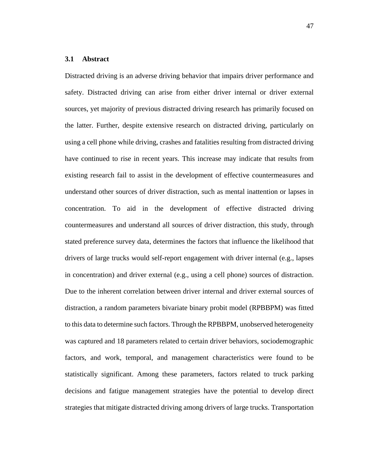## **3.1 Abstract**

Distracted driving is an adverse driving behavior that impairs driver performance and safety. Distracted driving can arise from either driver internal or driver external sources, yet majority of previous distracted driving research has primarily focused on the latter. Further, despite extensive research on distracted driving, particularly on using a cell phone while driving, crashes and fatalities resulting from distracted driving have continued to rise in recent years. This increase may indicate that results from existing research fail to assist in the development of effective countermeasures and understand other sources of driver distraction, such as mental inattention or lapses in concentration. To aid in the development of effective distracted driving countermeasures and understand all sources of driver distraction, this study, through stated preference survey data, determines the factors that influence the likelihood that drivers of large trucks would self-report engagement with driver internal (e.g., lapses in concentration) and driver external (e.g., using a cell phone) sources of distraction. Due to the inherent correlation between driver internal and driver external sources of distraction, a random parameters bivariate binary probit model (RPBBPM) was fitted to this data to determine such factors. Through the RPBBPM, unobserved heterogeneity was captured and 18 parameters related to certain driver behaviors, sociodemographic factors, and work, temporal, and management characteristics were found to be statistically significant. Among these parameters, factors related to truck parking decisions and fatigue management strategies have the potential to develop direct strategies that mitigate distracted driving among drivers of large trucks. Transportation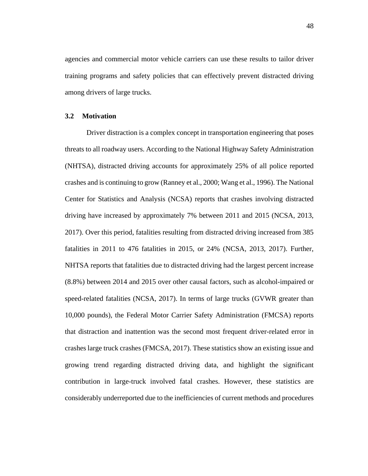agencies and commercial motor vehicle carriers can use these results to tailor driver training programs and safety policies that can effectively prevent distracted driving among drivers of large trucks.

## **3.2 Motivation**

Driver distraction is a complex concept in transportation engineering that poses threats to all roadway users. According to the National Highway Safety Administration (NHTSA), distracted driving accounts for approximately 25% of all police reported crashes and is continuing to grow (Ranney et al., 2000; Wang et al., 1996). The National Center for Statistics and Analysis (NCSA) reports that crashes involving distracted driving have increased by approximately 7% between 2011 and 2015 (NCSA, 2013, 2017). Over this period, fatalities resulting from distracted driving increased from 385 fatalities in 2011 to 476 fatalities in 2015, or 24% (NCSA, 2013, 2017). Further, NHTSA reports that fatalities due to distracted driving had the largest percent increase (8.8%) between 2014 and 2015 over other causal factors, such as alcohol-impaired or speed-related fatalities (NCSA, 2017). In terms of large trucks (GVWR greater than 10,000 pounds), the Federal Motor Carrier Safety Administration (FMCSA) reports that distraction and inattention was the second most frequent driver-related error in crashes large truck crashes (FMCSA, 2017). These statistics show an existing issue and growing trend regarding distracted driving data, and highlight the significant contribution in large-truck involved fatal crashes. However, these statistics are considerably underreported due to the inefficiencies of current methods and procedures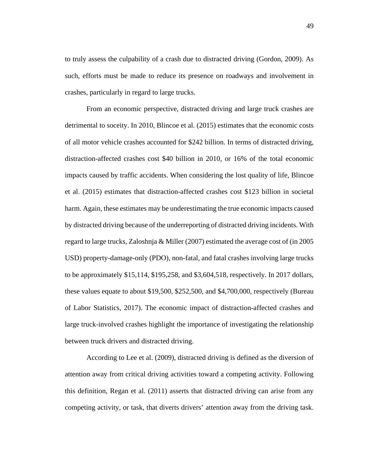to truly assess the culpability of a crash due to distracted driving (Gordon, 2009). As such, efforts must be made to reduce its presence on roadways and involvement in crashes, particularly in regard to large trucks.

From an economic perspective, distracted driving and large truck crashes are detrimental to soceity. In 2010, Blincoe et al. (2015) estimates that the economic costs of all motor vehicle crashes accounted for \$242 billion. In terms of distracted driving, distraction-affected crashes cost \$40 billion in 2010, or 16% of the total economic impacts caused by traffic accidents. When considering the lost quality of life, Blincoe et al. (2015) estimates that distraction-affected crashes cost \$123 billion in societal harm. Again, these estimates may be underestimating the true economic impacts caused by distracted driving because of the underreporting of distracted driving incidents. With regard to large trucks, Zaloshnja & Miller (2007) estimated the average cost of (in 2005 USD) property-damage-only (PDO), non-fatal, and fatal crashes involving large trucks to be approximately \$15,114, \$195,258, and \$3,604,518, respectively. In 2017 dollars, these values equate to about \$19,500, \$252,500, and \$4,700,000, respectively (Bureau of Labor Statistics, 2017). The economic impact of distraction-affected crashes and large truck-involved crashes highlight the importance of investigating the relationship between truck drivers and distracted driving.

According to Lee et al. (2009), distracted driving is defined as the diversion of attention away from critical driving activities toward a competing activity. Following this definition, Regan et al. (2011) asserts that distracted driving can arise from any competing activity, or task, that diverts drivers' attention away from the driving task.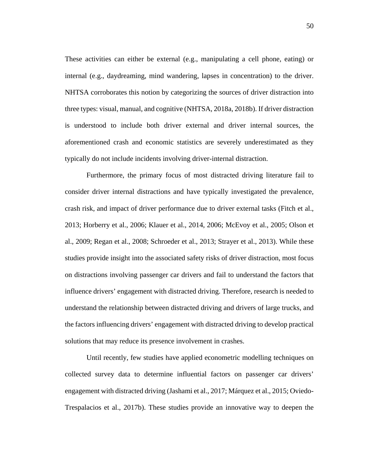These activities can either be external (e.g., manipulating a cell phone, eating) or internal (e.g., daydreaming, mind wandering, lapses in concentration) to the driver. NHTSA corroborates this notion by categorizing the sources of driver distraction into three types: visual, manual, and cognitive (NHTSA, 2018a, 2018b). If driver distraction is understood to include both driver external and driver internal sources, the aforementioned crash and economic statistics are severely underestimated as they typically do not include incidents involving driver-internal distraction.

Furthermore, the primary focus of most distracted driving literature fail to consider driver internal distractions and have typically investigated the prevalence, crash risk, and impact of driver performance due to driver external tasks (Fitch et al., 2013; Horberry et al., 2006; Klauer et al., 2014, 2006; McEvoy et al., 2005; Olson et al., 2009; Regan et al., 2008; Schroeder et al., 2013; Strayer et al., 2013). While these studies provide insight into the associated safety risks of driver distraction, most focus on distractions involving passenger car drivers and fail to understand the factors that influence drivers' engagement with distracted driving. Therefore, research is needed to understand the relationship between distracted driving and drivers of large trucks, and the factors influencing drivers' engagement with distracted driving to develop practical solutions that may reduce its presence involvement in crashes.

Until recently, few studies have applied econometric modelling techniques on collected survey data to determine influential factors on passenger car drivers' engagement with distracted driving (Jashami et al., 2017; Márquez et al., 2015; Oviedo-Trespalacios et al., 2017b). These studies provide an innovative way to deepen the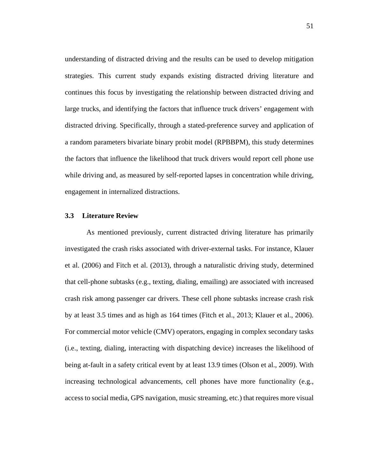understanding of distracted driving and the results can be used to develop mitigation strategies. This current study expands existing distracted driving literature and continues this focus by investigating the relationship between distracted driving and large trucks, and identifying the factors that influence truck drivers' engagement with distracted driving. Specifically, through a stated-preference survey and application of a random parameters bivariate binary probit model (RPBBPM), this study determines the factors that influence the likelihood that truck drivers would report cell phone use while driving and, as measured by self-reported lapses in concentration while driving, engagement in internalized distractions.

## **3.3 Literature Review**

As mentioned previously, current distracted driving literature has primarily investigated the crash risks associated with driver-external tasks. For instance, Klauer et al. (2006) and Fitch et al. (2013), through a naturalistic driving study, determined that cell-phone subtasks (e.g., texting, dialing, emailing) are associated with increased crash risk among passenger car drivers. These cell phone subtasks increase crash risk by at least 3.5 times and as high as 164 times (Fitch et al., 2013; Klauer et al., 2006). For commercial motor vehicle (CMV) operators, engaging in complex secondary tasks (i.e., texting, dialing, interacting with dispatching device) increases the likelihood of being at-fault in a safety critical event by at least 13.9 times (Olson et al., 2009). With increasing technological advancements, cell phones have more functionality (e.g., access to social media, GPS navigation, music streaming, etc.) that requires more visual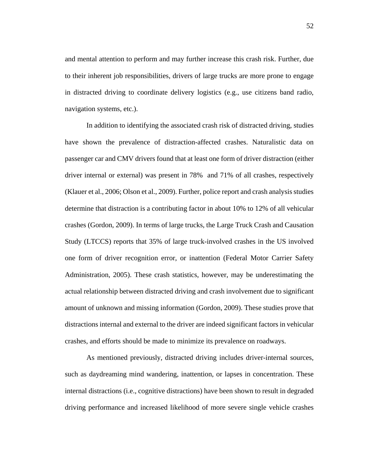and mental attention to perform and may further increase this crash risk. Further, due to their inherent job responsibilities, drivers of large trucks are more prone to engage in distracted driving to coordinate delivery logistics (e.g., use citizens band radio, navigation systems, etc.).

In addition to identifying the associated crash risk of distracted driving, studies have shown the prevalence of distraction-affected crashes. Naturalistic data on passenger car and CMV drivers found that at least one form of driver distraction (either driver internal or external) was present in 78% and 71% of all crashes, respectively (Klauer et al., 2006; Olson et al., 2009). Further, police report and crash analysis studies determine that distraction is a contributing factor in about 10% to 12% of all vehicular crashes (Gordon, 2009). In terms of large trucks, the Large Truck Crash and Causation Study (LTCCS) reports that 35% of large truck-involved crashes in the US involved one form of driver recognition error, or inattention (Federal Motor Carrier Safety Administration, 2005). These crash statistics, however, may be underestimating the actual relationship between distracted driving and crash involvement due to significant amount of unknown and missing information (Gordon, 2009). These studies prove that distractions internal and external to the driver are indeed significant factors in vehicular crashes, and efforts should be made to minimize its prevalence on roadways.

As mentioned previously, distracted driving includes driver-internal sources, such as daydreaming mind wandering, inattention, or lapses in concentration. These internal distractions (i.e., cognitive distractions) have been shown to result in degraded driving performance and increased likelihood of more severe single vehicle crashes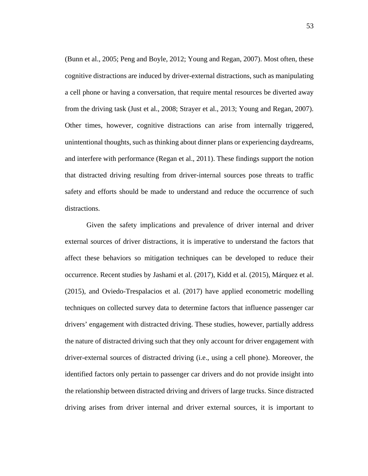(Bunn et al., 2005; Peng and Boyle, 2012; Young and Regan, 2007). Most often, these cognitive distractions are induced by driver-external distractions, such as manipulating a cell phone or having a conversation, that require mental resources be diverted away from the driving task (Just et al., 2008; Strayer et al., 2013; Young and Regan, 2007). Other times, however, cognitive distractions can arise from internally triggered, unintentional thoughts, such as thinking about dinner plans or experiencing daydreams, and interfere with performance (Regan et al., 2011). These findings support the notion that distracted driving resulting from driver-internal sources pose threats to traffic safety and efforts should be made to understand and reduce the occurrence of such distractions.

Given the safety implications and prevalence of driver internal and driver external sources of driver distractions, it is imperative to understand the factors that affect these behaviors so mitigation techniques can be developed to reduce their occurrence. Recent studies by Jashami et al. (2017), Kidd et al. (2015), Márquez et al. (2015), and Oviedo-Trespalacios et al. (2017) have applied econometric modelling techniques on collected survey data to determine factors that influence passenger car drivers' engagement with distracted driving. These studies, however, partially address the nature of distracted driving such that they only account for driver engagement with driver-external sources of distracted driving (i.e., using a cell phone). Moreover, the identified factors only pertain to passenger car drivers and do not provide insight into the relationship between distracted driving and drivers of large trucks. Since distracted driving arises from driver internal and driver external sources, it is important to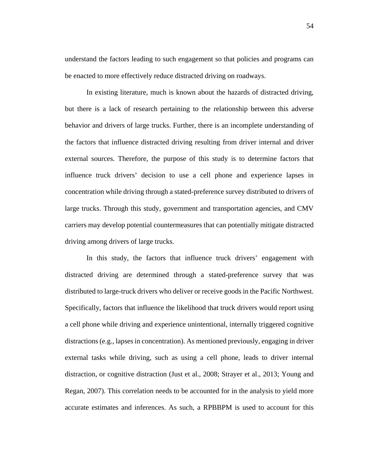understand the factors leading to such engagement so that policies and programs can be enacted to more effectively reduce distracted driving on roadways.

In existing literature, much is known about the hazards of distracted driving, but there is a lack of research pertaining to the relationship between this adverse behavior and drivers of large trucks. Further, there is an incomplete understanding of the factors that influence distracted driving resulting from driver internal and driver external sources. Therefore, the purpose of this study is to determine factors that influence truck drivers' decision to use a cell phone and experience lapses in concentration while driving through a stated-preference survey distributed to drivers of large trucks. Through this study, government and transportation agencies, and CMV carriers may develop potential countermeasures that can potentially mitigate distracted driving among drivers of large trucks.

In this study, the factors that influence truck drivers' engagement with distracted driving are determined through a stated-preference survey that was distributed to large-truck drivers who deliver or receive goods in the Pacific Northwest. Specifically, factors that influence the likelihood that truck drivers would report using a cell phone while driving and experience unintentional, internally triggered cognitive distractions (e.g., lapses in concentration). As mentioned previously, engaging in driver external tasks while driving, such as using a cell phone, leads to driver internal distraction, or cognitive distraction (Just et al., 2008; Strayer et al., 2013; Young and Regan, 2007). This correlation needs to be accounted for in the analysis to yield more accurate estimates and inferences. As such, a RPBBPM is used to account for this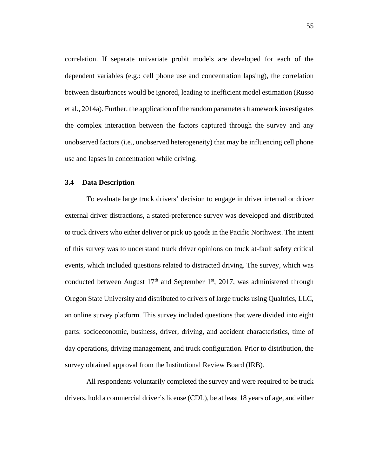correlation. If separate univariate probit models are developed for each of the dependent variables (e.g.: cell phone use and concentration lapsing), the correlation between disturbances would be ignored, leading to inefficient model estimation (Russo et al., 2014a). Further, the application of the random parameters framework investigates the complex interaction between the factors captured through the survey and any unobserved factors (i.e., unobserved heterogeneity) that may be influencing cell phone use and lapses in concentration while driving.

## **3.4 Data Description**

To evaluate large truck drivers' decision to engage in driver internal or driver external driver distractions, a stated-preference survey was developed and distributed to truck drivers who either deliver or pick up goods in the Pacific Northwest. The intent of this survey was to understand truck driver opinions on truck at-fault safety critical events, which included questions related to distracted driving. The survey, which was conducted between August  $17<sup>th</sup>$  and September 1<sup>st</sup>, 2017, was administered through Oregon State University and distributed to drivers of large trucks using Qualtrics, LLC, an online survey platform. This survey included questions that were divided into eight parts: socioeconomic, business, driver, driving, and accident characteristics, time of day operations, driving management, and truck configuration. Prior to distribution, the survey obtained approval from the Institutional Review Board (IRB).

All respondents voluntarily completed the survey and were required to be truck drivers, hold a commercial driver's license (CDL), be at least 18 years of age, and either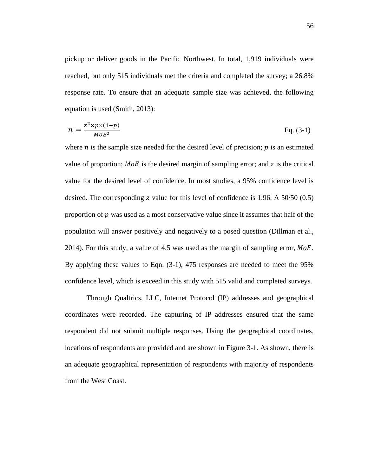pickup or deliver goods in the Pacific Northwest. In total, 1,919 individuals were reached, but only 515 individuals met the criteria and completed the survey; a 26.8% response rate. To ensure that an adequate sample size was achieved, the following equation is used (Smith, 2013):

$$
n = \frac{z^2 \times p \times (1-p)}{MoE^2}
$$
 Eq. (3-1)

where *n* is the sample size needed for the desired level of precision;  $p$  is an estimated value of proportion;  $MoE$  is the desired margin of sampling error; and z is the critical value for the desired level of confidence. In most studies, a 95% confidence level is desired. The corresponding  $z$  value for this level of confidence is 1.96. A 50/50 (0.5) proportion of  $p$  was used as a most conservative value since it assumes that half of the population will answer positively and negatively to a posed question (Dillman et al., 2014). For this study, a value of 4.5 was used as the margin of sampling error,  $MoE$ . By applying these values to Eqn. (3-1), 475 responses are needed to meet the 95% confidence level, which is exceed in this study with 515 valid and completed surveys.

Through Qualtrics, LLC, Internet Protocol (IP) addresses and geographical coordinates were recorded. The capturing of IP addresses ensured that the same respondent did not submit multiple responses. Using the geographical coordinates, locations of respondents are provided and are shown in Figure 3-1. As shown, there is an adequate geographical representation of respondents with majority of respondents from the West Coast.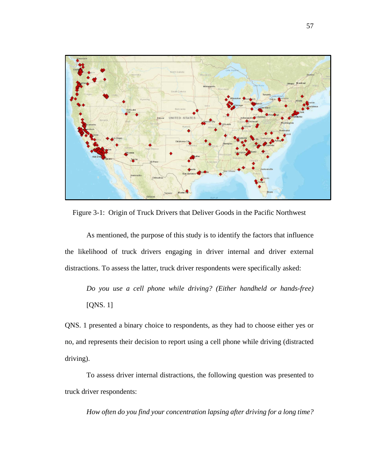

Figure 3-1: Origin of Truck Drivers that Deliver Goods in the Pacific Northwest

As mentioned, the purpose of this study is to identify the factors that influence the likelihood of truck drivers engaging in driver internal and driver external distractions. To assess the latter, truck driver respondents were specifically asked:

*Do you use a cell phone while driving? (Either handheld or hands-free)*  [QNS. 1]

QNS. 1 presented a binary choice to respondents, as they had to choose either yes or no, and represents their decision to report using a cell phone while driving (distracted driving).

To assess driver internal distractions, the following question was presented to truck driver respondents:

*How often do you find your concentration lapsing after driving for a long time?*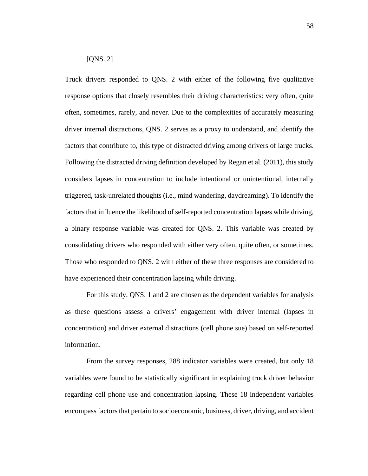## [QNS. 2]

Truck drivers responded to QNS. 2 with either of the following five qualitative response options that closely resembles their driving characteristics: very often, quite often, sometimes, rarely, and never. Due to the complexities of accurately measuring driver internal distractions, QNS. 2 serves as a proxy to understand, and identify the factors that contribute to, this type of distracted driving among drivers of large trucks. Following the distracted driving definition developed by Regan et al. (2011), this study considers lapses in concentration to include intentional or unintentional, internally triggered, task-unrelated thoughts (i.e., mind wandering, daydreaming). To identify the factors that influence the likelihood of self-reported concentration lapses while driving, a binary response variable was created for QNS. 2. This variable was created by consolidating drivers who responded with either very often, quite often, or sometimes. Those who responded to QNS. 2 with either of these three responses are considered to have experienced their concentration lapsing while driving.

For this study, QNS. 1 and 2 are chosen as the dependent variables for analysis as these questions assess a drivers' engagement with driver internal (lapses in concentration) and driver external distractions (cell phone sue) based on self-reported information.

From the survey responses, 288 indicator variables were created, but only 18 variables were found to be statistically significant in explaining truck driver behavior regarding cell phone use and concentration lapsing. These 18 independent variables encompass factors that pertain to socioeconomic, business, driver, driving, and accident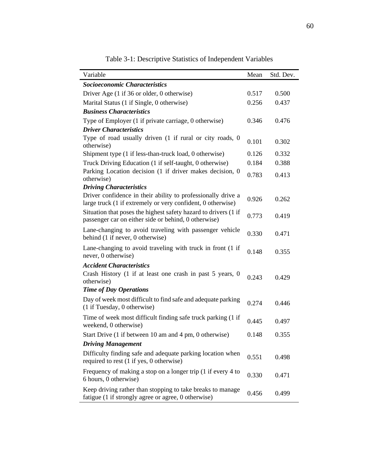| Variable                                                                                                                    | Mean  | Std. Dev. |
|-----------------------------------------------------------------------------------------------------------------------------|-------|-----------|
| Socioeconomic Characteristics                                                                                               |       |           |
| Driver Age (1 if 36 or older, 0 otherwise)                                                                                  | 0.517 | 0.500     |
| Marital Status (1 if Single, 0 otherwise)                                                                                   | 0.256 | 0.437     |
| <b>Business Characteristics</b>                                                                                             |       |           |
| Type of Employer (1 if private carriage, 0 otherwise)                                                                       | 0.346 | 0.476     |
| <b>Driver Characteristics</b>                                                                                               |       |           |
| Type of road usually driven (1 if rural or city roads, 0<br>otherwise)                                                      | 0.101 | 0.302     |
| Shipment type (1 if less-than-truck load, 0 otherwise)                                                                      | 0.126 | 0.332     |
| Truck Driving Education (1 if self-taught, 0 otherwise)                                                                     | 0.184 | 0.388     |
| Parking Location decision (1 if driver makes decision, 0<br>otherwise)                                                      |       | 0.413     |
| <b>Driving Characteristics</b>                                                                                              |       |           |
| Driver confidence in their ability to professionally drive a<br>large truck (1 if extremely or very confident, 0 otherwise) | 0.926 | 0.262     |
| Situation that poses the highest safety hazard to drivers (1 if<br>passenger car on either side or behind, 0 otherwise)     | 0.773 | 0.419     |
| Lane-changing to avoid traveling with passenger vehicle<br>behind (1 if never, 0 otherwise)                                 | 0.330 | 0.471     |
| Lane-changing to avoid traveling with truck in front (1 if<br>never, 0 otherwise)                                           | 0.148 | 0.355     |
| <b>Accident Characteristics</b>                                                                                             |       |           |
| Crash History (1 if at least one crash in past 5 years, 0<br>otherwise)                                                     | 0.243 | 0.429     |
| <b>Time of Day Operations</b>                                                                                               |       |           |
| Day of week most difficult to find safe and adequate parking<br>(1 if Tuesday, 0 otherwise)                                 | 0.274 | 0.446     |
| Time of week most difficult finding safe truck parking (1 if<br>weekend, 0 otherwise)                                       | 0.445 | 0.497     |
| Start Drive (1 if between 10 am and 4 pm, 0 otherwise)                                                                      | 0.148 | 0.355     |
| <b>Driving Management</b>                                                                                                   |       |           |
| Difficulty finding safe and adequate parking location when<br>required to rest (1 if yes, 0 otherwise)                      | 0.551 | 0.498     |
| Frequency of making a stop on a longer trip (1 if every 4 to<br>6 hours, 0 otherwise)                                       | 0.330 | 0.471     |
| Keep driving rather than stopping to take breaks to manage<br>fatigue (1 if strongly agree or agree, 0 otherwise)           | 0.456 | 0.499     |

Table 3-1: Descriptive Statistics of Independent Variables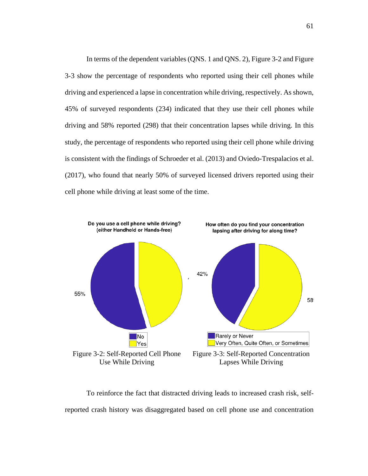In terms of the dependent variables (QNS. 1 and QNS. 2), Figure 3-2 and Figure 3-3 show the percentage of respondents who reported using their cell phones while driving and experienced a lapse in concentration while driving, respectively. As shown, 45% of surveyed respondents (234) indicated that they use their cell phones while driving and 58% reported (298) that their concentration lapses while driving. In this study, the percentage of respondents who reported using their cell phone while driving is consistent with the findings of Schroeder et al. (2013) and Oviedo-Trespalacios et al. (2017), who found that nearly 50% of surveyed licensed drivers reported using their cell phone while driving at least some of the time.



To reinforce the fact that distracted driving leads to increased crash risk, selfreported crash history was disaggregated based on cell phone use and concentration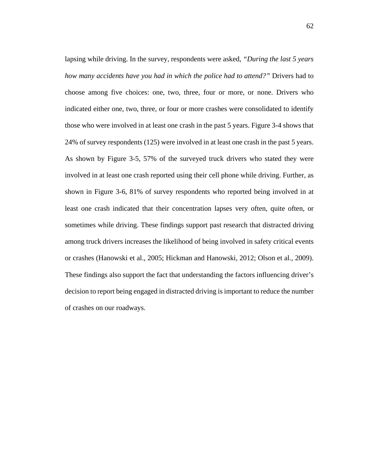lapsing while driving. In the survey, respondents were asked, *"During the last 5 years how many accidents have you had in which the police had to attend?"* Drivers had to choose among five choices: one, two, three, four or more, or none. Drivers who indicated either one, two, three, or four or more crashes were consolidated to identify those who were involved in at least one crash in the past 5 years. Figure 3-4 shows that 24% of survey respondents (125) were involved in at least one crash in the past 5 years. As shown by Figure 3-5, 57% of the surveyed truck drivers who stated they were involved in at least one crash reported using their cell phone while driving. Further, as shown in Figure 3-6, 81% of survey respondents who reported being involved in at least one crash indicated that their concentration lapses very often, quite often, or sometimes while driving. These findings support past research that distracted driving among truck drivers increases the likelihood of being involved in safety critical events or crashes (Hanowski et al., 2005; Hickman and Hanowski, 2012; Olson et al., 2009). These findings also support the fact that understanding the factors influencing driver's decision to report being engaged in distracted driving is important to reduce the number of crashes on our roadways.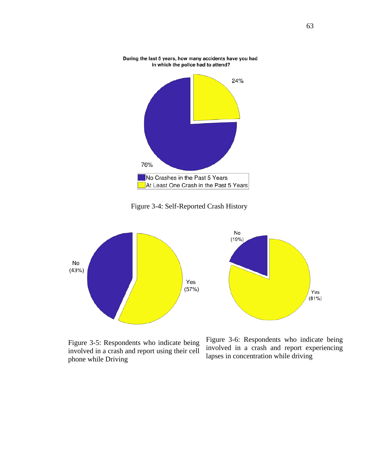

During the last 5 years, how many accidents have you had in which the police had to attend?

Figure 3-4: Self-Reported Crash History



Figure 3-5: Respondents who indicate being involved in a crash and report using their cell phone while Driving

Figure 3-6: Respondents who indicate being involved in a crash and report experiencing lapses in concentration while driving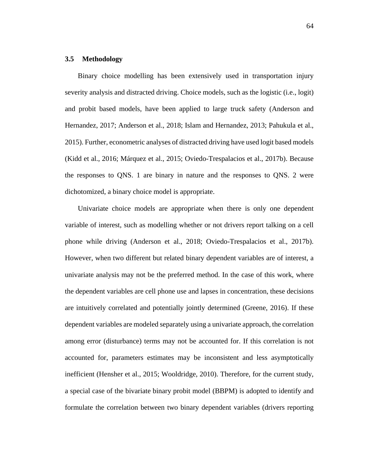## **3.5 Methodology**

Binary choice modelling has been extensively used in transportation injury severity analysis and distracted driving. Choice models, such as the logistic (i.e., logit) and probit based models, have been applied to large truck safety (Anderson and Hernandez, 2017; Anderson et al., 2018; Islam and Hernandez, 2013; Pahukula et al., 2015). Further, econometric analyses of distracted driving have used logit based models (Kidd et al., 2016; Márquez et al., 2015; Oviedo-Trespalacios et al., 2017b). Because the responses to QNS. 1 are binary in nature and the responses to QNS. 2 were dichotomized, a binary choice model is appropriate.

Univariate choice models are appropriate when there is only one dependent variable of interest, such as modelling whether or not drivers report talking on a cell phone while driving (Anderson et al., 2018; Oviedo-Trespalacios et al., 2017b). However, when two different but related binary dependent variables are of interest, a univariate analysis may not be the preferred method. In the case of this work, where the dependent variables are cell phone use and lapses in concentration, these decisions are intuitively correlated and potentially jointly determined (Greene, 2016). If these dependent variables are modeled separately using a univariate approach, the correlation among error (disturbance) terms may not be accounted for. If this correlation is not accounted for, parameters estimates may be inconsistent and less asymptotically inefficient (Hensher et al., 2015; Wooldridge, 2010). Therefore, for the current study, a special case of the bivariate binary probit model (BBPM) is adopted to identify and formulate the correlation between two binary dependent variables (drivers reporting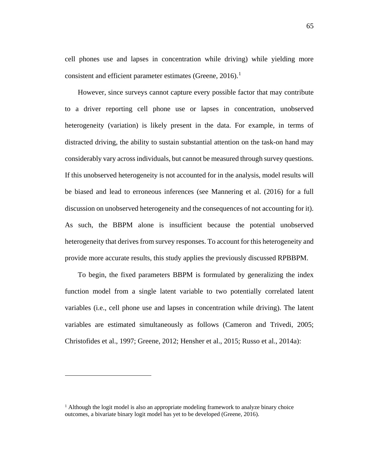cell phones use and lapses in concentration while driving) while yielding more consistent and efficient parameter estimates (Greene, 20[1](#page-75-0)6).<sup>1</sup>

However, since surveys cannot capture every possible factor that may contribute to a driver reporting cell phone use or lapses in concentration, unobserved heterogeneity (variation) is likely present in the data. For example, in terms of distracted driving, the ability to sustain substantial attention on the task-on hand may considerably vary across individuals, but cannot be measured through survey questions. If this unobserved heterogeneity is not accounted for in the analysis, model results will be biased and lead to erroneous inferences (see Mannering et al. (2016) for a full discussion on unobserved heterogeneity and the consequences of not accounting for it). As such, the BBPM alone is insufficient because the potential unobserved heterogeneity that derives from survey responses. To account for this heterogeneity and provide more accurate results, this study applies the previously discussed RPBBPM.

To begin, the fixed parameters BBPM is formulated by generalizing the index function model from a single latent variable to two potentially correlated latent variables (i.e., cell phone use and lapses in concentration while driving). The latent variables are estimated simultaneously as follows (Cameron and Trivedi, 2005; Christofides et al., 1997; Greene, 2012; Hensher et al., 2015; Russo et al., 2014a):

 $\overline{a}$ 

<span id="page-75-0"></span> $<sup>1</sup>$  Although the logit model is also an appropriate modeling framework to analyze binary choice</sup> outcomes, a bivariate binary logit model has yet to be developed (Greene, 2016).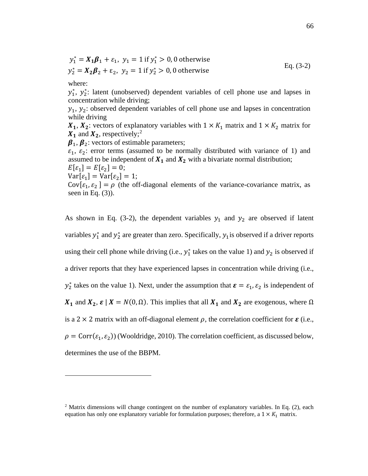$$
y_1^* = X_1 \beta_1 + \varepsilon_1, \ y_1 = 1 \text{ if } y_1^* > 0, 0 \text{ otherwise}
$$
  
\n
$$
y_2^* = X_2 \beta_2 + \varepsilon_2, \ y_2 = 1 \text{ if } y_2^* > 0, 0 \text{ otherwise}
$$
  
\nEq. (3-2)

where:

 $\overline{a}$ 

 $y_1^*$ ,  $y_2^*$ : latent (unobserved) dependent variables of cell phone use and lapses in concentration while driving;

 $y_1, y_2$ : observed dependent variables of cell phone use and lapses in concentration while driving

 $X_1, X_2$ : vectors of explanatory variables with  $1 \times K_1$  matrix and  $1 \times K_2$  matrix for  $X_1$  and  $X_2$  $X_2$ , respectively;<sup>2</sup>

 $\beta_1$ ,  $\beta_2$ : vectors of estimable parameters;

 $\varepsilon_1$ ,  $\varepsilon_2$ : error terms (assumed to be normally distributed with variance of 1) and assumed to be independent of  $X_1$  and  $X_2$  with a bivariate normal distribution;

$$
E[\varepsilon_1] = E[\varepsilon_2] = 0;
$$

 $Var[\varepsilon_1] = Var[\varepsilon_2] = 1;$ 

 $Cov[\varepsilon_1, \varepsilon_2] = \rho$  (the off-diagonal elements of the variance-covariance matrix, as seen in Eq.  $(3)$ ).

As shown in Eq. (3-2), the dependent variables  $y_1$  and  $y_2$  are observed if latent variables  $y_1^*$  and  $y_2^*$  are greater than zero. Specifically,  $y_1$  is observed if a driver reports using their cell phone while driving (i.e.,  $y_1^*$  takes on the value 1) and  $y_2$  is observed if a driver reports that they have experienced lapses in concentration while driving (i.e.,  $y_2^*$  takes on the value 1). Next, under the assumption that  $\boldsymbol{\varepsilon} = \varepsilon_1, \varepsilon_2$  is independent of  $X_1$  and  $X_2$ ,  $\varepsilon$  |  $X = N(0, \Omega)$ . This implies that all  $X_1$  and  $X_2$  are exogenous, where  $\Omega$ is a 2  $\times$  2 matrix with an off-diagonal element  $\rho$ , the correlation coefficient for  $\varepsilon$  (i.e.,  $\rho = \text{Corr}(\varepsilon_1, \varepsilon_2)$  (Wooldridge, 2010). The correlation coefficient, as discussed below, determines the use of the BBPM.

<span id="page-76-0"></span><sup>&</sup>lt;sup>2</sup> Matrix dimensions will change contingent on the number of explanatory variables. In Eq. (2), each equation has only one explanatory variable for formulation purposes; therefore, a  $1 \times K_1$  matrix.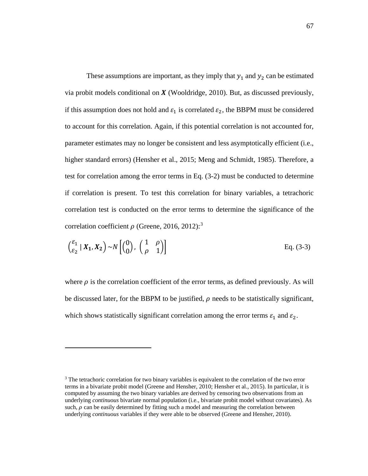These assumptions are important, as they imply that  $y_1$  and  $y_2$  can be estimated via probit models conditional on  $X$  (Wooldridge, 2010). But, as discussed previously, if this assumption does not hold and  $\varepsilon_1$  is correlated  $\varepsilon_2$ , the BBPM must be considered to account for this correlation. Again, if this potential correlation is not accounted for, parameter estimates may no longer be consistent and less asymptotically efficient (i.e., higher standard errors) (Hensher et al., 2015; Meng and Schmidt, 1985). Therefore, a test for correlation among the error terms in Eq. (3-2) must be conducted to determine if correlation is present. To test this correlation for binary variables, a tetrachoric correlation test is conducted on the error terms to determine the significance of the correlation coefficient  $\rho$  (Greene, 2016, 2012):<sup>[3](#page-77-0)</sup>

$$
\begin{pmatrix} \varepsilon_1 \\ \varepsilon_2 \end{pmatrix} X_1, X_2 \rightarrow N \begin{pmatrix} 0 \\ 0 \end{pmatrix}, \begin{pmatrix} 1 & \rho \\ \rho & 1 \end{pmatrix}
$$
 Eq. (3-3)

where  $\rho$  is the correlation coefficient of the error terms, as defined previously. As will be discussed later, for the BBPM to be justified,  $\rho$  needs to be statistically significant, which shows statistically significant correlation among the error terms  $\varepsilon_1$  and  $\varepsilon_2$ .

 $\overline{a}$ 

<span id="page-77-0"></span><sup>&</sup>lt;sup>3</sup> The tetrachoric correlation for two binary variables is equivalent to the correlation of the two error terms in a bivariate probit model (Greene and Hensher, 2010; Hensher et al., 2015). In particular, it is computed by assuming the two binary variables are derived by censoring two observations from an underlying *continuous* bivariate normal population (i.e., bivariate probit model without covariates). As such,  $\rho$  can be easily determined by fitting such a model and measuring the correlation between underlying *continuous* variables if they were able to be observed (Greene and Hensher, 2010).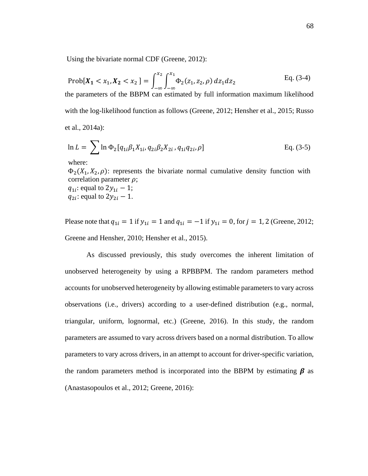Using the bivariate normal CDF (Greene, 2012):

$$
\text{Prob}[X_1 < x_1, X_2 < x_2] = \int_{-\infty}^{x_2} \int_{-\infty}^{x_1} \Phi_2(z_1, z_2, \rho) \, dz_1 dz_2 \tag{3-4}
$$

the parameters of the BBPM can estimated by full information maximum likelihood with the log-likelihood function as follows (Greene, 2012; Hensher et al., 2015; Russo et al., 2014a):

$$
\ln L = \sum \ln \Phi_2[q_{1i}\beta_1 X_{1i}, q_{2i}\beta_2 X_{2i}, q_{1i}q_{2i}, \rho]
$$
 Eq. (3-5)

where:

 $\Phi_2(X_1, X_2, \rho)$ : represents the bivariate normal cumulative density function with correlation parameter  $\rho$ ;

 $q_{1i}$ : equal to  $2y_{1i} - 1$ ;  $q_{2i}$ : equal to  $2y_{2i} - 1$ .

Please note that  $q_{1i} = 1$  if  $y_{1i} = 1$  and  $q_{1i} = -1$  if  $y_{1i} = 0$ , for  $j = 1, 2$  (Greene, 2012; Greene and Hensher, 2010; Hensher et al., 2015).

As discussed previously, this study overcomes the inherent limitation of unobserved heterogeneity by using a RPBBPM. The random parameters method accounts for unobserved heterogeneity by allowing estimable parameters to vary across observations (i.e., drivers) according to a user-defined distribution (e.g., normal, triangular, uniform, lognormal, etc.) (Greene, 2016). In this study, the random parameters are assumed to vary across drivers based on a normal distribution. To allow parameters to vary across drivers, in an attempt to account for driver-specific variation, the random parameters method is incorporated into the BBPM by estimating  $\beta$  as (Anastasopoulos et al., 2012; Greene, 2016):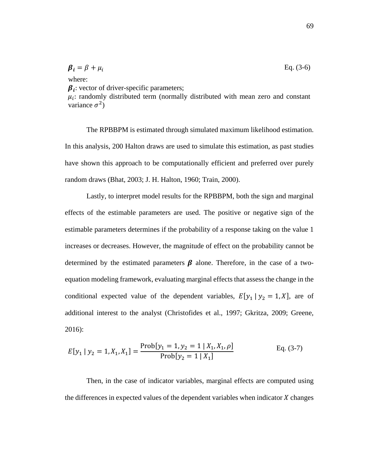$$
\boldsymbol{\beta}_i = \beta + \mu_i \quad \text{Eq. (3-6)}
$$

where:

 $\beta_i$ : vector of driver-specific parameters;

 $\mu_i$ : randomly distributed term (normally distributed with mean zero and constant variance  $\sigma^2$ )

The RPBBPM is estimated through simulated maximum likelihood estimation. In this analysis, 200 Halton draws are used to simulate this estimation, as past studies have shown this approach to be computationally efficient and preferred over purely random draws (Bhat, 2003; J. H. Halton, 1960; Train, 2000).

Lastly, to interpret model results for the RPBBPM, both the sign and marginal effects of the estimable parameters are used. The positive or negative sign of the estimable parameters determines if the probability of a response taking on the value 1 increases or decreases. However, the magnitude of effect on the probability cannot be determined by the estimated parameters  $\beta$  alone. Therefore, in the case of a twoequation modeling framework, evaluating marginal effects that assess the change in the conditional expected value of the dependent variables,  $E[y_1 | y_2 = 1, X]$ , are of additional interest to the analyst (Christofides et al., 1997; Gkritza, 2009; Greene, 2016):

$$
E[y_1 | y_2 = 1, X_1, X_1] = \frac{\text{Prob}[y_1 = 1, y_2 = 1 | X_1, X_1, \rho]}{\text{Prob}[y_2 = 1 | X_1]} \quad \text{Eq. (3-7)}
$$

Then, in the case of indicator variables, marginal effects are computed using the differences in expected values of the dependent variables when indicator  $\chi$  changes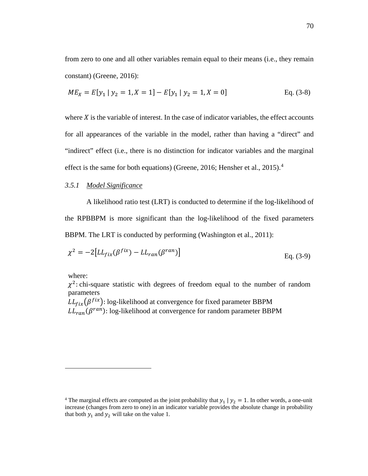from zero to one and all other variables remain equal to their means (i.e., they remain constant) (Greene, 2016):

$$
ME_X = E[y_1 | y_2 = 1, X = 1] - E[y_1 | y_2 = 1, X = 0]
$$
 Eq. (3-8)

where  $X$  is the variable of interest. In the case of indicator variables, the effect accounts for all appearances of the variable in the model, rather than having a "direct" and "indirect" effect (i.e., there is no distinction for indicator variables and the marginal effect is the same for both equations) (Greene, 2016; Hensher et al., 2015).<sup>[4](#page-80-0)</sup>

# *3.5.1 Model Significance*

A likelihood ratio test (LRT) is conducted to determine if the log-likelihood of the RPBBPM is more significant than the log-likelihood of the fixed parameters BBPM. The LRT is conducted by performing (Washington et al., 2011):

$$
\chi^2 = -2[LL_{fix}(\beta^{fix}) - LL_{ran}(\beta^{ran})]
$$
 Eq. (3-9)

where:

 $\overline{a}$ 

 $\chi^2$ : chi-square statistic with degrees of freedom equal to the number of random parameters

 $LL_{fix}(\beta^{fix})$ : log-likelihood at convergence for fixed parameter BBPM  $LL_{ran}(\beta^{ran})$ : log-likelihood at convergence for random parameter BBPM

<span id="page-80-0"></span><sup>&</sup>lt;sup>4</sup> The marginal effects are computed as the joint probability that  $y_1 | y_2 = 1$ . In other words, a one-unit increase (changes from zero to one) in an indicator variable provides the absolute change in probability that both  $y_1$  and  $y_2$  will take on the value 1.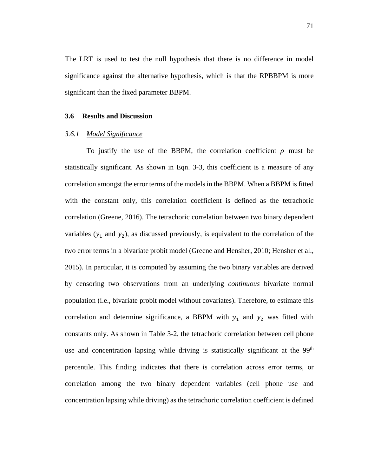The LRT is used to test the null hypothesis that there is no difference in model significance against the alternative hypothesis, which is that the RPBBPM is more significant than the fixed parameter BBPM.

#### **3.6 Results and Discussion**

# *3.6.1 Model Significance*

To justify the use of the BBPM, the correlation coefficient  $\rho$  must be statistically significant. As shown in Eqn. 3-3, this coefficient is a measure of any correlation amongst the error terms of the models in the BBPM. When a BBPM is fitted with the constant only, this correlation coefficient is defined as the tetrachoric correlation (Greene, 2016). The tetrachoric correlation between two binary dependent variables  $(y_1$  and  $y_2)$ , as discussed previously, is equivalent to the correlation of the two error terms in a bivariate probit model (Greene and Hensher, 2010; Hensher et al., 2015). In particular, it is computed by assuming the two binary variables are derived by censoring two observations from an underlying *continuous* bivariate normal population (i.e., bivariate probit model without covariates). Therefore, to estimate this correlation and determine significance, a BBPM with  $y_1$  and  $y_2$  was fitted with constants only. As shown in Table 3-2, the tetrachoric correlation between cell phone use and concentration lapsing while driving is statistically significant at the  $99<sup>th</sup>$ percentile. This finding indicates that there is correlation across error terms, or correlation among the two binary dependent variables (cell phone use and concentration lapsing while driving) as the tetrachoric correlation coefficient is defined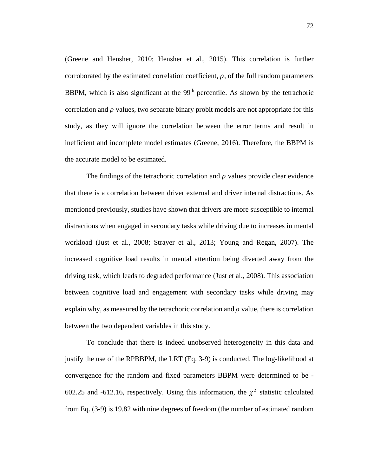(Greene and Hensher, 2010; Hensher et al., 2015). This correlation is further corroborated by the estimated correlation coefficient,  $\rho$ , of the full random parameters BBPM, which is also significant at the  $99<sup>th</sup>$  percentile. As shown by the tetrachoric correlation and  $\rho$  values, two separate binary probit models are not appropriate for this study, as they will ignore the correlation between the error terms and result in inefficient and incomplete model estimates (Greene, 2016). Therefore, the BBPM is the accurate model to be estimated.

The findings of the tetrachoric correlation and  $\rho$  values provide clear evidence that there is a correlation between driver external and driver internal distractions. As mentioned previously, studies have shown that drivers are more susceptible to internal distractions when engaged in secondary tasks while driving due to increases in mental workload (Just et al., 2008; Strayer et al., 2013; Young and Regan, 2007). The increased cognitive load results in mental attention being diverted away from the driving task, which leads to degraded performance (Just et al., 2008). This association between cognitive load and engagement with secondary tasks while driving may explain why, as measured by the tetrachoric correlation and  $\rho$  value, there is correlation between the two dependent variables in this study.

To conclude that there is indeed unobserved heterogeneity in this data and justify the use of the RPBBPM, the LRT (Eq. 3-9) is conducted. The log-likelihood at convergence for the random and fixed parameters BBPM were determined to be - 602.25 and -612.16, respectively. Using this information, the  $\chi^2$  statistic calculated from Eq. (3-9) is 19.82 with nine degrees of freedom (the number of estimated random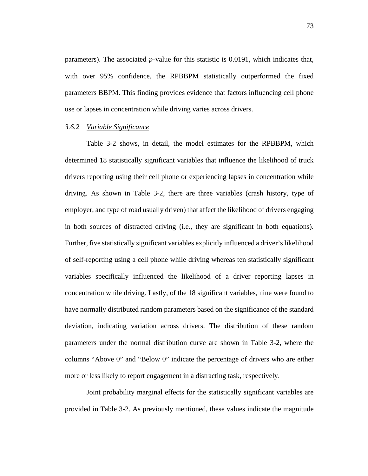parameters). The associated  $p$ -value for this statistic is 0.0191, which indicates that, with over 95% confidence, the RPBBPM statistically outperformed the fixed parameters BBPM. This finding provides evidence that factors influencing cell phone use or lapses in concentration while driving varies across drivers.

# *3.6.2 Variable Significance*

Table 3-2 shows, in detail, the model estimates for the RPBBPM, which determined 18 statistically significant variables that influence the likelihood of truck drivers reporting using their cell phone or experiencing lapses in concentration while driving. As shown in Table 3-2, there are three variables (crash history, type of employer, and type of road usually driven) that affect the likelihood of drivers engaging in both sources of distracted driving (i.e., they are significant in both equations). Further, five statistically significant variables explicitly influenced a driver's likelihood of self-reporting using a cell phone while driving whereas ten statistically significant variables specifically influenced the likelihood of a driver reporting lapses in concentration while driving. Lastly, of the 18 significant variables, nine were found to have normally distributed random parameters based on the significance of the standard deviation, indicating variation across drivers. The distribution of these random parameters under the normal distribution curve are shown in Table 3-2, where the columns "Above 0" and "Below 0" indicate the percentage of drivers who are either more or less likely to report engagement in a distracting task, respectively.

Joint probability marginal effects for the statistically significant variables are provided in Table 3-2. As previously mentioned, these values indicate the magnitude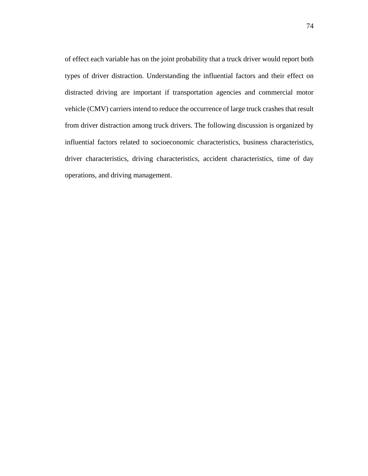of effect each variable has on the joint probability that a truck driver would report both types of driver distraction. Understanding the influential factors and their effect on distracted driving are important if transportation agencies and commercial motor vehicle (CMV) carriers intend to reduce the occurrence of large truck crashes that result from driver distraction among truck drivers. The following discussion is organized by influential factors related to socioeconomic characteristics, business characteristics, driver characteristics, driving characteristics, accident characteristics, time of day operations, and driving management.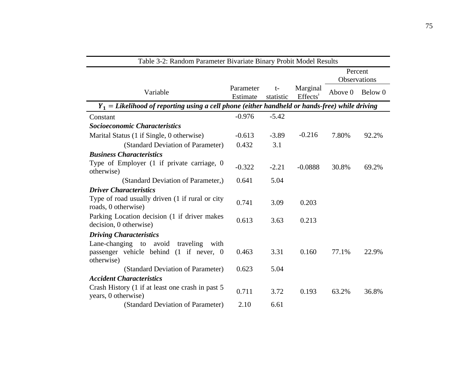| Variable                                                                                         | Parameter<br>Estimate | $t-$<br>statistic | Marginal<br>$E \nF \nE \nE \nF$ | Percent<br>Observations |         |
|--------------------------------------------------------------------------------------------------|-----------------------|-------------------|---------------------------------|-------------------------|---------|
|                                                                                                  |                       |                   |                                 | Above 0                 | Below 0 |
| $Y_1 =$ Likelihood of reporting using a cell phone (either handheld or hands-free) while driving |                       |                   |                                 |                         |         |
| Constant                                                                                         | $-0.976$              | $-5.42$           |                                 |                         |         |
| <b>Socioeconomic Characteristics</b>                                                             |                       |                   |                                 |                         |         |
| Marital Status (1 if Single, 0 otherwise)                                                        | $-0.613$              | $-3.89$           | $-0.216$                        | 7.80%                   | 92.2%   |
| (Standard Deviation of Parameter)                                                                | 0.432                 | 3.1               |                                 |                         |         |
| <b>Business Characteristics</b>                                                                  |                       |                   |                                 |                         |         |
| Type of Employer (1 if private carriage, 0<br>otherwise)                                         | $-0.322$              | $-2.21$           | $-0.0888$                       | 30.8%                   | 69.2%   |
| (Standard Deviation of Parameter,)                                                               | 0.641                 | 5.04              |                                 |                         |         |
| <b>Driver Characteristics</b>                                                                    |                       |                   |                                 |                         |         |
| Type of road usually driven (1 if rural or city<br>roads, 0 otherwise)                           | 0.741                 | 3.09              | 0.203                           |                         |         |
| Parking Location decision (1 if driver makes<br>decision, 0 otherwise)                           | 0.613                 | 3.63              | 0.213                           |                         |         |
| <b>Driving Characteristics</b>                                                                   |                       |                   |                                 |                         |         |
| Lane-changing to avoid traveling with<br>passenger vehicle behind (1 if never, 0<br>otherwise)   | 0.463                 | 3.31              | 0.160                           | 77.1%                   | 22.9%   |
| (Standard Deviation of Parameter)                                                                | 0.623                 | 5.04              |                                 |                         |         |
| <b>Accident Characteristics</b>                                                                  |                       |                   |                                 |                         |         |
| Crash History (1 if at least one crash in past 5<br>years, 0 otherwise)                          | 0.711                 | 3.72              | 0.193                           | 63.2%                   | 36.8%   |
| (Standard Deviation of Parameter)                                                                | 2.10                  | 6.61              |                                 |                         |         |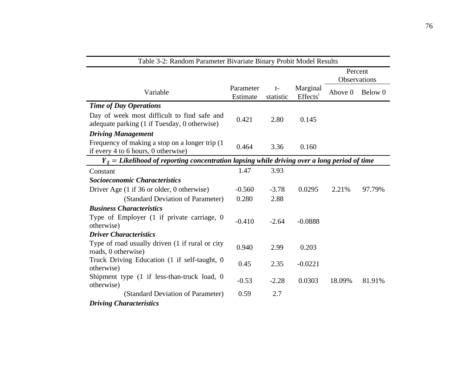| Table 3-2: Random Parameter Bivariate Binary Probit Model Results                              |                       |                   |                          |                         |         |  |
|------------------------------------------------------------------------------------------------|-----------------------|-------------------|--------------------------|-------------------------|---------|--|
|                                                                                                |                       |                   |                          | Percent<br>Observations |         |  |
| Variable                                                                                       | Parameter<br>Estimate | $t-$<br>statistic | Marginal<br>$E \nHects†$ | Above 0                 | Below 0 |  |
| <b>Time of Day Operations</b>                                                                  |                       |                   |                          |                         |         |  |
| Day of week most difficult to find safe and<br>adequate parking (1 if Tuesday, 0 otherwise)    | 0.421                 | 2.80              | 0.145                    |                         |         |  |
| <b>Driving Management</b>                                                                      |                       |                   |                          |                         |         |  |
| Frequency of making a stop on a longer trip (1<br>if every 4 to 6 hours, 0 otherwise)          | 0.464                 | 3.36              | 0.160                    |                         |         |  |
| $Y_2 =$ Likelihood of reporting concentration lapsing while driving over a long period of time |                       |                   |                          |                         |         |  |
| Constant                                                                                       | 1.47                  | 3.93              |                          |                         |         |  |
| <b>Socioeconomic Characteristics</b>                                                           |                       |                   |                          |                         |         |  |
| Driver Age (1 if 36 or older, 0 otherwise)                                                     | $-0.560$              | $-3.78$           | 0.0295                   | 2.21%                   | 97.79%  |  |
| (Standard Deviation of Parameter)                                                              | 0.280                 | 2.88              |                          |                         |         |  |
| <b>Business Characteristics</b>                                                                |                       |                   |                          |                         |         |  |
| Type of Employer $(1 \text{ if private} carriage, 0)$<br>otherwise)                            | $-0.410$              | $-2.64$           | $-0.0888$                |                         |         |  |
| <b>Driver Characteristics</b>                                                                  |                       |                   |                          |                         |         |  |
| Type of road usually driven (1 if rural or city<br>roads, 0 otherwise)                         | 0.940                 | 2.99              | 0.203                    |                         |         |  |
| Truck Driving Education (1 if self-taught, 0<br>otherwise)                                     | 0.45                  | 2.35              | $-0.0221$                |                         |         |  |
| Shipment type (1 if less-than-truck load, 0<br>otherwise)                                      | $-0.53$               | $-2.28$           | 0.0303                   | 18.09%                  | 81.91%  |  |
| (Standard Deviation of Parameter)                                                              | 0.59                  | 2.7               |                          |                         |         |  |
| <b>Driving Characteristics</b>                                                                 |                       |                   |                          |                         |         |  |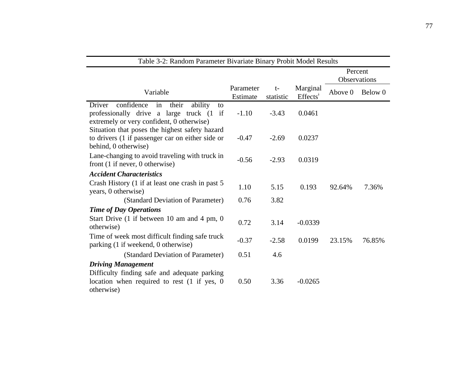| Table 3-2: Random Parameter Bivariate Binary Probit Model Results                                                                                 |                       |                   |                          |         |                         |  |
|---------------------------------------------------------------------------------------------------------------------------------------------------|-----------------------|-------------------|--------------------------|---------|-------------------------|--|
|                                                                                                                                                   |                       |                   |                          |         | Percent<br>Observations |  |
| Variable                                                                                                                                          | Parameter<br>Estimate | $t-$<br>statistic | Marginal<br>$E \nHects†$ | Above 0 | Below 0                 |  |
| confidence<br>their<br>ability<br>Driver<br>in<br>to<br>professionally drive a large truck (1)<br>if<br>extremely or very confident, 0 otherwise) | $-1.10$               | $-3.43$           | 0.0461                   |         |                         |  |
| Situation that poses the highest safety hazard<br>to drivers (1 if passenger car on either side or<br>behind, 0 otherwise)                        | $-0.47$               | $-2.69$           | 0.0237                   |         |                         |  |
| Lane-changing to avoid traveling with truck in<br>front $(1$ if never, 0 otherwise)                                                               | $-0.56$               | $-2.93$           | 0.0319                   |         |                         |  |
| <b>Accident Characteristics</b>                                                                                                                   |                       |                   |                          |         |                         |  |
| Crash History (1 if at least one crash in past 5<br>years, 0 otherwise)                                                                           | 1.10                  | 5.15              | 0.193                    | 92.64%  | 7.36%                   |  |
| (Standard Deviation of Parameter)                                                                                                                 | 0.76                  | 3.82              |                          |         |                         |  |
| <b>Time of Day Operations</b>                                                                                                                     |                       |                   |                          |         |                         |  |
| Start Drive (1 if between 10 am and 4 pm, 0<br>otherwise)                                                                                         | 0.72                  | 3.14              | $-0.0339$                |         |                         |  |
| Time of week most difficult finding safe truck<br>parking (1 if weekend, 0 otherwise)                                                             | $-0.37$               | $-2.58$           | 0.0199                   | 23.15%  | 76.85%                  |  |
| (Standard Deviation of Parameter)                                                                                                                 | 0.51                  | 4.6               |                          |         |                         |  |
| <b>Driving Management</b><br>Difficulty finding safe and adequate parking<br>location when required to rest $(1 \text{ if yes}, 0)$               | 0.50                  | 3.36              | $-0.0265$                |         |                         |  |
| otherwise)                                                                                                                                        |                       |                   |                          |         |                         |  |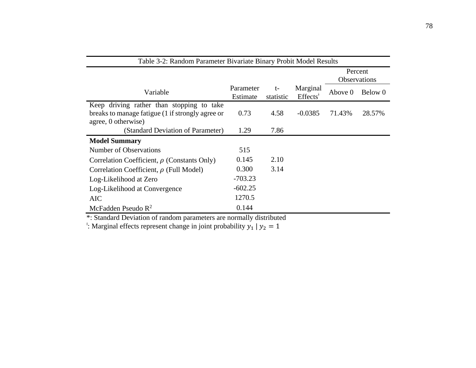| Table 3-2: Random Parameter Bivariate Binary Probit Model Results |           |           |           |                         |         |  |
|-------------------------------------------------------------------|-----------|-----------|-----------|-------------------------|---------|--|
|                                                                   |           |           |           | Percent<br>Observations |         |  |
|                                                                   | Parameter | $t-$      | Marginal  |                         |         |  |
| Variable                                                          | Estimate  | statistic |           | Above 0                 | Below 0 |  |
| Keep driving rather than stopping to take                         |           |           |           |                         |         |  |
| breaks to manage fatigue (1 if strongly agree or                  | 0.73      | 4.58      | $-0.0385$ | 71.43%                  | 28.57%  |  |
| agree, 0 otherwise)                                               |           |           |           |                         |         |  |
| (Standard Deviation of Parameter)                                 | 1.29      | 7.86      |           |                         |         |  |
| <b>Model Summary</b>                                              |           |           |           |                         |         |  |
| Number of Observations                                            | 515       |           |           |                         |         |  |
| Correlation Coefficient, $\rho$ (Constants Only)                  | 0.145     | 2.10      |           |                         |         |  |
| Correlation Coefficient, $\rho$ (Full Model)                      | 0.300     | 3.14      |           |                         |         |  |
| Log-Likelihood at Zero                                            | $-703.23$ |           |           |                         |         |  |
| Log-Likelihood at Convergence                                     | $-602.25$ |           |           |                         |         |  |
| <b>AIC</b>                                                        | 1270.5    |           |           |                         |         |  |
| McFadden Pseudo $R^2$                                             | 0.144     |           |           |                         |         |  |

\*: Standard Deviation of random parameters are normally distributed

 $\cdot$ : Marginal effects represent change in joint probability  $y_1 | y_2 = 1$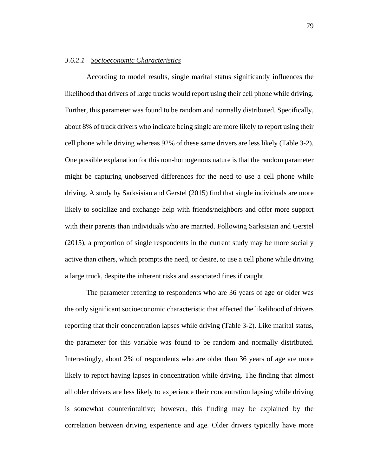#### *3.6.2.1 Socioeconomic Characteristics*

According to model results, single marital status significantly influences the likelihood that drivers of large trucks would report using their cell phone while driving. Further, this parameter was found to be random and normally distributed. Specifically, about 8% of truck drivers who indicate being single are more likely to report using their cell phone while driving whereas 92% of these same drivers are less likely (Table 3-2). One possible explanation for this non-homogenous nature is that the random parameter might be capturing unobserved differences for the need to use a cell phone while driving. A study by Sarksisian and Gerstel (2015) find that single individuals are more likely to socialize and exchange help with friends/neighbors and offer more support with their parents than individuals who are married. Following Sarksisian and Gerstel (2015), a proportion of single respondents in the current study may be more socially active than others, which prompts the need, or desire, to use a cell phone while driving a large truck, despite the inherent risks and associated fines if caught.

The parameter referring to respondents who are 36 years of age or older was the only significant socioeconomic characteristic that affected the likelihood of drivers reporting that their concentration lapses while driving (Table 3-2). Like marital status, the parameter for this variable was found to be random and normally distributed. Interestingly, about 2% of respondents who are older than 36 years of age are more likely to report having lapses in concentration while driving. The finding that almost all older drivers are less likely to experience their concentration lapsing while driving is somewhat counterintuitive; however, this finding may be explained by the correlation between driving experience and age. Older drivers typically have more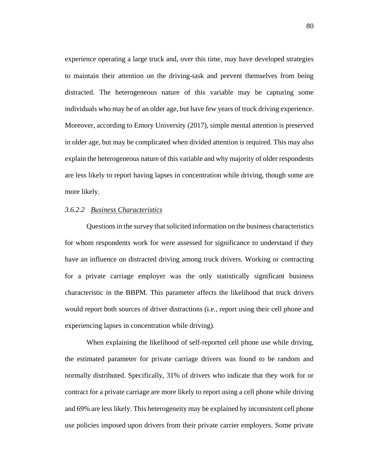experience operating a large truck and, over this time, may have developed strategies to maintain their attention on the driving-task and prevent themselves from being distracted. The heterogeneous nature of this variable may be capturing some individuals who may be of an older age, but have few years of truck driving experience. Moreover, according to Emory University (2017), simple mental attention is preserved in older age, but may be complicated when divided attention is required. This may also explain the heterogeneous nature of this variable and why majority of older respondents are less likely to report having lapses in concentration while driving, though some are more likely.

## *3.6.2.2 Business Characteristics*

Questions in the survey that solicited information on the business characteristics for whom respondents work for were assessed for significance to understand if they have an influence on distracted driving among truck drivers. Working or contracting for a private carriage employer was the only statistically significant business characteristic in the BBPM. This parameter affects the likelihood that truck drivers would report both sources of driver distractions (i.e., report using their cell phone and experiencing lapses in concentration while driving).

When explaining the likelihood of self-reported cell phone use while driving, the estimated parameter for private carriage drivers was found to be random and normally distributed. Specifically, 31% of drivers who indicate that they work for or contract for a private carriage are more likely to report using a cell phone while driving and 69% are less likely. This heterogeneity may be explained by inconsistent cell phone use policies imposed upon drivers from their private carrier employers. Some private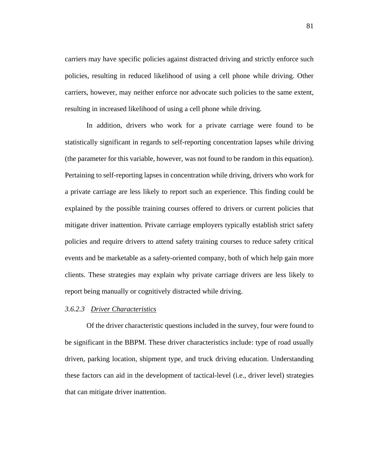carriers may have specific policies against distracted driving and strictly enforce such policies, resulting in reduced likelihood of using a cell phone while driving. Other carriers, however, may neither enforce nor advocate such policies to the same extent, resulting in increased likelihood of using a cell phone while driving.

In addition, drivers who work for a private carriage were found to be statistically significant in regards to self-reporting concentration lapses while driving (the parameter for this variable, however, was not found to be random in this equation). Pertaining to self-reporting lapses in concentration while driving, drivers who work for a private carriage are less likely to report such an experience. This finding could be explained by the possible training courses offered to drivers or current policies that mitigate driver inattention. Private carriage employers typically establish strict safety policies and require drivers to attend safety training courses to reduce safety critical events and be marketable as a safety-oriented company, both of which help gain more clients. These strategies may explain why private carriage drivers are less likely to report being manually or cognitively distracted while driving.

#### *3.6.2.3 Driver Characteristics*

Of the driver characteristic questions included in the survey, four were found to be significant in the BBPM. These driver characteristics include: type of road usually driven, parking location, shipment type, and truck driving education. Understanding these factors can aid in the development of tactical-level (i.e., driver level) strategies that can mitigate driver inattention.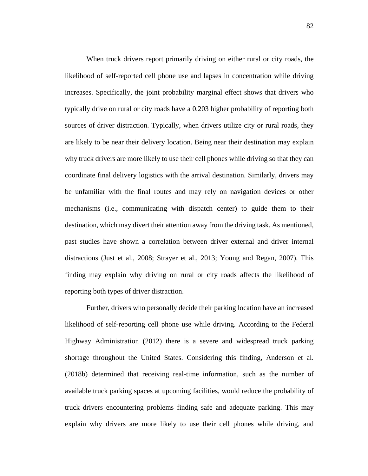When truck drivers report primarily driving on either rural or city roads, the likelihood of self-reported cell phone use and lapses in concentration while driving increases. Specifically, the joint probability marginal effect shows that drivers who typically drive on rural or city roads have a 0.203 higher probability of reporting both sources of driver distraction. Typically, when drivers utilize city or rural roads, they are likely to be near their delivery location. Being near their destination may explain why truck drivers are more likely to use their cell phones while driving so that they can coordinate final delivery logistics with the arrival destination. Similarly, drivers may be unfamiliar with the final routes and may rely on navigation devices or other mechanisms (i.e., communicating with dispatch center) to guide them to their destination, which may divert their attention away from the driving task. As mentioned, past studies have shown a correlation between driver external and driver internal distractions (Just et al., 2008; Strayer et al., 2013; Young and Regan, 2007). This finding may explain why driving on rural or city roads affects the likelihood of reporting both types of driver distraction.

Further, drivers who personally decide their parking location have an increased likelihood of self-reporting cell phone use while driving. According to the Federal Highway Administration (2012) there is a severe and widespread truck parking shortage throughout the United States. Considering this finding, Anderson et al. (2018b) determined that receiving real-time information, such as the number of available truck parking spaces at upcoming facilities, would reduce the probability of truck drivers encountering problems finding safe and adequate parking. This may explain why drivers are more likely to use their cell phones while driving, and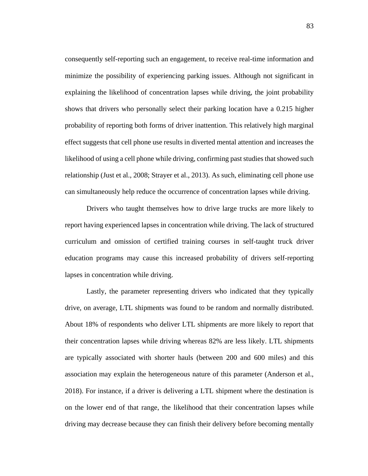consequently self-reporting such an engagement, to receive real-time information and minimize the possibility of experiencing parking issues. Although not significant in explaining the likelihood of concentration lapses while driving, the joint probability shows that drivers who personally select their parking location have a 0.215 higher probability of reporting both forms of driver inattention. This relatively high marginal effect suggests that cell phone use results in diverted mental attention and increases the likelihood of using a cell phone while driving, confirming past studies that showed such relationship (Just et al., 2008; Strayer et al., 2013). As such, eliminating cell phone use can simultaneously help reduce the occurrence of concentration lapses while driving.

Drivers who taught themselves how to drive large trucks are more likely to report having experienced lapses in concentration while driving. The lack of structured curriculum and omission of certified training courses in self-taught truck driver education programs may cause this increased probability of drivers self-reporting lapses in concentration while driving.

Lastly, the parameter representing drivers who indicated that they typically drive, on average, LTL shipments was found to be random and normally distributed. About 18% of respondents who deliver LTL shipments are more likely to report that their concentration lapses while driving whereas 82% are less likely. LTL shipments are typically associated with shorter hauls (between 200 and 600 miles) and this association may explain the heterogeneous nature of this parameter (Anderson et al., 2018). For instance, if a driver is delivering a LTL shipment where the destination is on the lower end of that range, the likelihood that their concentration lapses while driving may decrease because they can finish their delivery before becoming mentally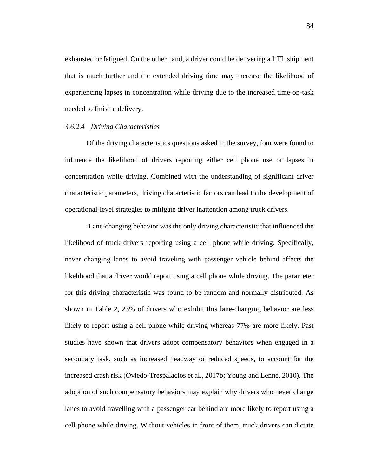exhausted or fatigued. On the other hand, a driver could be delivering a LTL shipment that is much farther and the extended driving time may increase the likelihood of experiencing lapses in concentration while driving due to the increased time-on-task needed to finish a delivery.

# *3.6.2.4 Driving Characteristics*

Of the driving characteristics questions asked in the survey, four were found to influence the likelihood of drivers reporting either cell phone use or lapses in concentration while driving. Combined with the understanding of significant driver characteristic parameters, driving characteristic factors can lead to the development of operational-level strategies to mitigate driver inattention among truck drivers.

Lane-changing behavior was the only driving characteristic that influenced the likelihood of truck drivers reporting using a cell phone while driving. Specifically, never changing lanes to avoid traveling with passenger vehicle behind affects the likelihood that a driver would report using a cell phone while driving. The parameter for this driving characteristic was found to be random and normally distributed. As shown in Table 2, 23% of drivers who exhibit this lane-changing behavior are less likely to report using a cell phone while driving whereas 77% are more likely. Past studies have shown that drivers adopt compensatory behaviors when engaged in a secondary task, such as increased headway or reduced speeds, to account for the increased crash risk (Oviedo-Trespalacios et al., 2017b; Young and Lenné, 2010). The adoption of such compensatory behaviors may explain why drivers who never change lanes to avoid travelling with a passenger car behind are more likely to report using a cell phone while driving. Without vehicles in front of them, truck drivers can dictate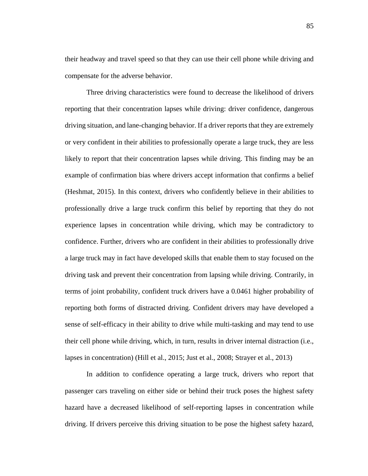their headway and travel speed so that they can use their cell phone while driving and compensate for the adverse behavior.

Three driving characteristics were found to decrease the likelihood of drivers reporting that their concentration lapses while driving: driver confidence, dangerous driving situation, and lane-changing behavior. If a driver reports that they are extremely or very confident in their abilities to professionally operate a large truck, they are less likely to report that their concentration lapses while driving. This finding may be an example of confirmation bias where drivers accept information that confirms a belief (Heshmat, 2015). In this context, drivers who confidently believe in their abilities to professionally drive a large truck confirm this belief by reporting that they do not experience lapses in concentration while driving, which may be contradictory to confidence. Further, drivers who are confident in their abilities to professionally drive a large truck may in fact have developed skills that enable them to stay focused on the driving task and prevent their concentration from lapsing while driving. Contrarily, in terms of joint probability, confident truck drivers have a 0.0461 higher probability of reporting both forms of distracted driving. Confident drivers may have developed a sense of self-efficacy in their ability to drive while multi-tasking and may tend to use their cell phone while driving, which, in turn, results in driver internal distraction (i.e., lapses in concentration) (Hill et al., 2015; Just et al., 2008; Strayer et al., 2013)

In addition to confidence operating a large truck, drivers who report that passenger cars traveling on either side or behind their truck poses the highest safety hazard have a decreased likelihood of self-reporting lapses in concentration while driving. If drivers perceive this driving situation to be pose the highest safety hazard,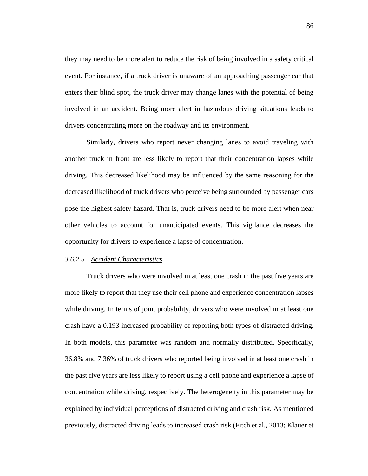they may need to be more alert to reduce the risk of being involved in a safety critical event. For instance, if a truck driver is unaware of an approaching passenger car that enters their blind spot, the truck driver may change lanes with the potential of being involved in an accident. Being more alert in hazardous driving situations leads to drivers concentrating more on the roadway and its environment.

Similarly, drivers who report never changing lanes to avoid traveling with another truck in front are less likely to report that their concentration lapses while driving. This decreased likelihood may be influenced by the same reasoning for the decreased likelihood of truck drivers who perceive being surrounded by passenger cars pose the highest safety hazard. That is, truck drivers need to be more alert when near other vehicles to account for unanticipated events. This vigilance decreases the opportunity for drivers to experience a lapse of concentration.

## *3.6.2.5 Accident Characteristics*

Truck drivers who were involved in at least one crash in the past five years are more likely to report that they use their cell phone and experience concentration lapses while driving. In terms of joint probability, drivers who were involved in at least one crash have a 0.193 increased probability of reporting both types of distracted driving. In both models, this parameter was random and normally distributed. Specifically, 36.8% and 7.36% of truck drivers who reported being involved in at least one crash in the past five years are less likely to report using a cell phone and experience a lapse of concentration while driving, respectively. The heterogeneity in this parameter may be explained by individual perceptions of distracted driving and crash risk. As mentioned previously, distracted driving leads to increased crash risk (Fitch et al., 2013; Klauer et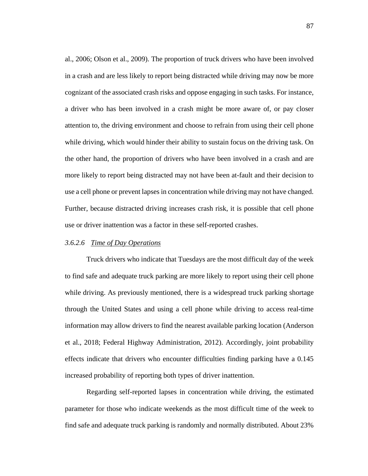al., 2006; Olson et al., 2009). The proportion of truck drivers who have been involved in a crash and are less likely to report being distracted while driving may now be more cognizant of the associated crash risks and oppose engaging in such tasks. For instance, a driver who has been involved in a crash might be more aware of, or pay closer attention to, the driving environment and choose to refrain from using their cell phone while driving, which would hinder their ability to sustain focus on the driving task. On the other hand, the proportion of drivers who have been involved in a crash and are more likely to report being distracted may not have been at-fault and their decision to use a cell phone or prevent lapses in concentration while driving may not have changed. Further, because distracted driving increases crash risk, it is possible that cell phone use or driver inattention was a factor in these self-reported crashes.

#### *3.6.2.6 Time of Day Operations*

Truck drivers who indicate that Tuesdays are the most difficult day of the week to find safe and adequate truck parking are more likely to report using their cell phone while driving. As previously mentioned, there is a widespread truck parking shortage through the United States and using a cell phone while driving to access real-time information may allow drivers to find the nearest available parking location (Anderson et al., 2018; Federal Highway Administration, 2012). Accordingly, joint probability effects indicate that drivers who encounter difficulties finding parking have a 0.145 increased probability of reporting both types of driver inattention.

Regarding self-reported lapses in concentration while driving, the estimated parameter for those who indicate weekends as the most difficult time of the week to find safe and adequate truck parking is randomly and normally distributed. About 23%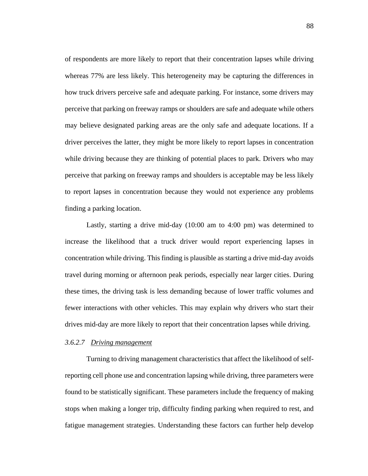of respondents are more likely to report that their concentration lapses while driving whereas 77% are less likely. This heterogeneity may be capturing the differences in how truck drivers perceive safe and adequate parking. For instance, some drivers may perceive that parking on freeway ramps or shoulders are safe and adequate while others may believe designated parking areas are the only safe and adequate locations. If a driver perceives the latter, they might be more likely to report lapses in concentration while driving because they are thinking of potential places to park. Drivers who may perceive that parking on freeway ramps and shoulders is acceptable may be less likely to report lapses in concentration because they would not experience any problems finding a parking location.

Lastly, starting a drive mid-day (10:00 am to 4:00 pm) was determined to increase the likelihood that a truck driver would report experiencing lapses in concentration while driving. This finding is plausible as starting a drive mid-day avoids travel during morning or afternoon peak periods, especially near larger cities. During these times, the driving task is less demanding because of lower traffic volumes and fewer interactions with other vehicles. This may explain why drivers who start their drives mid-day are more likely to report that their concentration lapses while driving.

#### *3.6.2.7 Driving management*

Turning to driving management characteristics that affect the likelihood of selfreporting cell phone use and concentration lapsing while driving, three parameters were found to be statistically significant. These parameters include the frequency of making stops when making a longer trip, difficulty finding parking when required to rest, and fatigue management strategies. Understanding these factors can further help develop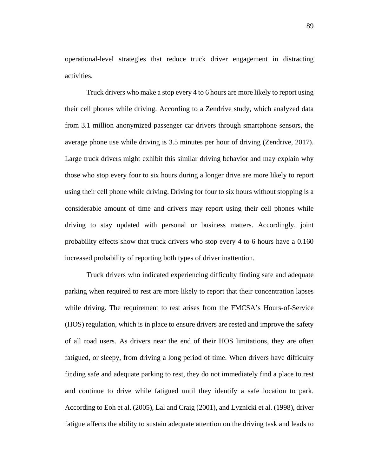operational-level strategies that reduce truck driver engagement in distracting activities.

Truck drivers who make a stop every 4 to 6 hours are more likely to report using their cell phones while driving. According to a Zendrive study, which analyzed data from 3.1 million anonymized passenger car drivers through smartphone sensors, the average phone use while driving is 3.5 minutes per hour of driving (Zendrive, 2017). Large truck drivers might exhibit this similar driving behavior and may explain why those who stop every four to six hours during a longer drive are more likely to report using their cell phone while driving. Driving for four to six hours without stopping is a considerable amount of time and drivers may report using their cell phones while driving to stay updated with personal or business matters. Accordingly, joint probability effects show that truck drivers who stop every 4 to 6 hours have a 0.160 increased probability of reporting both types of driver inattention.

Truck drivers who indicated experiencing difficulty finding safe and adequate parking when required to rest are more likely to report that their concentration lapses while driving. The requirement to rest arises from the FMCSA's Hours-of-Service (HOS) regulation, which is in place to ensure drivers are rested and improve the safety of all road users. As drivers near the end of their HOS limitations, they are often fatigued, or sleepy, from driving a long period of time. When drivers have difficulty finding safe and adequate parking to rest, they do not immediately find a place to rest and continue to drive while fatigued until they identify a safe location to park. According to Eoh et al. (2005), Lal and Craig (2001), and Lyznicki et al. (1998), driver fatigue affects the ability to sustain adequate attention on the driving task and leads to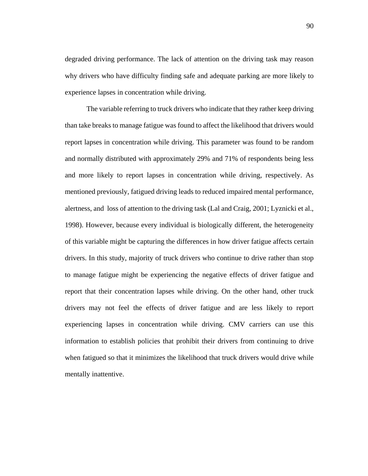degraded driving performance. The lack of attention on the driving task may reason why drivers who have difficulty finding safe and adequate parking are more likely to experience lapses in concentration while driving.

The variable referring to truck drivers who indicate that they rather keep driving than take breaks to manage fatigue was found to affect the likelihood that drivers would report lapses in concentration while driving. This parameter was found to be random and normally distributed with approximately 29% and 71% of respondents being less and more likely to report lapses in concentration while driving, respectively. As mentioned previously, fatigued driving leads to reduced impaired mental performance, alertness, and loss of attention to the driving task (Lal and Craig, 2001; Lyznicki et al., 1998). However, because every individual is biologically different, the heterogeneity of this variable might be capturing the differences in how driver fatigue affects certain drivers. In this study, majority of truck drivers who continue to drive rather than stop to manage fatigue might be experiencing the negative effects of driver fatigue and report that their concentration lapses while driving. On the other hand, other truck drivers may not feel the effects of driver fatigue and are less likely to report experiencing lapses in concentration while driving. CMV carriers can use this information to establish policies that prohibit their drivers from continuing to drive when fatigued so that it minimizes the likelihood that truck drivers would drive while mentally inattentive.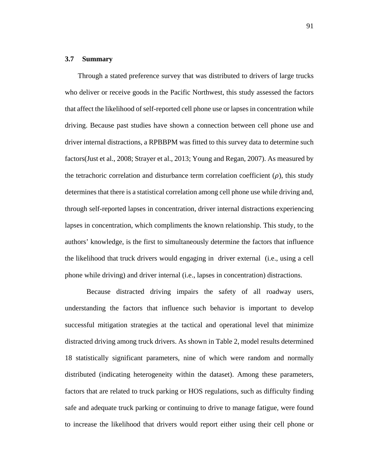## **3.7 Summary**

Through a stated preference survey that was distributed to drivers of large trucks who deliver or receive goods in the Pacific Northwest, this study assessed the factors that affect the likelihood of self-reported cell phone use or lapses in concentration while driving. Because past studies have shown a connection between cell phone use and driver internal distractions, a RPBBPM was fitted to this survey data to determine such factors(Just et al., 2008; Strayer et al., 2013; Young and Regan, 2007). As measured by the tetrachoric correlation and disturbance term correlation coefficient  $(\rho)$ , this study determines that there is a statistical correlation among cell phone use while driving and, through self-reported lapses in concentration, driver internal distractions experiencing lapses in concentration, which compliments the known relationship. This study, to the authors' knowledge, is the first to simultaneously determine the factors that influence the likelihood that truck drivers would engaging in driver external (i.e., using a cell phone while driving) and driver internal (i.e., lapses in concentration) distractions.

Because distracted driving impairs the safety of all roadway users, understanding the factors that influence such behavior is important to develop successful mitigation strategies at the tactical and operational level that minimize distracted driving among truck drivers. As shown in Table 2, model results determined 18 statistically significant parameters, nine of which were random and normally distributed (indicating heterogeneity within the dataset). Among these parameters, factors that are related to truck parking or HOS regulations, such as difficulty finding safe and adequate truck parking or continuing to drive to manage fatigue, were found to increase the likelihood that drivers would report either using their cell phone or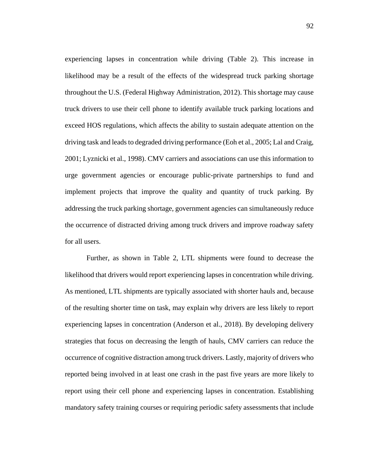experiencing lapses in concentration while driving (Table 2). This increase in likelihood may be a result of the effects of the widespread truck parking shortage throughout the U.S. (Federal Highway Administration, 2012). This shortage may cause truck drivers to use their cell phone to identify available truck parking locations and exceed HOS regulations, which affects the ability to sustain adequate attention on the driving task and leads to degraded driving performance (Eoh et al., 2005; Lal and Craig, 2001; Lyznicki et al., 1998). CMV carriers and associations can use this information to urge government agencies or encourage public-private partnerships to fund and implement projects that improve the quality and quantity of truck parking. By addressing the truck parking shortage, government agencies can simultaneously reduce the occurrence of distracted driving among truck drivers and improve roadway safety for all users.

Further, as shown in Table 2, LTL shipments were found to decrease the likelihood that drivers would report experiencing lapses in concentration while driving. As mentioned, LTL shipments are typically associated with shorter hauls and, because of the resulting shorter time on task, may explain why drivers are less likely to report experiencing lapses in concentration (Anderson et al., 2018). By developing delivery strategies that focus on decreasing the length of hauls, CMV carriers can reduce the occurrence of cognitive distraction among truck drivers. Lastly, majority of drivers who reported being involved in at least one crash in the past five years are more likely to report using their cell phone and experiencing lapses in concentration. Establishing mandatory safety training courses or requiring periodic safety assessments that include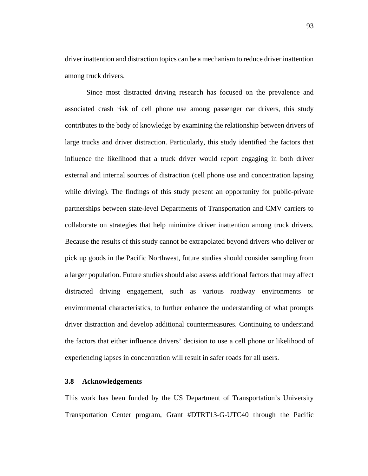driver inattention and distraction topics can be a mechanism to reduce driver inattention among truck drivers.

Since most distracted driving research has focused on the prevalence and associated crash risk of cell phone use among passenger car drivers, this study contributes to the body of knowledge by examining the relationship between drivers of large trucks and driver distraction. Particularly, this study identified the factors that influence the likelihood that a truck driver would report engaging in both driver external and internal sources of distraction (cell phone use and concentration lapsing while driving). The findings of this study present an opportunity for public-private partnerships between state-level Departments of Transportation and CMV carriers to collaborate on strategies that help minimize driver inattention among truck drivers. Because the results of this study cannot be extrapolated beyond drivers who deliver or pick up goods in the Pacific Northwest, future studies should consider sampling from a larger population. Future studies should also assess additional factors that may affect distracted driving engagement, such as various roadway environments or environmental characteristics, to further enhance the understanding of what prompts driver distraction and develop additional countermeasures. Continuing to understand the factors that either influence drivers' decision to use a cell phone or likelihood of experiencing lapses in concentration will result in safer roads for all users.

## **3.8 Acknowledgements**

This work has been funded by the US Department of Transportation's University Transportation Center program, Grant #DTRT13-G-UTC40 through the Pacific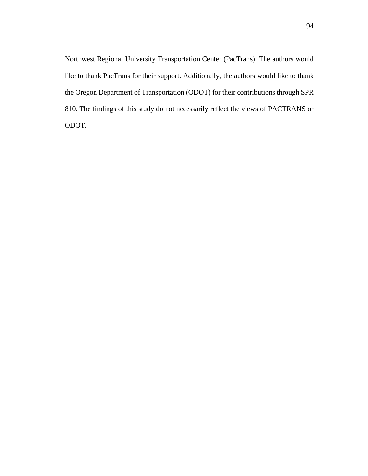Northwest Regional University Transportation Center (PacTrans). The authors would like to thank PacTrans for their support. Additionally, the authors would like to thank the Oregon Department of Transportation (ODOT) for their contributions through SPR 810. The findings of this study do not necessarily reflect the views of PACTRANS or ODOT.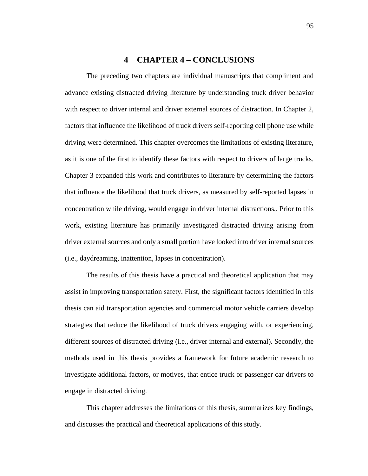# **4 CHAPTER 4 – CONCLUSIONS**

The preceding two chapters are individual manuscripts that compliment and advance existing distracted driving literature by understanding truck driver behavior with respect to driver internal and driver external sources of distraction. In Chapter 2, factors that influence the likelihood of truck drivers self-reporting cell phone use while driving were determined. This chapter overcomes the limitations of existing literature, as it is one of the first to identify these factors with respect to drivers of large trucks. Chapter 3 expanded this work and contributes to literature by determining the factors that influence the likelihood that truck drivers, as measured by self-reported lapses in concentration while driving, would engage in driver internal distractions,. Prior to this work, existing literature has primarily investigated distracted driving arising from driver external sources and only a small portion have looked into driver internal sources (i.e., daydreaming, inattention, lapses in concentration).

The results of this thesis have a practical and theoretical application that may assist in improving transportation safety. First, the significant factors identified in this thesis can aid transportation agencies and commercial motor vehicle carriers develop strategies that reduce the likelihood of truck drivers engaging with, or experiencing, different sources of distracted driving (i.e., driver internal and external). Secondly, the methods used in this thesis provides a framework for future academic research to investigate additional factors, or motives, that entice truck or passenger car drivers to engage in distracted driving.

This chapter addresses the limitations of this thesis, summarizes key findings, and discusses the practical and theoretical applications of this study.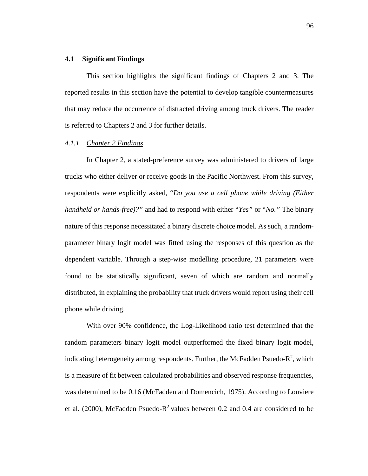# **4.1 Significant Findings**

This section highlights the significant findings of Chapters 2 and 3. The reported results in this section have the potential to develop tangible countermeasures that may reduce the occurrence of distracted driving among truck drivers. The reader is referred to Chapters 2 and 3 for further details.

# *4.1.1 Chapter 2 Findings*

In Chapter 2, a stated-preference survey was administered to drivers of large trucks who either deliver or receive goods in the Pacific Northwest. From this survey, respondents were explicitly asked, "*Do you use a cell phone while driving (Either handheld or hands-free)?"* and had to respond with either "*Yes"* or "*No."* The binary nature of this response necessitated a binary discrete choice model. As such, a randomparameter binary logit model was fitted using the responses of this question as the dependent variable. Through a step-wise modelling procedure, 21 parameters were found to be statistically significant, seven of which are random and normally distributed, in explaining the probability that truck drivers would report using their cell phone while driving.

With over 90% confidence, the Log-Likelihood ratio test determined that the random parameters binary logit model outperformed the fixed binary logit model, indicating heterogeneity among respondents. Further, the McFadden Psuedo- $R^2$ , which is a measure of fit between calculated probabilities and observed response frequencies, was determined to be 0.16 (McFadden and Domencich, 1975). According to Louviere et al. (2000), McFadden Psuedo- $R^2$  values between 0.2 and 0.4 are considered to be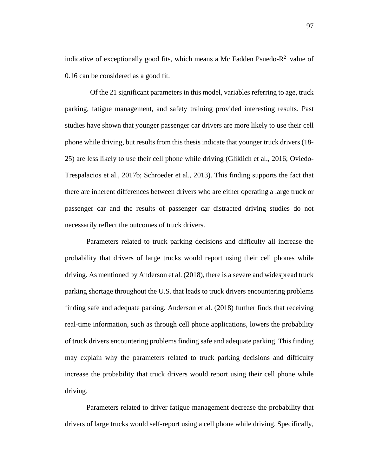indicative of exceptionally good fits, which means a Mc Fadden Psuedo- $R^2$  value of 0.16 can be considered as a good fit.

 Of the 21 significant parameters in this model, variables referring to age, truck parking, fatigue management, and safety training provided interesting results. Past studies have shown that younger passenger car drivers are more likely to use their cell phone while driving, but results from this thesis indicate that younger truck drivers (18- 25) are less likely to use their cell phone while driving (Gliklich et al., 2016; Oviedo-Trespalacios et al., 2017b; Schroeder et al., 2013). This finding supports the fact that there are inherent differences between drivers who are either operating a large truck or passenger car and the results of passenger car distracted driving studies do not necessarily reflect the outcomes of truck drivers.

Parameters related to truck parking decisions and difficulty all increase the probability that drivers of large trucks would report using their cell phones while driving. As mentioned by Anderson et al. (2018), there is a severe and widespread truck parking shortage throughout the U.S. that leads to truck drivers encountering problems finding safe and adequate parking. Anderson et al. (2018) further finds that receiving real-time information, such as through cell phone applications, lowers the probability of truck drivers encountering problems finding safe and adequate parking. This finding may explain why the parameters related to truck parking decisions and difficulty increase the probability that truck drivers would report using their cell phone while driving.

Parameters related to driver fatigue management decrease the probability that drivers of large trucks would self-report using a cell phone while driving. Specifically,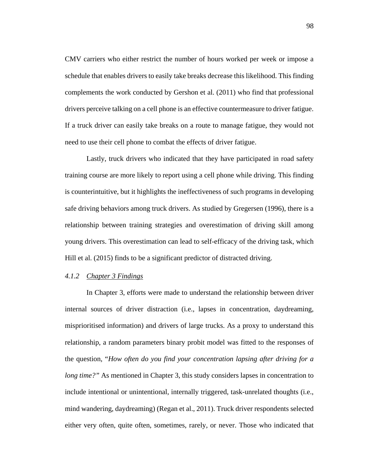CMV carriers who either restrict the number of hours worked per week or impose a schedule that enables drivers to easily take breaks decrease this likelihood. This finding complements the work conducted by Gershon et al. (2011) who find that professional drivers perceive talking on a cell phone is an effective countermeasure to driver fatigue. If a truck driver can easily take breaks on a route to manage fatigue, they would not need to use their cell phone to combat the effects of driver fatigue.

Lastly, truck drivers who indicated that they have participated in road safety training course are more likely to report using a cell phone while driving. This finding is counterintuitive, but it highlights the ineffectiveness of such programs in developing safe driving behaviors among truck drivers. As studied by Gregersen (1996), there is a relationship between training strategies and overestimation of driving skill among young drivers. This overestimation can lead to self-efficacy of the driving task, which Hill et al. (2015) finds to be a significant predictor of distracted driving.

#### *4.1.2 Chapter 3 Findings*

In Chapter 3, efforts were made to understand the relationship between driver internal sources of driver distraction (i.e., lapses in concentration, daydreaming, misprioritised information) and drivers of large trucks. As a proxy to understand this relationship, a random parameters binary probit model was fitted to the responses of the question, "*How often do you find your concentration lapsing after driving for a long time?"* As mentioned in Chapter 3, this study considers lapses in concentration to include intentional or unintentional, internally triggered, task-unrelated thoughts (i.e., mind wandering, daydreaming) (Regan et al., 2011). Truck driver respondents selected either very often, quite often, sometimes, rarely, or never. Those who indicated that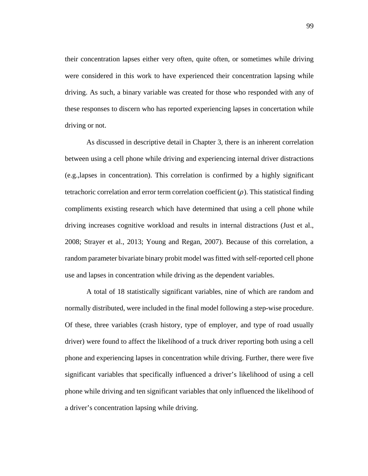their concentration lapses either very often, quite often, or sometimes while driving were considered in this work to have experienced their concentration lapsing while driving. As such, a binary variable was created for those who responded with any of these responses to discern who has reported experiencing lapses in concertation while driving or not.

As discussed in descriptive detail in Chapter 3, there is an inherent correlation between using a cell phone while driving and experiencing internal driver distractions (e.g.,lapses in concentration). This correlation is confirmed by a highly significant tetrachoric correlation and error term correlation coefficient  $(\rho)$ . This statistical finding compliments existing research which have determined that using a cell phone while driving increases cognitive workload and results in internal distractions (Just et al., 2008; Strayer et al., 2013; Young and Regan, 2007). Because of this correlation, a random parameter bivariate binary probit model was fitted with self-reported cell phone use and lapses in concentration while driving as the dependent variables.

A total of 18 statistically significant variables, nine of which are random and normally distributed, were included in the final model following a step-wise procedure. Of these, three variables (crash history, type of employer, and type of road usually driver) were found to affect the likelihood of a truck driver reporting both using a cell phone and experiencing lapses in concentration while driving. Further, there were five significant variables that specifically influenced a driver's likelihood of using a cell phone while driving and ten significant variables that only influenced the likelihood of a driver's concentration lapsing while driving.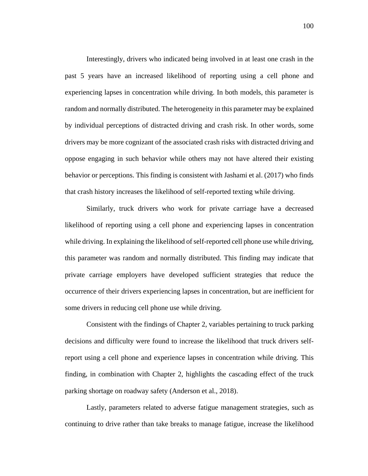Interestingly, drivers who indicated being involved in at least one crash in the past 5 years have an increased likelihood of reporting using a cell phone and experiencing lapses in concentration while driving. In both models, this parameter is random and normally distributed. The heterogeneity in this parameter may be explained by individual perceptions of distracted driving and crash risk. In other words, some drivers may be more cognizant of the associated crash risks with distracted driving and oppose engaging in such behavior while others may not have altered their existing behavior or perceptions. This finding is consistent with Jashami et al. (2017) who finds that crash history increases the likelihood of self-reported texting while driving.

Similarly, truck drivers who work for private carriage have a decreased likelihood of reporting using a cell phone and experiencing lapses in concentration while driving. In explaining the likelihood of self-reported cell phone use while driving, this parameter was random and normally distributed. This finding may indicate that private carriage employers have developed sufficient strategies that reduce the occurrence of their drivers experiencing lapses in concentration, but are inefficient for some drivers in reducing cell phone use while driving.

Consistent with the findings of Chapter 2, variables pertaining to truck parking decisions and difficulty were found to increase the likelihood that truck drivers selfreport using a cell phone and experience lapses in concentration while driving. This finding, in combination with Chapter 2, highlights the cascading effect of the truck parking shortage on roadway safety (Anderson et al., 2018).

Lastly, parameters related to adverse fatigue management strategies, such as continuing to drive rather than take breaks to manage fatigue, increase the likelihood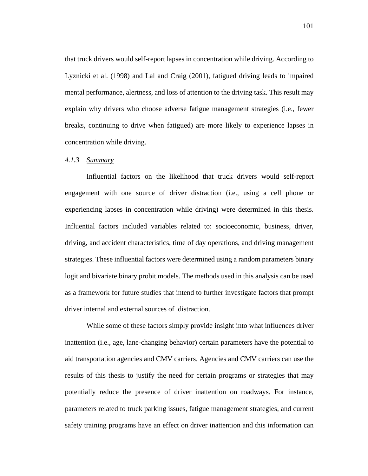that truck drivers would self-report lapses in concentration while driving. According to Lyznicki et al. (1998) and Lal and Craig (2001), fatigued driving leads to impaired mental performance, alertness, and loss of attention to the driving task. This result may explain why drivers who choose adverse fatigue management strategies (i.e., fewer breaks, continuing to drive when fatigued) are more likely to experience lapses in concentration while driving.

## *4.1.3 Summary*

Influential factors on the likelihood that truck drivers would self-report engagement with one source of driver distraction (i.e., using a cell phone or experiencing lapses in concentration while driving) were determined in this thesis. Influential factors included variables related to: socioeconomic, business, driver, driving, and accident characteristics, time of day operations, and driving management strategies. These influential factors were determined using a random parameters binary logit and bivariate binary probit models. The methods used in this analysis can be used as a framework for future studies that intend to further investigate factors that prompt driver internal and external sources of distraction.

While some of these factors simply provide insight into what influences driver inattention (i.e., age, lane-changing behavior) certain parameters have the potential to aid transportation agencies and CMV carriers. Agencies and CMV carriers can use the results of this thesis to justify the need for certain programs or strategies that may potentially reduce the presence of driver inattention on roadways. For instance, parameters related to truck parking issues, fatigue management strategies, and current safety training programs have an effect on driver inattention and this information can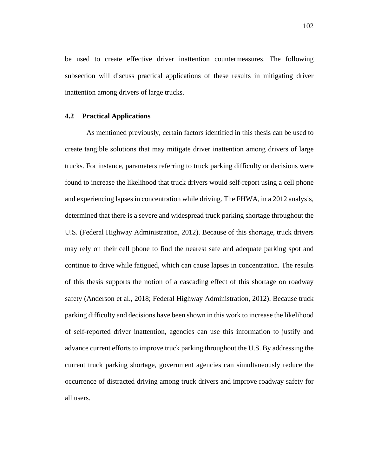be used to create effective driver inattention countermeasures. The following subsection will discuss practical applications of these results in mitigating driver inattention among drivers of large trucks.

### **4.2 Practical Applications**

As mentioned previously, certain factors identified in this thesis can be used to create tangible solutions that may mitigate driver inattention among drivers of large trucks. For instance, parameters referring to truck parking difficulty or decisions were found to increase the likelihood that truck drivers would self-report using a cell phone and experiencing lapses in concentration while driving. The FHWA, in a 2012 analysis, determined that there is a severe and widespread truck parking shortage throughout the U.S. (Federal Highway Administration, 2012). Because of this shortage, truck drivers may rely on their cell phone to find the nearest safe and adequate parking spot and continue to drive while fatigued, which can cause lapses in concentration. The results of this thesis supports the notion of a cascading effect of this shortage on roadway safety (Anderson et al., 2018; Federal Highway Administration, 2012). Because truck parking difficulty and decisions have been shown in this work to increase the likelihood of self-reported driver inattention, agencies can use this information to justify and advance current efforts to improve truck parking throughout the U.S. By addressing the current truck parking shortage, government agencies can simultaneously reduce the occurrence of distracted driving among truck drivers and improve roadway safety for all users.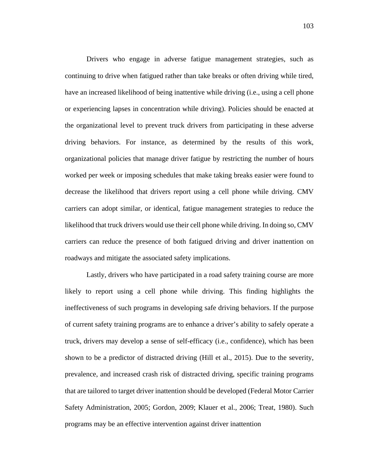Drivers who engage in adverse fatigue management strategies, such as continuing to drive when fatigued rather than take breaks or often driving while tired, have an increased likelihood of being inattentive while driving (i.e., using a cell phone or experiencing lapses in concentration while driving). Policies should be enacted at the organizational level to prevent truck drivers from participating in these adverse driving behaviors. For instance, as determined by the results of this work, organizational policies that manage driver fatigue by restricting the number of hours worked per week or imposing schedules that make taking breaks easier were found to decrease the likelihood that drivers report using a cell phone while driving. CMV carriers can adopt similar, or identical, fatigue management strategies to reduce the likelihood that truck drivers would use their cell phone while driving. In doing so, CMV carriers can reduce the presence of both fatigued driving and driver inattention on roadways and mitigate the associated safety implications.

Lastly, drivers who have participated in a road safety training course are more likely to report using a cell phone while driving. This finding highlights the ineffectiveness of such programs in developing safe driving behaviors. If the purpose of current safety training programs are to enhance a driver's ability to safely operate a truck, drivers may develop a sense of self-efficacy (i.e., confidence), which has been shown to be a predictor of distracted driving (Hill et al., 2015). Due to the severity, prevalence, and increased crash risk of distracted driving, specific training programs that are tailored to target driver inattention should be developed (Federal Motor Carrier Safety Administration, 2005; Gordon, 2009; Klauer et al., 2006; Treat, 1980). Such programs may be an effective intervention against driver inattention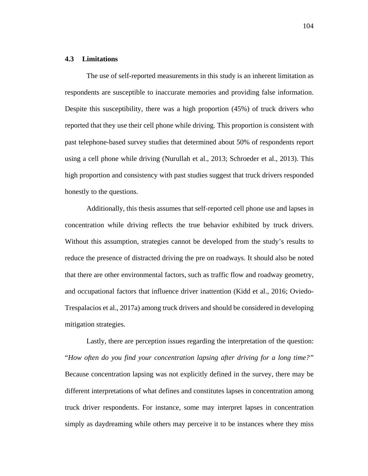# **4.3 Limitations**

The use of self-reported measurements in this study is an inherent limitation as respondents are susceptible to inaccurate memories and providing false information. Despite this susceptibility, there was a high proportion (45%) of truck drivers who reported that they use their cell phone while driving. This proportion is consistent with past telephone-based survey studies that determined about 50% of respondents report using a cell phone while driving (Nurullah et al., 2013; Schroeder et al., 2013). This high proportion and consistency with past studies suggest that truck drivers responded honestly to the questions.

Additionally, this thesis assumes that self-reported cell phone use and lapses in concentration while driving reflects the true behavior exhibited by truck drivers. Without this assumption, strategies cannot be developed from the study's results to reduce the presence of distracted driving the pre on roadways. It should also be noted that there are other environmental factors, such as traffic flow and roadway geometry, and occupational factors that influence driver inattention (Kidd et al., 2016; Oviedo-Trespalacios et al., 2017a) among truck drivers and should be considered in developing mitigation strategies.

Lastly, there are perception issues regarding the interpretation of the question: "*How often do you find your concentration lapsing after driving for a long time?"* Because concentration lapsing was not explicitly defined in the survey, there may be different interpretations of what defines and constitutes lapses in concentration among truck driver respondents. For instance, some may interpret lapses in concentration simply as daydreaming while others may perceive it to be instances where they miss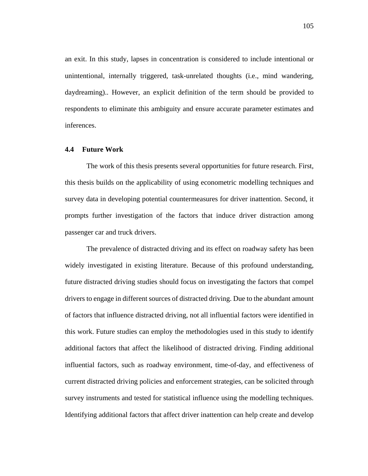an exit. In this study, lapses in concentration is considered to include intentional or unintentional, internally triggered, task-unrelated thoughts (i.e., mind wandering, daydreaming).. However, an explicit definition of the term should be provided to respondents to eliminate this ambiguity and ensure accurate parameter estimates and inferences.

### **4.4 Future Work**

The work of this thesis presents several opportunities for future research. First, this thesis builds on the applicability of using econometric modelling techniques and survey data in developing potential countermeasures for driver inattention. Second, it prompts further investigation of the factors that induce driver distraction among passenger car and truck drivers.

The prevalence of distracted driving and its effect on roadway safety has been widely investigated in existing literature. Because of this profound understanding, future distracted driving studies should focus on investigating the factors that compel drivers to engage in different sources of distracted driving. Due to the abundant amount of factors that influence distracted driving, not all influential factors were identified in this work. Future studies can employ the methodologies used in this study to identify additional factors that affect the likelihood of distracted driving. Finding additional influential factors, such as roadway environment, time-of-day, and effectiveness of current distracted driving policies and enforcement strategies, can be solicited through survey instruments and tested for statistical influence using the modelling techniques. Identifying additional factors that affect driver inattention can help create and develop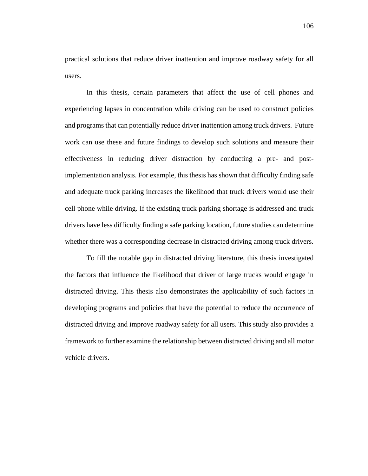practical solutions that reduce driver inattention and improve roadway safety for all users.

In this thesis, certain parameters that affect the use of cell phones and experiencing lapses in concentration while driving can be used to construct policies and programs that can potentially reduce driver inattention among truck drivers. Future work can use these and future findings to develop such solutions and measure their effectiveness in reducing driver distraction by conducting a pre- and postimplementation analysis. For example, this thesis has shown that difficulty finding safe and adequate truck parking increases the likelihood that truck drivers would use their cell phone while driving. If the existing truck parking shortage is addressed and truck drivers have less difficulty finding a safe parking location, future studies can determine whether there was a corresponding decrease in distracted driving among truck drivers.

To fill the notable gap in distracted driving literature, this thesis investigated the factors that influence the likelihood that driver of large trucks would engage in distracted driving. This thesis also demonstrates the applicability of such factors in developing programs and policies that have the potential to reduce the occurrence of distracted driving and improve roadway safety for all users. This study also provides a framework to further examine the relationship between distracted driving and all motor vehicle drivers.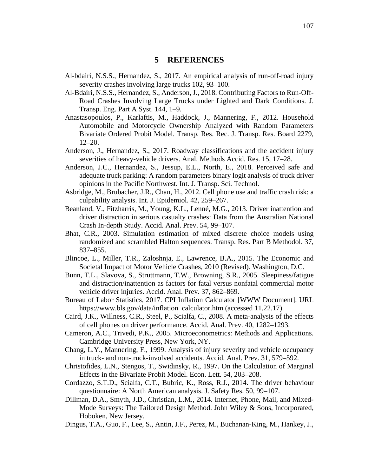## **5 REFERENCES**

- Al-bdairi, N.S.S., Hernandez, S., 2017. An empirical analysis of run-off-road injury severity crashes involving large trucks 102, 93–100.
- Al-Bdairi, N.S.S., Hernandez, S., Anderson, J., 2018. Contributing Factors to Run-Off-Road Crashes Involving Large Trucks under Lighted and Dark Conditions. J. Transp. Eng. Part A Syst. 144, 1–9.
- Anastasopoulos, P., Karlaftis, M., Haddock, J., Mannering, F., 2012. Household Automobile and Motorcycle Ownership Analyzed with Random Parameters Bivariate Ordered Probit Model. Transp. Res. Rec. J. Transp. Res. Board 2279, 12–20.
- Anderson, J., Hernandez, S., 2017. Roadway classifications and the accident injury severities of heavy-vehicle drivers. Anal. Methods Accid. Res. 15, 17–28.
- Anderson, J.C., Hernandez, S., Jessup, E.L., North, E., 2018. Perceived safe and adequate truck parking: A random parameters binary logit analysis of truck driver opinions in the Pacific Northwest. Int. J. Transp. Sci. Technol.
- Asbridge, M., Brubacher, J.R., Chan, H., 2012. Cell phone use and traffic crash risk: a culpability analysis. Int. J. Epidemiol. 42, 259–267.
- Beanland, V., Fitzharris, M., Young, K.L., Lenné, M.G., 2013. Driver inattention and driver distraction in serious casualty crashes: Data from the Australian National Crash In-depth Study. Accid. Anal. Prev. 54, 99–107.
- Bhat, C.R., 2003. Simulation estimation of mixed discrete choice models using randomized and scrambled Halton sequences. Transp. Res. Part B Methodol. 37, 837–855.
- Blincoe, L., Miller, T.R., Zaloshnja, E., Lawrence, B.A., 2015. The Economic and Societal Impact of Motor Vehicle Crashes, 2010 (Revised). Washington, D.C.
- Bunn, T.L., Slavova, S., Struttmann, T.W., Browning, S.R., 2005. Sleepiness/fatigue and distraction/inattention as factors for fatal versus nonfatal commercial motor vehicle driver injuries. Accid. Anal. Prev. 37, 862–869.
- Bureau of Labor Statistics, 2017. CPI Inflation Calculator [WWW Document]. URL https://www.bls.gov/data/inflation\_calculator.htm (accessed 11.22.17).
- Caird, J.K., Willness, C.R., Steel, P., Scialfa, C., 2008. A meta-analysis of the effects of cell phones on driver performance. Accid. Anal. Prev. 40, 1282–1293.
- Cameron, A.C., Trivedi, P.K., 2005. Microeconometrics: Methods and Applications. Cambridge University Press, New York, NY.
- Chang, L.Y., Mannering, F., 1999. Analysis of injury severity and vehicle occupancy in truck- and non-truck-involved accidents. Accid. Anal. Prev. 31, 579–592.
- Christofides, L.N., Stengos, T., Swidinsky, R., 1997. On the Calculation of Marginal Effects in the Bivariate Probit Model. Econ. Lett. 54, 203–208.
- Cordazzo, S.T.D., Scialfa, C.T., Bubric, K., Ross, R.J., 2014. The driver behaviour questionnaire: A North American analysis. J. Safety Res. 50, 99–107.
- Dillman, D.A., Smyth, J.D., Christian, L.M., 2014. Internet, Phone, Mail, and Mixed-Mode Surveys: The Tailored Design Method. John Wiley & Sons, Incorporated, Hoboken, New Jersey.
- Dingus, T.A., Guo, F., Lee, S., Antin, J.F., Perez, M., Buchanan-King, M., Hankey, J.,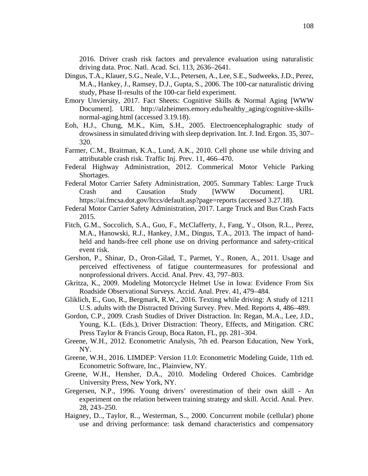2016. Driver crash risk factors and prevalence evaluation using naturalistic driving data. Proc. Natl. Acad. Sci. 113, 2636–2641.

- Dingus, T.A., Klauer, S.G., Neale, V.L., Petersen, A., Lee, S.E., Sudweeks, J.D., Perez, M.A., Hankey, J., Ramsey, D.J., Gupta, S., 2006. The 100-car naturalistic driving study, Phase II-results of the 100-car field experiment.
- Emory Unviersity, 2017. Fact Sheets: Cognitive Skills & Normal Aging [WWW Document]. URL http://alzheimers.emory.edu/healthy\_aging/cognitive-skillsnormal-aging.html (accessed 3.19.18).
- Eoh, H.J., Chung, M.K., Kim, S.H., 2005. Electroencephalographic study of drowsiness in simulated driving with sleep deprivation. Int. J. Ind. Ergon. 35, 307– 320.
- Farmer, C.M., Braitman, K.A., Lund, A.K., 2010. Cell phone use while driving and attributable crash risk. Traffic Inj. Prev. 11, 466–470.
- Federal Highway Administration, 2012. Commerical Motor Vehicle Parking Shortages.
- Federal Motor Carrier Safety Administration, 2005. Summary Tables: Large Truck Crash and Causation Study [WWW Document]. URL https://ai.fmcsa.dot.gov/ltccs/default.asp?page=reports (accessed 3.27.18).
- Federal Motor Carrier Safety Administration, 2017. Large Truck and Bus Crash Facts 2015.
- Fitch, G.M., Soccolich, S.A., Guo, F., McClafferty, J., Fang, Y., Olson, R.L., Perez, M.A., Hanowski, R.J., Hankey, J.M., Dingus, T.A., 2013. The impact of handheld and hands-free cell phone use on driving performance and safety-critical event risk.
- Gershon, P., Shinar, D., Oron-Gilad, T., Parmet, Y., Ronen, A., 2011. Usage and perceived effectiveness of fatigue countermeasures for professional and nonprofessional drivers. Accid. Anal. Prev. 43, 797–803.
- Gkritza, K., 2009. Modeling Motorcycle Helmet Use in Iowa: Evidence From Six Roadside Observational Surveys. Accid. Anal. Prev. 41, 479–484.
- Gliklich, E., Guo, R., Bergmark, R.W., 2016. Texting while driving: A study of 1211 U.S. adults with the Distracted Driving Survey. Prev. Med. Reports 4, 486–489.
- Gordon, C.P., 2009. Crash Studies of Driver Distraction. In: Regan, M.A., Lee, J.D., Young, K.L. (Eds.), Driver Distraction: Theory, Effects, and Mitigation. CRC Press Taylor & Francis Group, Boca Raton, FL, pp. 281–304.
- Greene, W.H., 2012. Econometric Analysis, 7th ed. Pearson Education, New York, NY.
- Greene, W.H., 2016. LIMDEP: Version 11.0: Econometric Modeling Guide, 11th ed. Econometric Software, Inc., Plainview, NY.
- Greene, W.H., Hensher, D.A., 2010. Modeling Ordered Choices. Cambridge University Press, New York, NY.
- Gregersen, N.P., 1996. Young drivers' overestimation of their own skill An experiment on the relation between training strategy and skill. Accid. Anal. Prev. 28, 243–250.
- Haigney, D.., Taylor, R.., Westerman, S.., 2000. Concurrent mobile (cellular) phone use and driving performance: task demand characteristics and compensatory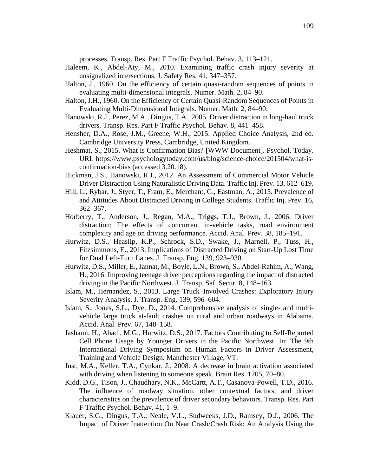processes. Transp. Res. Part F Traffic Psychol. Behav. 3, 113–121.

- Haleem, K., Abdel-Aty, M., 2010. Examining traffic crash injury severity at unsignalized intersections. J. Safety Res. 41, 347–357.
- Halton, J., 1960. On the efficiency of certain quasi-random sequences of points in evaluating multi-dimensional integrals. Numer. Math. 2, 84–90.
- Halton, J.H., 1960. On the Efficiency of Certain Quasi-Random Sequences of Points in Evaluating Multi-Dimensional Integrals. Numer. Math. 2, 84–90.
- Hanowski, R.J., Perez, M.A., Dingus, T.A., 2005. Driver distraction in long-haul truck drivers. Transp. Res. Part F Traffic Psychol. Behav. 8, 441–458.
- Hensher, D.A., Rose, J.M., Greene, W.H., 2015. Applied Choice Analysis, 2nd ed. Cambridge University Press, Cambridge, United Kingdom.
- Heshmat, S., 2015. What is Confirmation Bias? [WWW Document]. Psychol. Today. URL https://www.psychologytoday.com/us/blog/science-choice/201504/what-isconfirmation-bias (accessed 3.20.18).
- Hickman, J.S., Hanowski, R.J., 2012. An Assessment of Commercial Motor Vehicle Driver Distraction Using Naturalistic Driving Data. Traffic Inj. Prev. 13, 612–619.
- Hill, L., Rybar, J., Styer, T., Fram, E., Merchant, G., Eastman, A., 2015. Prevalence of and Attitudes About Distracted Driving in College Students. Traffic Inj. Prev. 16, 362–367.
- Horberry, T., Anderson, J., Regan, M.A., Triggs, T.J., Brown, J., 2006. Driver distraction: The effects of concurrent in-vehicle tasks, road environment complexity and age on driving performance. Accid. Anal. Prev. 38, 185–191.
- Hurwitz, D.S., Heaslip, K.P., Schrock, S.D., Swake, J., Marnell, P., Tuss, H., Fitzsimmons, E., 2013. Implications of Distracted Driving on Start-Up Lost Time for Dual Left-Turn Lanes. J. Transp. Eng. 139, 923–930.
- Hurwitz, D.S., Miller, E., Jannat, M., Boyle, L.N., Brown, S., Abdel-Rahim, A., Wang, H., 2016. Improving teenage driver perceptions regarding the impact of distracted driving in the Pacific Northwest. J. Transp. Saf. Secur. 8, 148–163.
- Islam, M., Hernandez, S., 2013. Large Truck–Involved Crashes: Exploratory Injury Severity Analysis. J. Transp. Eng. 139, 596–604.
- Islam, S., Jones, S.L., Dye, D., 2014. Comprehensive analysis of single- and multivehicle large truck at-fault crashes on rural and urban roadways in Alabama. Accid. Anal. Prev. 67, 148–158.
- Jashami, H., Abadi, M.G., Hurwitz, D.S., 2017. Factors Contributing to Self-Reported Cell Phone Usage by Younger Drivers in the Pacific Northwest. In: The 9th International Driving Symposium on Human Factors in Driver Assessment, Training and Vehicle Design. Manchester Village, VT.
- Just, M.A., Keller, T.A., Cynkar, J., 2008. A decrease in brain activation associated with driving when listening to someone speak. Brain Res. 1205, 70–80.
- Kidd, D.G., Tison, J., Chaudhary, N.K., McCartt, A.T., Casanova-Powell, T.D., 2016. The influence of roadway situation, other contextual factors, and driver characteristics on the prevalence of driver secondary behaviors. Transp. Res. Part F Traffic Psychol. Behav. 41, 1–9.
- Klauer, S.G., Dingus, T.A., Neale, V.L., Sudweeks, J.D., Ramsey, D.J., 2006. The Impact of Driver Inattention On Near Crash/Crash Risk: An Analysis Using the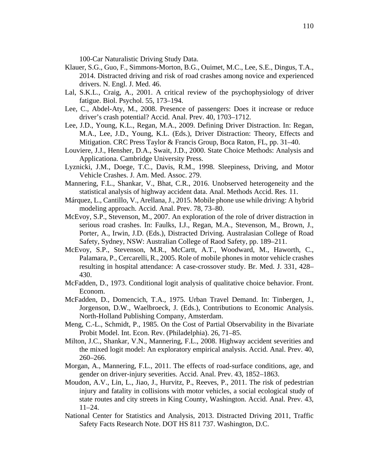100-Car Naturalistic Driving Study Data.

- Klauer, S.G., Guo, F., Simmons-Morton, B.G., Ouimet, M.C., Lee, S.E., Dingus, T.A., 2014. Distracted driving and risk of road crashes among novice and experienced drivers. N. Engl. J. Med. 46.
- Lal, S.K.L., Craig, A., 2001. A critical review of the psychophysiology of driver fatigue. Biol. Psychol. 55, 173–194.
- Lee, C., Abdel-Aty, M., 2008. Presence of passengers: Does it increase or reduce driver's crash potential? Accid. Anal. Prev. 40, 1703–1712.
- Lee, J.D., Young, K.L., Regan, M.A., 2009. Defining Driver Distraction. In: Regan, M.A., Lee, J.D., Young, K.L. (Eds.), Driver Distraction: Theory, Effects and Mitigation. CRC Press Taylor & Francis Group, Boca Raton, FL, pp. 31–40.
- Louviere, J.J., Hensher, D.A., Swait, J.D., 2000. State Choice Methods: Analysis and Applicationa. Cambridge University Press.
- Lyznicki, J.M., Doege, T.C., Davis, R.M., 1998. Sleepiness, Driving, and Motor Vehicle Crashes. J. Am. Med. Assoc. 279.
- Mannering, F.L., Shankar, V., Bhat, C.R., 2016. Unobserved heterogeneity and the statistical analysis of highway accident data. Anal. Methods Accid. Res. 11.
- Márquez, L., Cantillo, V., Arellana, J., 2015. Mobile phone use while driving: A hybrid modeling approach. Accid. Anal. Prev. 78, 73–80.
- McEvoy, S.P., Stevenson, M., 2007. An exploration of the role of driver distraction in serious road crashes. In: Faulks, I.J., Regan, M.A., Stevenson, M., Brown, J., Porter, A., Irwin, J.D. (Eds.), Distracted Driving. Australasian College of Road Safety, Sydney, NSW: Australian College of Raod Safety, pp. 189–211.
- McEvoy, S.P., Stevenson, M.R., McCartt, A.T., Woodward, M., Haworth, C., Palamara, P., Cercarelli, R., 2005. Role of mobile phones in motor vehicle crashes resulting in hospital attendance: A case-crossover study. Br. Med. J. 331, 428– 430.
- McFadden, D., 1973. Conditional logit analysis of qualitative choice behavior. Front. Econom.
- McFadden, D., Domencich, T.A., 1975. Urban Travel Demand. In: Tinbergen, J., Jorgenson, D.W., Waelbroeck, J. (Eds.), Contributions to Economic Analysis. North-Holland Publishing Company, Amsterdam.
- Meng, C.-L., Schmidt, P., 1985. On the Cost of Partial Observability in the Bivariate Probit Model. Int. Econ. Rev. (Philadelphia). 26, 71–85.
- Milton, J.C., Shankar, V.N., Mannering, F.L., 2008. Highway accident severities and the mixed logit model: An exploratory empirical analysis. Accid. Anal. Prev. 40, 260–266.
- Morgan, A., Mannering, F.L., 2011. The effects of road-surface conditions, age, and gender on driver-injury severities. Accid. Anal. Prev. 43, 1852–1863.
- Moudon, A.V., Lin, L., Jiao, J., Hurvitz, P., Reeves, P., 2011. The risk of pedestrian injury and fatality in collisions with motor vehicles, a social ecological study of state routes and city streets in King County, Washington. Accid. Anal. Prev. 43, 11–24.
- National Center for Statistics and Analysis, 2013. Distracted Driving 2011, Traffic Safety Facts Research Note. DOT HS 811 737. Washington, D.C.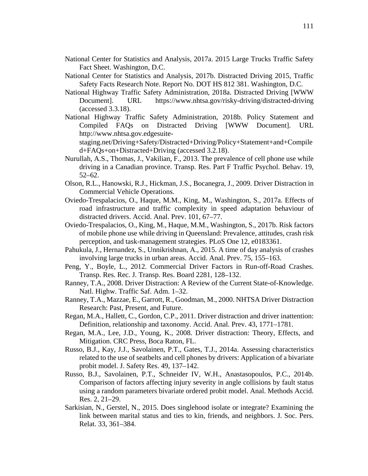- National Center for Statistics and Analysis, 2017a. 2015 Large Trucks Traffic Safety Fact Sheet. Washington, D.C.
- National Center for Statistics and Analysis, 2017b. Distracted Driving 2015, Traffic Safety Facts Research Note. Report No. DOT HS 812 381. Washington, D.C.
- National Highway Traffic Safety Administration, 2018a. Distracted Driving [WWW Document]. URL https://www.nhtsa.gov/risky-driving/distracted-driving (accessed 3.3.18).
- National Highway Traffic Safety Administration, 2018b. Policy Statement and Compiled FAQs on Distracted Driving [WWW Document]. URL http://www.nhtsa.gov.edgesuite-

staging.net/Driving+Safety/Distracted+Driving/Policy+Statement+and+Compile d+FAQs+on+Distracted+Driving (accessed 3.2.18).

- Nurullah, A.S., Thomas, J., Vakilian, F., 2013. The prevalence of cell phone use while driving in a Canadian province. Transp. Res. Part F Traffic Psychol. Behav. 19, 52–62.
- Olson, R.L., Hanowski, R.J., Hickman, J.S., Bocanegra, J., 2009. Driver Distraction in Commercial Vehicle Operations.
- Oviedo-Trespalacios, O., Haque, M.M., King, M., Washington, S., 2017a. Effects of road infrastructure and traffic complexity in speed adaptation behaviour of distracted drivers. Accid. Anal. Prev. 101, 67–77.
- Oviedo-Trespalacios, O., King, M., Haque, M.M., Washington, S., 2017b. Risk factors of mobile phone use while driving in Queensland: Prevalence, attitudes, crash risk perception, and task-management strategies. PLoS One 12, e0183361.
- Pahukula, J., Hernandez, S., Unnikrishnan, A., 2015. A time of day analysis of crashes involving large trucks in urban areas. Accid. Anal. Prev. 75, 155–163.
- Peng, Y., Boyle, L., 2012. Commercial Driver Factors in Run-off-Road Crashes. Transp. Res. Rec. J. Transp. Res. Board 2281, 128–132.
- Ranney, T.A., 2008. Driver Distraction: A Review of the Current State-of-Knowledge. Natl. Highw. Traffic Saf. Adm. 1–32.
- Ranney, T.A., Mazzae, E., Garrott, R., Goodman, M., 2000. NHTSA Driver Distraction Research: Past, Present, and Future.
- Regan, M.A., Hallett, C., Gordon, C.P., 2011. Driver distraction and driver inattention: Definition, relationship and taxonomy. Accid. Anal. Prev. 43, 1771–1781.
- Regan, M.A., Lee, J.D., Young, K., 2008. Driver distraction: Theory, Effects, and Mitigation. CRC Press, Boca Raton, FL.
- Russo, B.J., Kay, J.J., Savolainen, P.T., Gates, T.J., 2014a. Assessing characteristics related to the use of seatbelts and cell phones by drivers: Application of a bivariate probit model. J. Safety Res. 49, 137–142.
- Russo, B.J., Savolainen, P.T., Schneider IV, W.H., Anastasopoulos, P.C., 2014b. Comparison of factors affecting injury severity in angle collisions by fault status using a random parameters bivariate ordered probit model. Anal. Methods Accid. Res. 2, 21–29.
- Sarkisian, N., Gerstel, N., 2015. Does singlehood isolate or integrate? Examining the link between marital status and ties to kin, friends, and neighbors. J. Soc. Pers. Relat. 33, 361–384.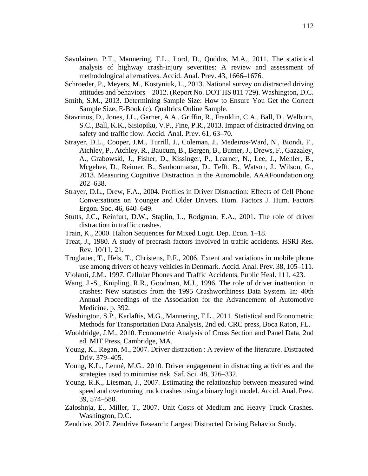- Savolainen, P.T., Mannering, F.L., Lord, D., Quddus, M.A., 2011. The statistical analysis of highway crash-injury severities: A review and assessment of methodological alternatives. Accid. Anal. Prev. 43, 1666–1676.
- Schroeder, P., Meyers, M., Kostyniuk, L., 2013. National survey on distracted driving attitudes and behaviors – 2012. (Report No. DOT HS 811 729). Washington, D.C.
- Smith, S.M., 2013. Determining Sample Size: How to Ensure You Get the Correct Sample Size, E-Book (c). Qualtrics Online Sample.
- Stavrinos, D., Jones, J.L., Garner, A.A., Griffin, R., Franklin, C.A., Ball, D., Welburn, S.C., Ball, K.K., Sisiopiku, V.P., Fine, P.R., 2013. Impact of distracted driving on safety and traffic flow. Accid. Anal. Prev. 61, 63–70.
- Strayer, D.L., Cooper, J.M., Turrill, J., Coleman, J., Medeiros-Ward, N., Biondi, F., Atchley, P., Atchley, R., Baucum, B., Bergen, B., Butner, J., Drews, F., Gazzaley, A., Grabowski, J., Fisher, D., Kissinger, P., Learner, N., Lee, J., Mehler, B., Mcgehee, D., Reimer, B., Sanbonmatsu, D., Tefft, B., Watson, J., Wilson, G., 2013. Measuring Cognitive Distraction in the Automobile. AAAFoundation.org 202–638.
- Strayer, D.L., Drew, F.A., 2004. Profiles in Driver Distraction: Effects of Cell Phone Conversations on Younger and Older Drivers. Hum. Factors J. Hum. Factors Ergon. Soc. 46, 640–649.
- Stutts, J.C., Reinfurt, D.W., Staplin, L., Rodgman, E.A., 2001. The role of driver distraction in traffic crashes.
- Train, K., 2000. Halton Sequences for Mixed Logit. Dep. Econ. 1–18.
- Treat, J., 1980. A study of precrash factors involved in traffic accidents. HSRI Res. Rev. 10/11, 21.
- Troglauer, T., Hels, T., Christens, P.F., 2006. Extent and variations in mobile phone use among drivers of heavy vehicles in Denmark. Accid. Anal. Prev. 38, 105–111.
- Violanti, J.M., 1997. Cellular Phones and Traffic Accidents. Public Heal. 111, 423.
- Wang, J.-S., Knipling, R.R., Goodman, M.J., 1996. The role of driver inattention in crashes: New statistics from the 1995 Crashworthiness Data System. In: 40th Annual Proceedings of the Association for the Advancement of Automotive Medicine. p. 392.
- Washington, S.P., Karlaftis, M.G., Mannering, F.L., 2011. Statistical and Econometric Methods for Transportation Data Analysis, 2nd ed. CRC press, Boca Raton, FL.
- Wooldridge, J.M., 2010. Econometric Analysis of Cross Section and Panel Data, 2nd ed. MIT Press, Cambridge, MA.
- Young, K., Regan, M., 2007. Driver distraction : A review of the literature. Distracted Driv. 379–405.
- Young, K.L., Lenné, M.G., 2010. Driver engagement in distracting activities and the strategies used to minimise risk. Saf. Sci. 48, 326–332.
- Young, R.K., Liesman, J., 2007. Estimating the relationship between measured wind speed and overturning truck crashes using a binary logit model. Accid. Anal. Prev. 39, 574–580.
- Zaloshnja, E., Miller, T., 2007. Unit Costs of Medium and Heavy Truck Crashes. Washington, D.C.
- Zendrive, 2017. Zendrive Research: Largest Distracted Driving Behavior Study.